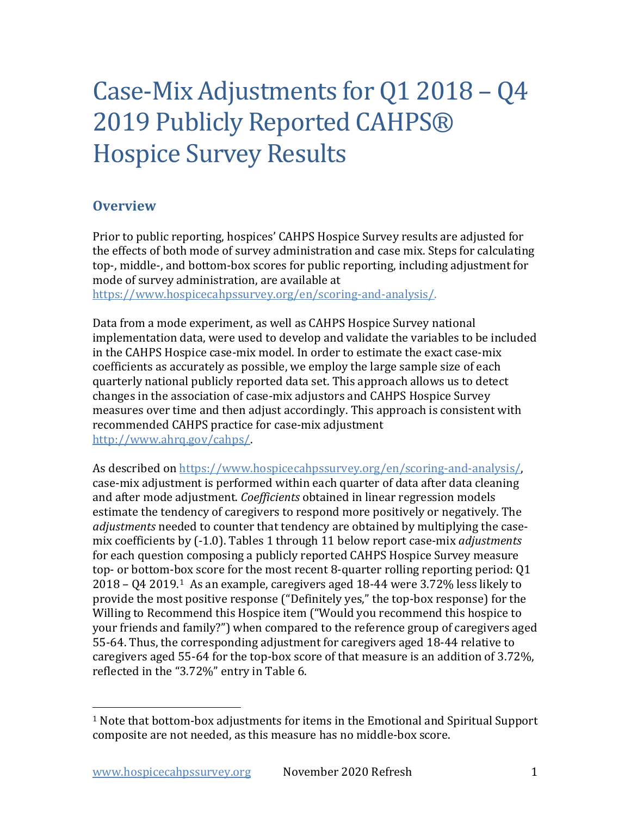# Case-Mix Adjustments for Q1 2018 – Q4 2019 Publicly Reported CAHPS® Hospice Survey Results

#### **Overview**

Prior to public reporting, hospices' CAHPS Hospice Survey results are adjusted for the effects of both mode of survey administration and case mix. Steps for calculating top-, middle-, and bottom-box scores for public reporting, including adjustment for mode of survey administration, are available at

[https://www.hospicecahpssurvey.org/en/scoring-and-analysis/.](https://hospicecahpssurvey.org/en/public-reporting/scoring-and-analysis/)

Data from a mode experiment, as well as CAHPS Hospice Survey national implementation data, were used to develop and validate the variables to be included in the CAHPS Hospice case-mix model. In order to estimate the exact case-mix coefficients as accurately as possible, we employ the large sample size of each quarterly national publicly reported data set. This approach allows us to detect changes in the association of case-mix adjustors and CAHPS Hospice Survey measures over time and then adjust accordingly. This approach is consistent with recommended CAHPS practice for case-mix adjustment [http://www.ahrq.gov/cahps/.](https://www.ahrq.gov/cahps/)

As described on [https://www.hospicecahpssurvey.org/en/scoring-and-analysis/,](https://hospicecahpssurvey.org/en/public-reporting/scoring-and-analysis/) case-mix adjustment is performed within each quarter of data after data cleaning and after mode adjustment. *Coefficients* obtained in linear regression models estimate the tendency of caregivers to respond more positively or negatively. The *adjustments* needed to counter that tendency are obtained by multiplying the casemix coefficients by (-1.0). Tables 1 through 11 below report case-mix *adjustments* for each question composing a publicly reported CAHPS Hospice Survey measure top- or bottom-box score for the most recent 8-quarter rolling reporting period: Q1 2018 – Q4 2019.[1](#page-0-0) As an example, caregivers aged 18-44 were 3.72% less likely to provide the most positive response ("Definitely yes," the top-box response) for the Willing to Recommend this Hospice item ("Would you recommend this hospice to your friends and family?") when compared to the reference group of caregivers aged 55-64. Thus, the corresponding adjustment for caregivers aged 18-44 relative to caregivers aged 55-64 for the top-box score of that measure is an addition of 3.72%, reflected in the "3.72%" entry in Table 6.

<span id="page-0-0"></span> $1$  Note that bottom-box adjustments for items in the Emotional and Spiritual Support composite are not needed, as this measure has no middle-box score.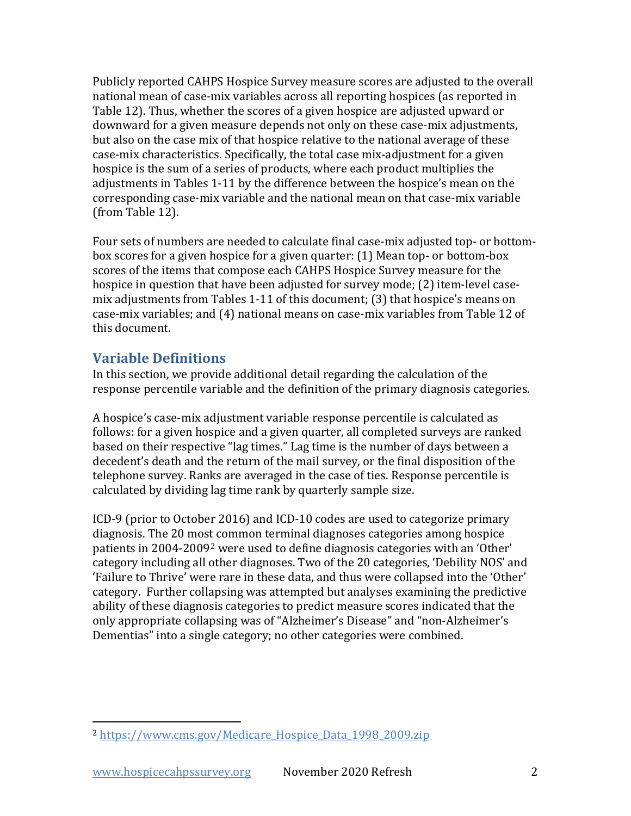Publicly reported CAHPS Hospice Survey measure scores are adjusted to the overall national mean of case-mix variables across all reporting hospices (as reported in Table 12). Thus, whether the scores of a given hospice are adjusted upward or downward for a given measure depends not only on these case-mix adjustments, but also on the case mix of that hospice relative to the national average of these case-mix characteristics. Specifically, the total case mix-adjustment for a given hospice is the sum of a series of products, where each product multiplies the adjustments in Tables 1-11 by the difference between the hospice's mean on the corresponding case-mix variable and the national mean on that case-mix variable (from Table 12).

Four sets of numbers are needed to calculate final case-mix adjusted top- or bottombox scores for a given hospice for a given quarter: (1) Mean top- or bottom-box scores of the items that compose each CAHPS Hospice Survey measure for the hospice in question that have been adjusted for survey mode; (2) item-level casemix adjustments from Tables 1-11 of this document; (3) that hospice's means on case-mix variables; and (4) national means on case-mix variables from Table 12 of this document.

#### **Variable Definitions**

In this section, we provide additional detail regarding the calculation of the response percentile variable and the definition of the primary diagnosis categories.

A hospice's case-mix adjustment variable response percentile is calculated as follows: for a given hospice and a given quarter, all completed surveys are ranked based on their respective "lag times." Lag time is the number of days between a decedent's death and the return of the mail survey, or the final disposition of the telephone survey. Ranks are averaged in the case of ties. Response percentile is calculated by dividing lag time rank by quarterly sample size.

ICD-9 (prior to October 2016) and ICD-10 codes are used to categorize primary diagnosis. The 20 most common terminal diagnoses categories among hospice patients in 2004-2009[2](#page-1-0) were used to define diagnosis categories with an 'Other' category including all other diagnoses. Two of the 20 categories, 'Debility NOS' and 'Failure to Thrive' were rare in these data, and thus were collapsed into the 'Other' category. Further collapsing was attempted but analyses examining the predictive ability of these diagnosis categories to predict measure scores indicated that the only appropriate collapsing was of "Alzheimer's Disease" and "non-Alzheimer's Dementias" into a single category; no other categories were combined.

<span id="page-1-0"></span><sup>2</sup> [https://www.cms.gov/Medicare\\_Hospice\\_Data\\_1998\\_2009.zip](https://www.cms.gov/Medicare/Medicare-Fee-for-Service-Payment/Hospice/Downloads/Medicare_Hospice_Data_1998_2009.zip)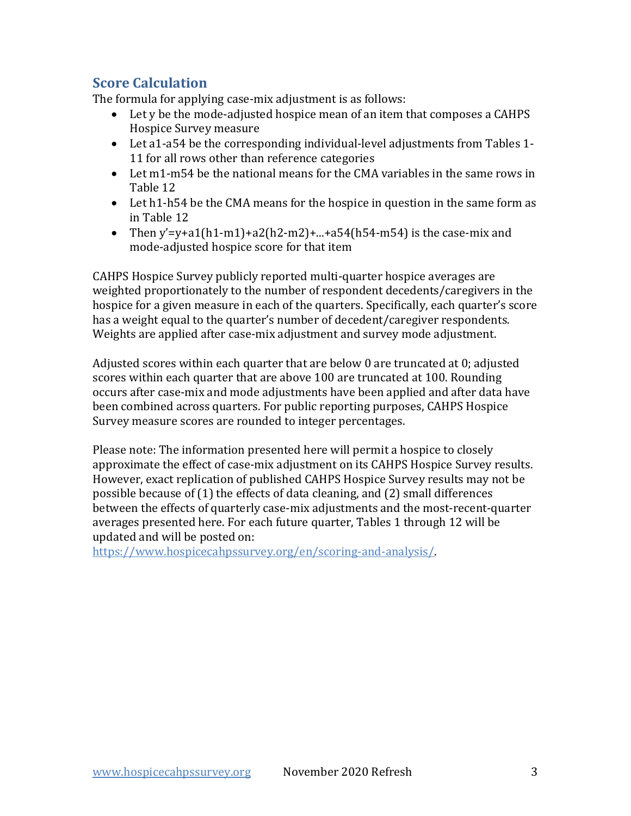#### **Score Calculation**

The formula for applying case-mix adjustment is as follows:

- Let y be the mode-adjusted hospice mean of an item that composes a CAHPS Hospice Survey measure
- Let a1-a54 be the corresponding individual-level adjustments from Tables 1- 11 for all rows other than reference categories
- Let m1-m54 be the national means for the CMA variables in the same rows in Table 12
- Let h1-h54 be the CMA means for the hospice in question in the same form as in Table 12
- Then  $y'=v+a1(h1-m1)+a2(h2-m2)+...+a54(h54-m54)$  is the case-mix and mode-adjusted hospice score for that item

CAHPS Hospice Survey publicly reported multi-quarter hospice averages are weighted proportionately to the number of respondent decedents/caregivers in the hospice for a given measure in each of the quarters. Specifically, each quarter's score has a weight equal to the quarter's number of decedent/caregiver respondents. Weights are applied after case-mix adjustment and survey mode adjustment.

Adjusted scores within each quarter that are below 0 are truncated at 0; adjusted scores within each quarter that are above 100 are truncated at 100. Rounding occurs after case-mix and mode adjustments have been applied and after data have been combined across quarters. For public reporting purposes, CAHPS Hospice Survey measure scores are rounded to integer percentages.

Please note: The information presented here will permit a hospice to closely approximate the effect of case-mix adjustment on its CAHPS Hospice Survey results. However, exact replication of published CAHPS Hospice Survey results may not be possible because of (1) the effects of data cleaning, and (2) small differences between the effects of quarterly case-mix adjustments and the most-recent-quarter averages presented here. For each future quarter, Tables 1 through 12 will be updated and will be posted on:

[https://www.hospicecahpssurvey.org/en/scoring-and-analysis/.](https://hospicecahpssurvey.org/en/public-reporting/scoring-and-analysis/)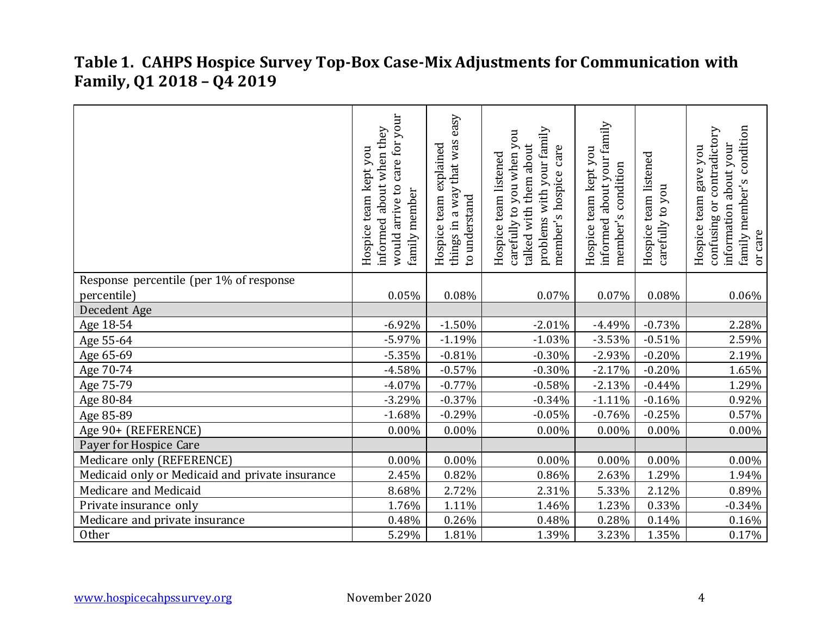# **Table 1. CAHPS Hospice Survey Top-Box Case-Mix Adjustments for Communication with Family, Q1 2018 – Q4 2019**

|                                                 | care for your<br>informed about when they<br>Hospice team kept you<br>$\mathfrak{c}$<br>family member<br>arrive<br>would | easy<br>things in a way that was<br>Hospice team explained<br>to understand | problems with your family<br>carefully to you when you<br>talked with them about<br>member's hospice care<br>Hospice team listened | informed about your family<br>Hospice team kept you<br>condition<br>member's | Hospice team listened<br>carefully to you | family member's condition<br>or contradictory<br>information about your<br>gave you<br>Hospice team<br>confusing<br>or care |
|-------------------------------------------------|--------------------------------------------------------------------------------------------------------------------------|-----------------------------------------------------------------------------|------------------------------------------------------------------------------------------------------------------------------------|------------------------------------------------------------------------------|-------------------------------------------|-----------------------------------------------------------------------------------------------------------------------------|
| Response percentile (per 1% of response         |                                                                                                                          |                                                                             |                                                                                                                                    |                                                                              |                                           |                                                                                                                             |
| percentile)                                     | 0.05%                                                                                                                    | 0.08%                                                                       | 0.07%                                                                                                                              | 0.07%                                                                        | 0.08%                                     | 0.06%                                                                                                                       |
| Decedent Age                                    |                                                                                                                          |                                                                             |                                                                                                                                    |                                                                              |                                           |                                                                                                                             |
| Age 18-54                                       | $-6.92%$                                                                                                                 | $-1.50%$                                                                    | $-2.01%$                                                                                                                           | $-4.49%$                                                                     | $-0.73%$                                  | 2.28%                                                                                                                       |
| Age 55-64                                       | $-5.97%$                                                                                                                 | $-1.19%$                                                                    | $-1.03%$                                                                                                                           | $-3.53%$                                                                     | $-0.51%$                                  | 2.59%                                                                                                                       |
| Age 65-69                                       | $-5.35%$                                                                                                                 | $-0.81%$                                                                    | $-0.30%$                                                                                                                           | $-2.93%$                                                                     | $-0.20%$                                  | 2.19%                                                                                                                       |
| Age 70-74                                       | $-4.58%$                                                                                                                 | $-0.57%$                                                                    | $-0.30%$                                                                                                                           | $-2.17%$                                                                     | $-0.20%$                                  | 1.65%                                                                                                                       |
| Age 75-79                                       | $-4.07%$                                                                                                                 | $-0.77%$                                                                    | $-0.58%$                                                                                                                           | $-2.13%$                                                                     | $-0.44%$                                  | 1.29%                                                                                                                       |
| Age 80-84                                       | $-3.29%$                                                                                                                 | $-0.37%$                                                                    | $-0.34%$                                                                                                                           | $-1.11%$                                                                     | $-0.16%$                                  | 0.92%                                                                                                                       |
| Age 85-89                                       | $-1.68%$                                                                                                                 | $-0.29%$                                                                    | $-0.05%$                                                                                                                           | $-0.76%$                                                                     | $-0.25%$                                  | 0.57%                                                                                                                       |
| Age 90+ (REFERENCE)                             | $0.00\%$                                                                                                                 | $0.00\%$                                                                    | 0.00%                                                                                                                              | $0.00\%$                                                                     | $0.00\%$                                  | $0.00\%$                                                                                                                    |
| Payer for Hospice Care                          |                                                                                                                          |                                                                             |                                                                                                                                    |                                                                              |                                           |                                                                                                                             |
| Medicare only (REFERENCE)                       | 0.00%                                                                                                                    | $0.00\%$                                                                    | $0.00\%$                                                                                                                           | 0.00%                                                                        | 0.00%                                     | $0.00\%$                                                                                                                    |
| Medicaid only or Medicaid and private insurance | 2.45%                                                                                                                    | 0.82%                                                                       | 0.86%                                                                                                                              | 2.63%                                                                        | 1.29%                                     | 1.94%                                                                                                                       |
| Medicare and Medicaid                           | 8.68%                                                                                                                    | 2.72%                                                                       | 2.31%                                                                                                                              | 5.33%                                                                        | 2.12%                                     | 0.89%                                                                                                                       |
| Private insurance only                          | 1.76%                                                                                                                    | 1.11%                                                                       | 1.46%                                                                                                                              | 1.23%                                                                        | 0.33%                                     | $-0.34%$                                                                                                                    |
| Medicare and private insurance                  | 0.48%                                                                                                                    | 0.26%                                                                       | 0.48%                                                                                                                              | 0.28%                                                                        | 0.14%                                     | 0.16%                                                                                                                       |
| Other                                           | 5.29%                                                                                                                    | 1.81%                                                                       | 1.39%                                                                                                                              | 3.23%                                                                        | 1.35%                                     | 0.17%                                                                                                                       |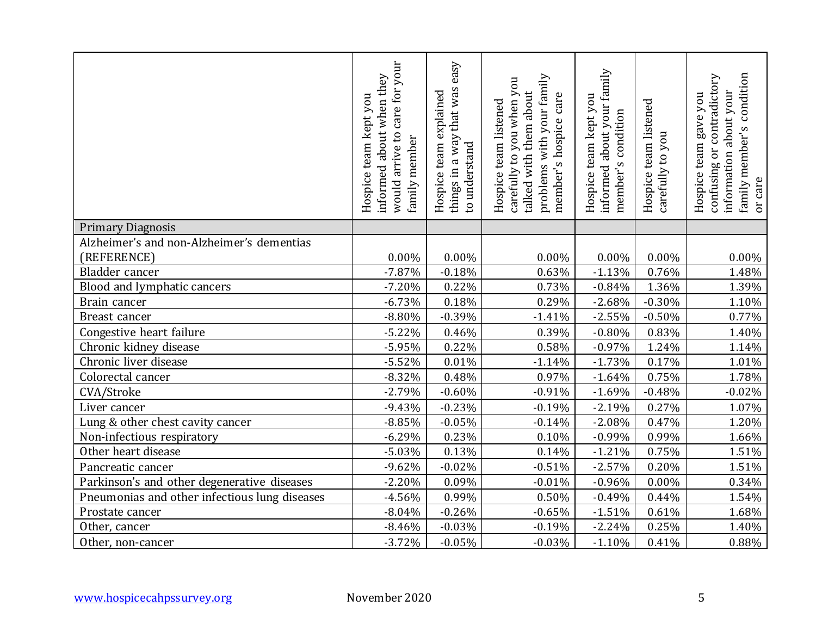|                                               | care for your<br>about when they<br>Hospice team kept you<br>arrive to<br>family member<br>informed<br>would | easy<br>things in a way that was<br>Hospice team explained<br>to understand | problems with your family<br>carefully to you when you<br>talked with them about<br>member's hospice care<br>Hospice team listened | informed about your family<br>Hospice team kept you<br>condition<br>member's | Hospice team listened<br>carefully to you | family member's condition<br>contradictory<br>information about your<br>Hospice team gave you<br>confusing or<br>or care |
|-----------------------------------------------|--------------------------------------------------------------------------------------------------------------|-----------------------------------------------------------------------------|------------------------------------------------------------------------------------------------------------------------------------|------------------------------------------------------------------------------|-------------------------------------------|--------------------------------------------------------------------------------------------------------------------------|
| <b>Primary Diagnosis</b>                      |                                                                                                              |                                                                             |                                                                                                                                    |                                                                              |                                           |                                                                                                                          |
| Alzheimer's and non-Alzheimer's dementias     |                                                                                                              |                                                                             |                                                                                                                                    |                                                                              |                                           |                                                                                                                          |
| (REFERENCE)                                   | $0.00\%$                                                                                                     | 0.00%                                                                       | 0.00%                                                                                                                              | 0.00%                                                                        | 0.00%                                     | 0.00%                                                                                                                    |
| Bladder cancer                                | $-7.87%$                                                                                                     | $-0.18%$                                                                    | 0.63%                                                                                                                              | $-1.13%$                                                                     | 0.76%                                     | 1.48%                                                                                                                    |
| Blood and lymphatic cancers                   | $-7.20%$                                                                                                     | 0.22%                                                                       | 0.73%                                                                                                                              | $-0.84%$                                                                     | 1.36%                                     | 1.39%                                                                                                                    |
| Brain cancer                                  | $-6.73%$                                                                                                     | 0.18%                                                                       | 0.29%                                                                                                                              | $-2.68%$                                                                     | $-0.30%$                                  | 1.10%                                                                                                                    |
| Breast cancer                                 | $-8.80%$                                                                                                     | $-0.39%$                                                                    | $-1.41%$                                                                                                                           | $-2.55%$                                                                     | $-0.50%$                                  | 0.77%                                                                                                                    |
| Congestive heart failure                      | $-5.22%$                                                                                                     | 0.46%                                                                       | 0.39%                                                                                                                              | $-0.80%$                                                                     | 0.83%                                     | 1.40%                                                                                                                    |
| Chronic kidney disease                        | $-5.95%$                                                                                                     | 0.22%                                                                       | 0.58%                                                                                                                              | $-0.97%$                                                                     | 1.24%                                     | 1.14%                                                                                                                    |
| Chronic liver disease                         | $-5.52%$                                                                                                     | 0.01%                                                                       | $-1.14%$                                                                                                                           | $-1.73%$                                                                     | 0.17%                                     | 1.01%                                                                                                                    |
| Colorectal cancer                             | $-8.32%$                                                                                                     | 0.48%                                                                       | 0.97%                                                                                                                              | $-1.64%$                                                                     | 0.75%                                     | 1.78%                                                                                                                    |
| CVA/Stroke                                    | $-2.79%$                                                                                                     | $-0.60%$                                                                    | $-0.91%$                                                                                                                           | $-1.69%$                                                                     | $-0.48%$                                  | $-0.02%$                                                                                                                 |
| Liver cancer                                  | $-9.43%$                                                                                                     | $-0.23%$                                                                    | $-0.19%$                                                                                                                           | $-2.19%$                                                                     | 0.27%                                     | 1.07%                                                                                                                    |
| Lung & other chest cavity cancer              | $-8.85%$                                                                                                     | $-0.05%$                                                                    | $-0.14%$                                                                                                                           | $-2.08%$                                                                     | 0.47%                                     | 1.20%                                                                                                                    |
| Non-infectious respiratory                    | $-6.29%$                                                                                                     | 0.23%                                                                       | 0.10%                                                                                                                              | $-0.99%$                                                                     | 0.99%                                     | 1.66%                                                                                                                    |
| Other heart disease                           | $-5.03%$                                                                                                     | 0.13%                                                                       | 0.14%                                                                                                                              | $-1.21%$                                                                     | 0.75%                                     | 1.51%                                                                                                                    |
| Pancreatic cancer                             | $-9.62%$                                                                                                     | $-0.02%$                                                                    | $-0.51%$                                                                                                                           | $-2.57%$                                                                     | 0.20%                                     | 1.51%                                                                                                                    |
| Parkinson's and other degenerative diseases   | $-2.20%$                                                                                                     | 0.09%                                                                       | $-0.01%$                                                                                                                           | $-0.96%$                                                                     | 0.00%                                     | 0.34%                                                                                                                    |
| Pneumonias and other infectious lung diseases | $-4.56%$                                                                                                     | 0.99%                                                                       | 0.50%                                                                                                                              | $-0.49%$                                                                     | 0.44%                                     | 1.54%                                                                                                                    |
| Prostate cancer                               | $-8.04%$                                                                                                     | $-0.26%$                                                                    | $-0.65%$                                                                                                                           | $-1.51%$                                                                     | 0.61%                                     | 1.68%                                                                                                                    |
| Other, cancer                                 | $-8.46%$                                                                                                     | $-0.03%$                                                                    | $-0.19%$                                                                                                                           | $-2.24%$                                                                     | 0.25%                                     | 1.40%                                                                                                                    |
| Other, non-cancer                             | $-3.72%$                                                                                                     | $-0.05%$                                                                    | $-0.03%$                                                                                                                           | $-1.10%$                                                                     | 0.41%                                     | 0.88%                                                                                                                    |
| www.hospicecahpssurvey.org                    | November 2020                                                                                                |                                                                             |                                                                                                                                    |                                                                              |                                           | 5                                                                                                                        |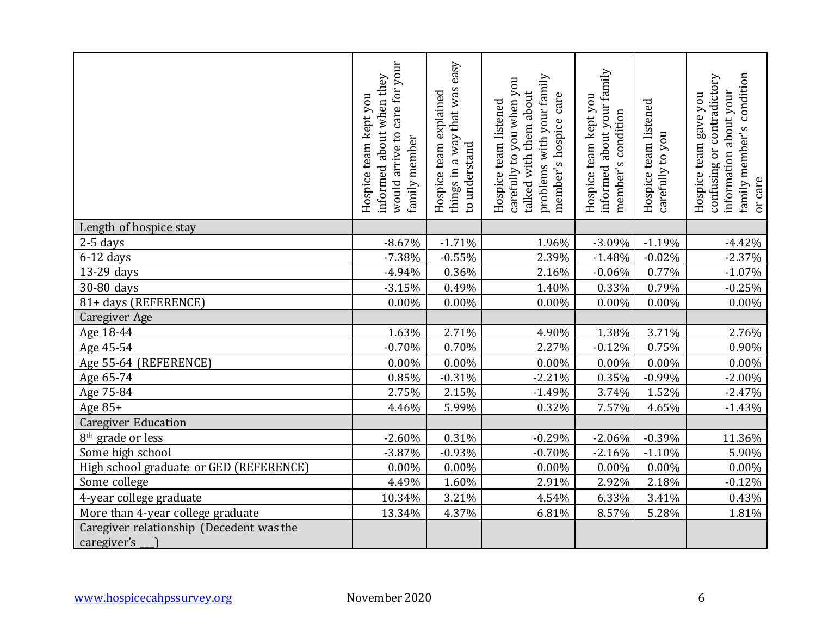|                                                         | care for your<br>informed about when they<br>Hospice team kept you<br>arrive to<br>family member<br>would | easy<br>things in a way that was<br>Hospice team explained<br>to understand | problems with your family<br>carefully to you when you<br>talked with them about<br>member's hospice care<br>Hospice team listened | about your family<br>Hospice team kept you<br>member's condition<br>informed | Hospice team listened<br>carefully to you | family member's condition<br>confusing or contradictory<br>about your<br>Hospice team gave you<br>information<br>or care |
|---------------------------------------------------------|-----------------------------------------------------------------------------------------------------------|-----------------------------------------------------------------------------|------------------------------------------------------------------------------------------------------------------------------------|------------------------------------------------------------------------------|-------------------------------------------|--------------------------------------------------------------------------------------------------------------------------|
| Length of hospice stay                                  |                                                                                                           |                                                                             |                                                                                                                                    |                                                                              |                                           |                                                                                                                          |
| $2-5$ days                                              | $-8.67%$                                                                                                  | $-1.71%$                                                                    | 1.96%                                                                                                                              | $-3.09%$                                                                     | $-1.19%$                                  | $-4.42%$                                                                                                                 |
| $6-12$ days                                             | $-7.38%$                                                                                                  | $-0.55%$                                                                    | 2.39%                                                                                                                              | $-1.48%$                                                                     | $-0.02%$                                  | $-2.37%$                                                                                                                 |
| 13-29 days                                              | $-4.94%$                                                                                                  | 0.36%                                                                       | 2.16%                                                                                                                              | $-0.06%$                                                                     | 0.77%                                     | $-1.07\%$                                                                                                                |
| 30-80 days                                              | $-3.15%$                                                                                                  | 0.49%                                                                       | 1.40%                                                                                                                              | 0.33%                                                                        | 0.79%                                     | $-0.25%$                                                                                                                 |
| 81+ days (REFERENCE)                                    | 0.00%                                                                                                     | 0.00%                                                                       | 0.00%                                                                                                                              | 0.00%                                                                        | 0.00%                                     | $0.00\%$                                                                                                                 |
| Caregiver Age                                           |                                                                                                           |                                                                             |                                                                                                                                    |                                                                              |                                           |                                                                                                                          |
| Age 18-44                                               | 1.63%                                                                                                     | 2.71%                                                                       | 4.90%                                                                                                                              | 1.38%                                                                        | 3.71%                                     | 2.76%                                                                                                                    |
| Age 45-54                                               | $-0.70%$                                                                                                  | 0.70%                                                                       | 2.27%                                                                                                                              | $-0.12%$                                                                     | 0.75%                                     | 0.90%                                                                                                                    |
| Age 55-64 (REFERENCE)                                   | 0.00%                                                                                                     | 0.00%                                                                       | 0.00%                                                                                                                              | 0.00%                                                                        | 0.00%                                     | 0.00%                                                                                                                    |
| Age 65-74                                               | 0.85%                                                                                                     | $-0.31%$                                                                    | $-2.21%$                                                                                                                           | $0.35\%$                                                                     | $-0.99%$                                  | $-2.00%$                                                                                                                 |
| Age 75-84                                               | 2.75%                                                                                                     | 2.15%                                                                       | $-1.49%$                                                                                                                           | 3.74%                                                                        | 1.52%                                     | $-2.47%$                                                                                                                 |
| Age 85+                                                 | 4.46%                                                                                                     | 5.99%                                                                       | 0.32%                                                                                                                              | 7.57%                                                                        | 4.65%                                     | $-1.43%$                                                                                                                 |
| <b>Caregiver Education</b>                              |                                                                                                           |                                                                             |                                                                                                                                    |                                                                              |                                           |                                                                                                                          |
| 8 <sup>th</sup> grade or less                           | $-2.60%$                                                                                                  | 0.31%                                                                       | $-0.29%$                                                                                                                           | $-2.06%$                                                                     | $-0.39%$                                  | 11.36%                                                                                                                   |
| Some high school                                        | $-3.87%$                                                                                                  | $-0.93%$                                                                    | $-0.70%$                                                                                                                           | $-2.16%$                                                                     | $-1.10%$                                  | 5.90%                                                                                                                    |
| High school graduate or GED (REFERENCE)                 | 0.00%                                                                                                     | 0.00%                                                                       | 0.00%                                                                                                                              | 0.00%                                                                        | 0.00%                                     | 0.00%                                                                                                                    |
| Some college                                            | 4.49%                                                                                                     | 1.60%                                                                       | 2.91%                                                                                                                              | 2.92%                                                                        | 2.18%                                     | $-0.12%$                                                                                                                 |
| 4-year college graduate                                 | 10.34%                                                                                                    | 3.21%                                                                       | 4.54%                                                                                                                              | 6.33%                                                                        | 3.41%                                     | 0.43%                                                                                                                    |
| More than 4-year college graduate                       | 13.34%                                                                                                    | 4.37%                                                                       | 6.81%                                                                                                                              | 8.57%                                                                        | 5.28%                                     | 1.81%                                                                                                                    |
| Caregiver relationship (Decedent was the<br>caregiver's |                                                                                                           |                                                                             |                                                                                                                                    |                                                                              |                                           |                                                                                                                          |
| www.hospicecahpssurvey.org                              | November 2020                                                                                             |                                                                             |                                                                                                                                    |                                                                              |                                           | 6                                                                                                                        |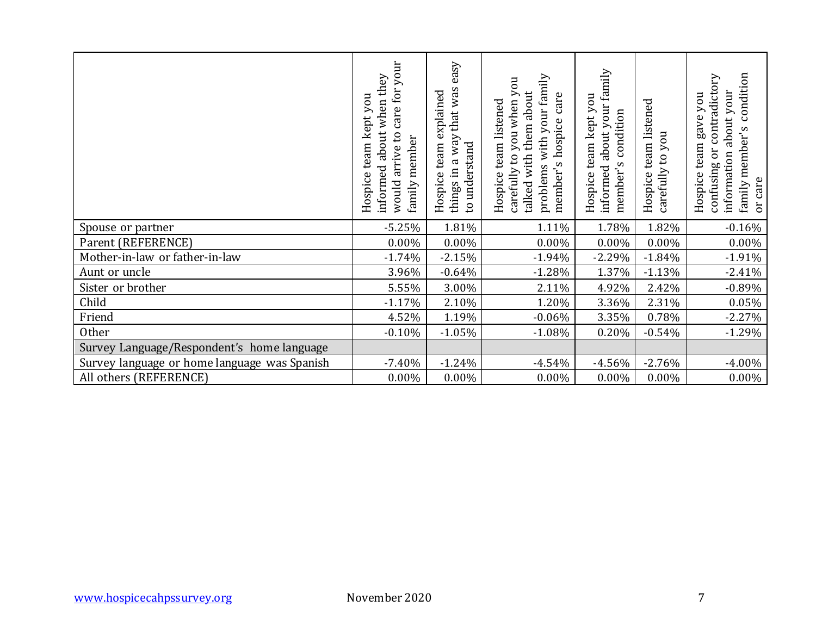|                                              | care for your<br>informed about when they<br>Hospice team kept you<br>would arrive to<br>family member | things in a way that was easy<br>Hospice team explained<br>to understand | problems with your family<br>carefully to you when you<br>talked with them about<br>member's hospice care<br>Hospice team listened | informed about your family<br>Hospice team kept you<br>member's condition | Hospice team listened<br>carefully to you | family member's condition<br>confusing or contradictory<br>information about your<br>Hospice team gave you<br>or care |
|----------------------------------------------|--------------------------------------------------------------------------------------------------------|--------------------------------------------------------------------------|------------------------------------------------------------------------------------------------------------------------------------|---------------------------------------------------------------------------|-------------------------------------------|-----------------------------------------------------------------------------------------------------------------------|
| Spouse or partner                            | $-5.25%$                                                                                               | 1.81%                                                                    | 1.11%                                                                                                                              | 1.78%                                                                     | 1.82%                                     | $-0.16%$                                                                                                              |
| Parent (REFERENCE)                           | $0.00\%$                                                                                               | 0.00%                                                                    | 0.00%                                                                                                                              | $0.00\%$                                                                  | 0.00%                                     | $0.00\%$                                                                                                              |
| Mother-in-law or father-in-law               | $-1.74%$                                                                                               | $-2.15%$                                                                 | $-1.94%$                                                                                                                           | $-2.29%$                                                                  | $-1.84%$                                  | $-1.91%$                                                                                                              |
| Aunt or uncle                                | 3.96%                                                                                                  | $-0.64%$                                                                 | $-1.28%$                                                                                                                           | 1.37%                                                                     | $-1.13%$                                  | $-2.41%$                                                                                                              |
| Sister or brother                            | 5.55%                                                                                                  | 3.00%                                                                    | 2.11%                                                                                                                              | 4.92%                                                                     | 2.42%                                     | $-0.89%$                                                                                                              |
| Child                                        | $-1.17%$                                                                                               | 2.10%                                                                    | 1.20%                                                                                                                              | 3.36%                                                                     | 2.31%                                     | $0.05\%$                                                                                                              |
| Friend                                       | 4.52%                                                                                                  | 1.19%                                                                    | $-0.06%$                                                                                                                           | 3.35%                                                                     | 0.78%                                     | $-2.27%$                                                                                                              |
| Other                                        | $-0.10%$                                                                                               | $-1.05%$                                                                 | $-1.08%$                                                                                                                           | 0.20%                                                                     | $-0.54%$                                  | $-1.29%$                                                                                                              |
| Survey Language/Respondent's home language   |                                                                                                        |                                                                          |                                                                                                                                    |                                                                           |                                           |                                                                                                                       |
| Survey language or home language was Spanish | $-7.40%$                                                                                               | $-1.24%$                                                                 | $-4.54%$                                                                                                                           | $-4.56%$                                                                  | $-2.76%$                                  | $-4.00%$                                                                                                              |
| All others (REFERENCE)                       | $0.00\%$                                                                                               | $0.00\%$                                                                 | $0.00\%$                                                                                                                           | 0.00%                                                                     | $0.00\%$                                  | $0.00\%$                                                                                                              |
|                                              |                                                                                                        |                                                                          |                                                                                                                                    |                                                                           |                                           |                                                                                                                       |
| www.hospicecahpssurvey.org                   | November 2020                                                                                          |                                                                          |                                                                                                                                    |                                                                           |                                           | 7                                                                                                                     |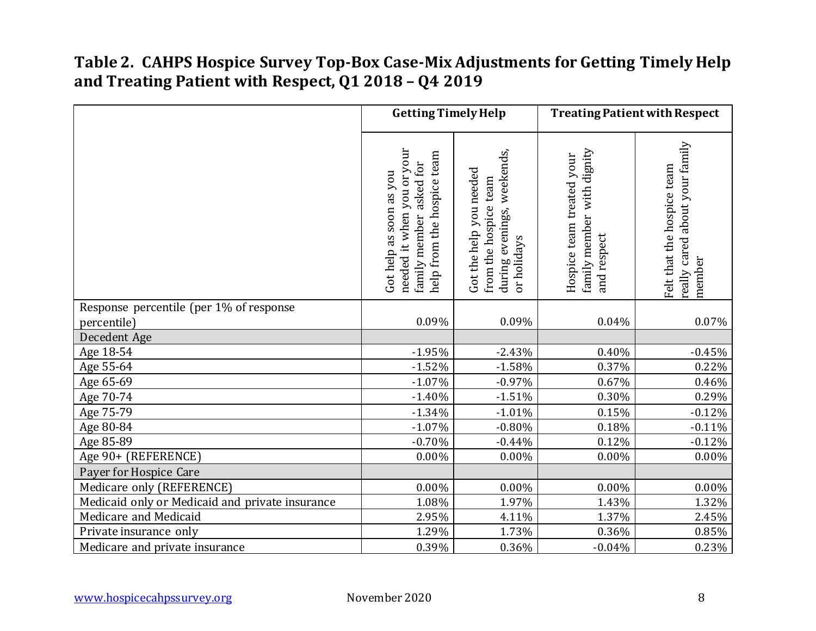### **Table 2. CAHPS Hospice Survey Top-Box Case-Mix Adjustments for Getting Timely Help and Treating Patient with Respect, Q1 2018 – Q4 2019**

|                                                 | <b>Getting Timely Help</b>                                                                                        |                                                                                                     | <b>Treating Patient with Respect</b>                                                  |                                                                        |  |
|-------------------------------------------------|-------------------------------------------------------------------------------------------------------------------|-----------------------------------------------------------------------------------------------------|---------------------------------------------------------------------------------------|------------------------------------------------------------------------|--|
|                                                 | needed it when you or your<br>help from the hospice team<br>asked for<br>Got help as soon as you<br>family member | weekends,<br>Got the help you needed<br>from the hospice team<br>evenings,<br>or holidays<br>during | family member with dignity<br>Hospice team treated your<br>respect<br>$\overline{ad}$ | really cared about your family<br>Felt that the hospice team<br>member |  |
| Response percentile (per 1% of response         |                                                                                                                   |                                                                                                     |                                                                                       |                                                                        |  |
| percentile)                                     | 0.09%                                                                                                             | 0.09%                                                                                               | 0.04%                                                                                 | 0.07%                                                                  |  |
| Decedent Age                                    |                                                                                                                   |                                                                                                     |                                                                                       |                                                                        |  |
| Age 18-54                                       | $-1.95%$                                                                                                          | $-2.43%$                                                                                            | 0.40%                                                                                 | $-0.45%$                                                               |  |
| Age 55-64                                       | $-1.52%$                                                                                                          | $-1.58%$                                                                                            | 0.37%                                                                                 | 0.22%                                                                  |  |
| Age 65-69                                       | $-1.07%$                                                                                                          | $-0.97%$                                                                                            | 0.67%                                                                                 | 0.46%                                                                  |  |
| Age 70-74                                       | $-1.40%$                                                                                                          | $-1.51%$                                                                                            | 0.30%                                                                                 | 0.29%                                                                  |  |
| Age 75-79                                       | $-1.34%$                                                                                                          | $-1.01%$                                                                                            | 0.15%                                                                                 | $-0.12%$                                                               |  |
| Age 80-84<br>Age 85-89                          | $-1.07%$<br>$-0.70%$                                                                                              | $-0.80%$<br>$-0.44%$                                                                                | 0.18%<br>0.12%                                                                        | $-0.11%$<br>$-0.12%$                                                   |  |
| Age 90+ (REFERENCE)                             | $0.00\%$                                                                                                          | 0.00%                                                                                               | 0.00%                                                                                 | 0.00%                                                                  |  |
| Payer for Hospice Care                          |                                                                                                                   |                                                                                                     |                                                                                       |                                                                        |  |
| Medicare only (REFERENCE)                       | 0.00%                                                                                                             | $0.00\%$                                                                                            | $0.00\%$                                                                              | 0.00%                                                                  |  |
| Medicaid only or Medicaid and private insurance | 1.08%                                                                                                             | 1.97%                                                                                               | 1.43%                                                                                 | 1.32%                                                                  |  |
| Medicare and Medicaid                           | 2.95%                                                                                                             | 4.11%                                                                                               | 1.37%                                                                                 | 2.45%                                                                  |  |
| Private insurance only                          | 1.29%                                                                                                             | 1.73%                                                                                               | 0.36%                                                                                 | $0.85\%$                                                               |  |
| Medicare and private insurance                  | 0.39%                                                                                                             | 0.36%                                                                                               | $-0.04%$                                                                              | 0.23%                                                                  |  |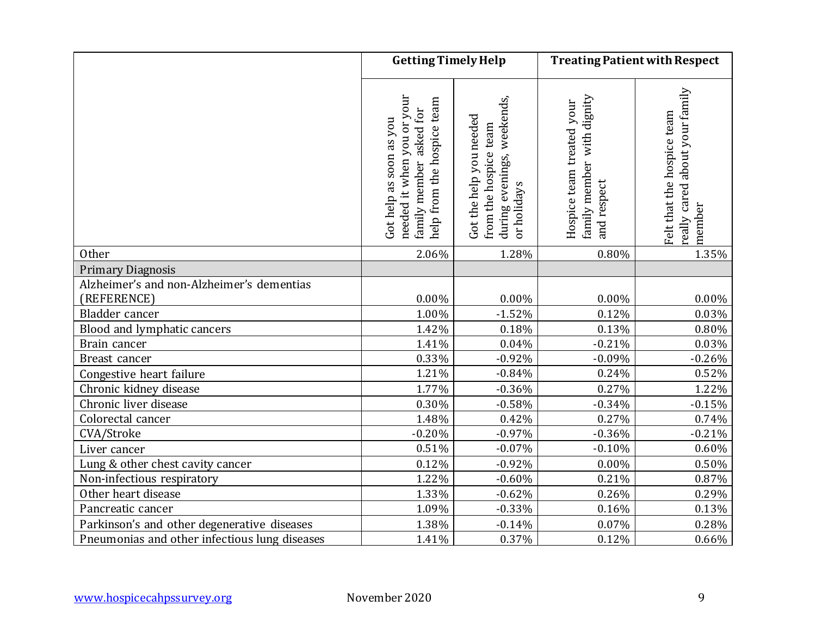|                                               | <b>Getting Timely Help</b>                                                                                        |                                                                                                  | <b>Treating Patient with Respect</b>                                   |                                                                         |  |
|-----------------------------------------------|-------------------------------------------------------------------------------------------------------------------|--------------------------------------------------------------------------------------------------|------------------------------------------------------------------------|-------------------------------------------------------------------------|--|
|                                               | needed it when you or your<br>help from the hospice team<br>asked for<br>Got help as soon as you<br>family member | evenings, weekends,<br>Got the help you needed<br>from the hospice team<br>or holidays<br>during | family member with dignity<br>Hospice team treated your<br>and respect | really cared about your family.<br>Felt that the hospice team<br>member |  |
| Other                                         | 2.06%                                                                                                             | 1.28%                                                                                            | 0.80%                                                                  | 1.35%                                                                   |  |
| <b>Primary Diagnosis</b>                      |                                                                                                                   |                                                                                                  |                                                                        |                                                                         |  |
| Alzheimer's and non-Alzheimer's dementias     |                                                                                                                   |                                                                                                  |                                                                        |                                                                         |  |
| (REFERENCE)                                   | $0.00\%$                                                                                                          | 0.00%                                                                                            | 0.00%                                                                  | $0.00\%$                                                                |  |
| Bladder cancer                                | 1.00%                                                                                                             | $-1.52%$                                                                                         | 0.12%                                                                  | 0.03%                                                                   |  |
| Blood and lymphatic cancers                   | 1.42%                                                                                                             | 0.18%                                                                                            | 0.13%                                                                  | 0.80%                                                                   |  |
| Brain cancer                                  | 1.41%                                                                                                             | 0.04%                                                                                            | $-0.21%$                                                               | 0.03%                                                                   |  |
| Breast cancer                                 | 0.33%                                                                                                             | $-0.92%$                                                                                         | $-0.09%$                                                               | $-0.26%$                                                                |  |
| Congestive heart failure                      | 1.21%                                                                                                             | $-0.84%$                                                                                         | 0.24%                                                                  | 0.52%                                                                   |  |
| Chronic kidney disease                        | 1.77%                                                                                                             | $-0.36%$                                                                                         | 0.27%                                                                  | 1.22%                                                                   |  |
| Chronic liver disease                         | 0.30%                                                                                                             | $-0.58%$                                                                                         | $-0.34%$                                                               | $-0.15%$                                                                |  |
| Colorectal cancer                             | 1.48%                                                                                                             | 0.42%                                                                                            | 0.27%                                                                  | 0.74%                                                                   |  |
| CVA/Stroke                                    | $-0.20%$                                                                                                          | $-0.97%$                                                                                         | $-0.36%$                                                               | $-0.21%$                                                                |  |
| Liver cancer                                  | 0.51%                                                                                                             | $-0.07%$                                                                                         | $-0.10%$                                                               | 0.60%                                                                   |  |
| Lung & other chest cavity cancer              | 0.12%                                                                                                             | $-0.92%$                                                                                         | $0.00\%$                                                               | 0.50%                                                                   |  |
| Non-infectious respiratory                    | 1.22%                                                                                                             | $-0.60%$                                                                                         | 0.21%                                                                  | 0.87%                                                                   |  |
| Other heart disease                           | 1.33%                                                                                                             | $-0.62%$                                                                                         | 0.26%                                                                  | 0.29%                                                                   |  |
| Pancreatic cancer                             | 1.09%                                                                                                             | $-0.33%$                                                                                         | 0.16%                                                                  | 0.13%                                                                   |  |
| Parkinson's and other degenerative diseases   | 1.38%                                                                                                             | $-0.14%$                                                                                         | 0.07%                                                                  | 0.28%                                                                   |  |
| Pneumonias and other infectious lung diseases | 1.41%                                                                                                             | 0.37%                                                                                            | 0.12%                                                                  | $0.66\%$                                                                |  |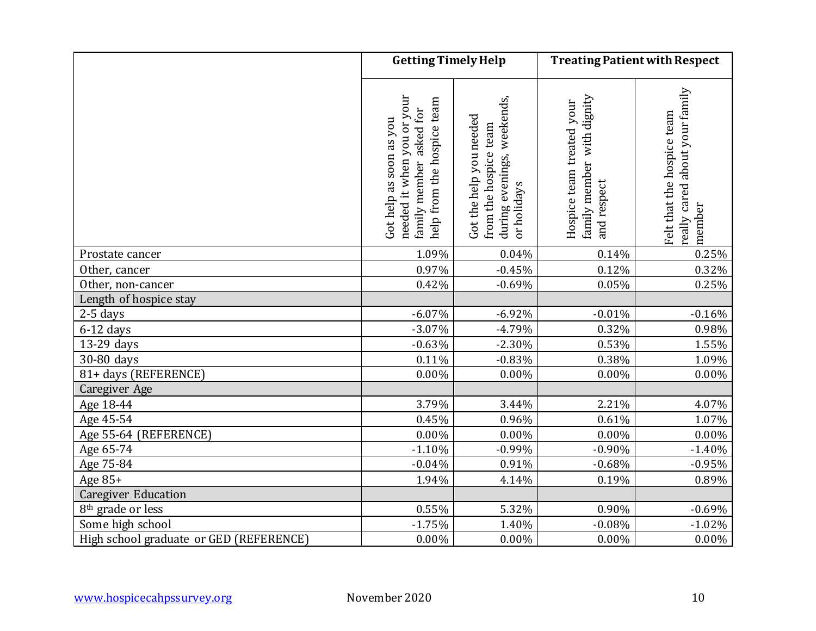|                                         | <b>Getting Timely Help</b>                                                                                        |                                                                                                  | <b>Treating Patient with Respect</b>                                   |                                                                         |  |
|-----------------------------------------|-------------------------------------------------------------------------------------------------------------------|--------------------------------------------------------------------------------------------------|------------------------------------------------------------------------|-------------------------------------------------------------------------|--|
|                                         | needed it when you or your<br>help from the hospice team<br>asked for<br>Got help as soon as you<br>family member | evenings, weekends,<br>Got the help you needed<br>from the hospice team<br>or holidays<br>during | family member with dignity<br>Hospice team treated your<br>and respect | really cared about your family.<br>Felt that the hospice team<br>member |  |
| Prostate cancer                         | 1.09%                                                                                                             | 0.04%                                                                                            | 0.14%                                                                  | 0.25%                                                                   |  |
| Other, cancer                           | 0.97%                                                                                                             | $-0.45%$                                                                                         | 0.12%                                                                  | 0.32%                                                                   |  |
| Other, non-cancer                       | 0.42%                                                                                                             | $-0.69%$                                                                                         | 0.05%                                                                  | 0.25%                                                                   |  |
| Length of hospice stay                  |                                                                                                                   |                                                                                                  |                                                                        |                                                                         |  |
| $2-5$ days                              | $-6.07\%$                                                                                                         | $-6.92%$                                                                                         | $-0.01%$                                                               | $-0.16%$                                                                |  |
| $6-12$ days                             | $-3.07%$                                                                                                          | $-4.79%$                                                                                         | 0.32%                                                                  | 0.98%                                                                   |  |
| 13-29 days                              | $-0.63%$                                                                                                          | $-2.30%$                                                                                         | 0.53%                                                                  | 1.55%                                                                   |  |
| 30-80 days                              | 0.11%                                                                                                             | $-0.83%$                                                                                         | 0.38%                                                                  | 1.09%                                                                   |  |
| 81+ days (REFERENCE)                    | 0.00%                                                                                                             | 0.00%                                                                                            | $0.00\%$                                                               | $0.00\%$                                                                |  |
| Caregiver Age                           |                                                                                                                   |                                                                                                  |                                                                        |                                                                         |  |
| Age 18-44                               | 3.79%                                                                                                             | 3.44%                                                                                            | 2.21%                                                                  | 4.07%                                                                   |  |
| Age 45-54                               | 0.45%                                                                                                             | 0.96%                                                                                            | 0.61%                                                                  | 1.07%                                                                   |  |
| Age 55-64 (REFERENCE)                   | $0.00\%$                                                                                                          | $0.00\%$                                                                                         | $0.00\%$                                                               | $0.00\%$                                                                |  |
| Age 65-74                               | $-1.10%$                                                                                                          | $-0.99%$                                                                                         | $-0.90%$                                                               | $-1.40%$                                                                |  |
| Age 75-84                               | $-0.04%$                                                                                                          | 0.91%                                                                                            | $-0.68%$                                                               | $-0.95%$                                                                |  |
| Age 85+                                 | 1.94%                                                                                                             | 4.14%                                                                                            | 0.19%                                                                  | 0.89%                                                                   |  |
| <b>Caregiver Education</b>              |                                                                                                                   |                                                                                                  |                                                                        |                                                                         |  |
| 8 <sup>th</sup> grade or less           | 0.55%                                                                                                             | 5.32%                                                                                            | 0.90%                                                                  | $-0.69%$                                                                |  |
| Some high school                        | $-1.75%$                                                                                                          | 1.40%                                                                                            | $-0.08%$                                                               | $-1.02%$                                                                |  |
| High school graduate or GED (REFERENCE) | 0.00%                                                                                                             | 0.00%                                                                                            | 0.00%                                                                  | $0.00\%$                                                                |  |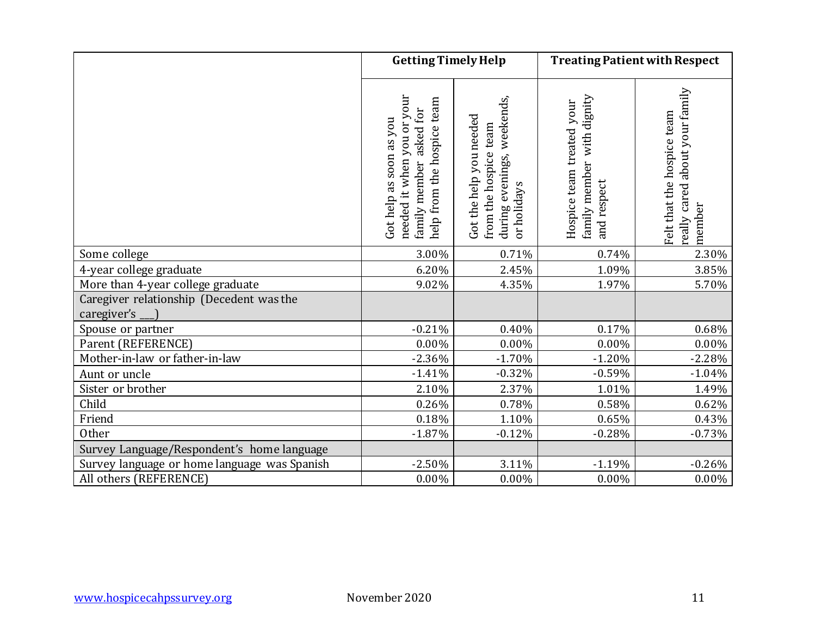|                                                         | <b>Getting Timely Help</b>                                                                                        |                                                                                                        | <b>Treating Patient with Respect</b>                                      |                                                                           |  |
|---------------------------------------------------------|-------------------------------------------------------------------------------------------------------------------|--------------------------------------------------------------------------------------------------------|---------------------------------------------------------------------------|---------------------------------------------------------------------------|--|
|                                                         | needed it when you or your<br>help from the hospice team<br>asked for<br>Got help as soon as you<br>family member | weekends,<br>Got the help you needed<br>team<br>from the hospice<br>evenings,<br>or holidays<br>during | family member with dignity<br>Hospice team treated your<br>respect<br>and | cared about your family<br>Felt that the hospice team<br>member<br>really |  |
| Some college                                            | 3.00%                                                                                                             | 0.71%                                                                                                  | 0.74%                                                                     | 2.30%                                                                     |  |
| 4-year college graduate                                 | 6.20%                                                                                                             | 2.45%                                                                                                  | 1.09%                                                                     | 3.85%                                                                     |  |
| More than 4-year college graduate                       | 9.02%                                                                                                             | 4.35%                                                                                                  | 1.97%                                                                     | 5.70%                                                                     |  |
| Caregiver relationship (Decedent was the<br>caregiver's |                                                                                                                   |                                                                                                        |                                                                           |                                                                           |  |
| Spouse or partner                                       | $-0.21%$                                                                                                          | 0.40%                                                                                                  | 0.17%                                                                     | 0.68%                                                                     |  |
| Parent (REFERENCE)                                      | 0.00%                                                                                                             | $0.00\%$                                                                                               | $0.00\%$                                                                  | $0.00\%$                                                                  |  |
| Mother-in-law or father-in-law                          | $-2.36%$                                                                                                          | $-1.70%$                                                                                               | $-1.20%$                                                                  | $-2.28%$                                                                  |  |
| Aunt or uncle                                           | $-1.41%$                                                                                                          | $-0.32%$                                                                                               | $-0.59%$                                                                  | $-1.04%$                                                                  |  |
| Sister or brother                                       | 2.10%                                                                                                             | 2.37%                                                                                                  | 1.01%                                                                     | 1.49%                                                                     |  |
| Child                                                   | 0.26%                                                                                                             | 0.78%                                                                                                  | 0.58%                                                                     | 0.62%                                                                     |  |
| Friend                                                  | 0.18%                                                                                                             | 1.10%                                                                                                  | 0.65%                                                                     | 0.43%                                                                     |  |
| Other                                                   | $-1.87%$                                                                                                          | $-0.12%$                                                                                               | $-0.28%$                                                                  | $-0.73%$                                                                  |  |
| Survey Language/Respondent's home language              |                                                                                                                   |                                                                                                        |                                                                           |                                                                           |  |
| Survey language or home language was Spanish            | $-2.50%$                                                                                                          | 3.11%                                                                                                  | $-1.19%$                                                                  | $-0.26%$                                                                  |  |
| All others (REFERENCE)                                  | 0.00%                                                                                                             | 0.00%                                                                                                  | $0.00\%$                                                                  | $0.00\%$                                                                  |  |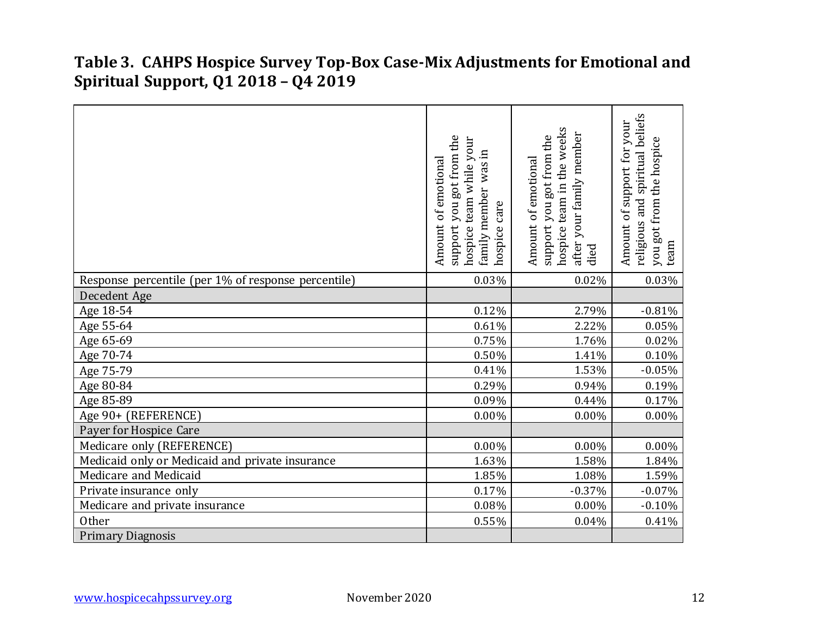#### **Table 3. CAHPS Hospice Survey Top-Box Case-Mix Adjustments for Emotional and Spiritual Support, Q1 2018 – Q4 2019**

|                                                     | got from the<br>hospice team while your<br>was in<br>of emotional<br>family member<br>hospice care<br>hon<br>Amount<br>support | team in the weeks<br>after your family member<br>support you got from the<br>Amount of emotional<br>hospice t<br>died | religious and spiritual beliefs<br>Amount of support for your<br>you got from the hospice<br>team |
|-----------------------------------------------------|--------------------------------------------------------------------------------------------------------------------------------|-----------------------------------------------------------------------------------------------------------------------|---------------------------------------------------------------------------------------------------|
| Response percentile (per 1% of response percentile) | 0.03%                                                                                                                          | 0.02%                                                                                                                 | 0.03%                                                                                             |
| Decedent Age                                        |                                                                                                                                |                                                                                                                       |                                                                                                   |
| Age 18-54                                           | 0.12%                                                                                                                          | 2.79%                                                                                                                 | $-0.81%$                                                                                          |
| Age 55-64                                           | 0.61%                                                                                                                          | 2.22%                                                                                                                 | $0.05\%$                                                                                          |
| Age 65-69                                           | 0.75%                                                                                                                          | 1.76%                                                                                                                 | 0.02%                                                                                             |
| Age 70-74                                           | 0.50%                                                                                                                          | 1.41%                                                                                                                 | 0.10%                                                                                             |
| Age 75-79                                           | 0.41%                                                                                                                          | 1.53%                                                                                                                 | $-0.05%$                                                                                          |
| Age 80-84                                           | 0.29%                                                                                                                          | 0.94%                                                                                                                 | 0.19%                                                                                             |
| Age 85-89                                           | 0.09%                                                                                                                          | 0.44%                                                                                                                 | 0.17%                                                                                             |
| Age 90+ (REFERENCE)                                 | 0.00%                                                                                                                          | 0.00%                                                                                                                 | 0.00%                                                                                             |
| Payer for Hospice Care                              |                                                                                                                                |                                                                                                                       |                                                                                                   |
| Medicare only (REFERENCE)                           | 0.00%                                                                                                                          | 0.00%                                                                                                                 | $0.00\%$                                                                                          |
| Medicaid only or Medicaid and private insurance     | 1.63%                                                                                                                          | 1.58%                                                                                                                 | 1.84%                                                                                             |
| Medicare and Medicaid                               | 1.85%                                                                                                                          | 1.08%                                                                                                                 | 1.59%                                                                                             |
| Private insurance only                              | 0.17%                                                                                                                          | $-0.37%$                                                                                                              | $-0.07%$                                                                                          |
| Medicare and private insurance                      | 0.08%                                                                                                                          | 0.00%                                                                                                                 | $-0.10%$                                                                                          |
| Other                                               | 0.55%                                                                                                                          | 0.04%                                                                                                                 | 0.41%                                                                                             |
| <b>Primary Diagnosis</b>                            |                                                                                                                                |                                                                                                                       |                                                                                                   |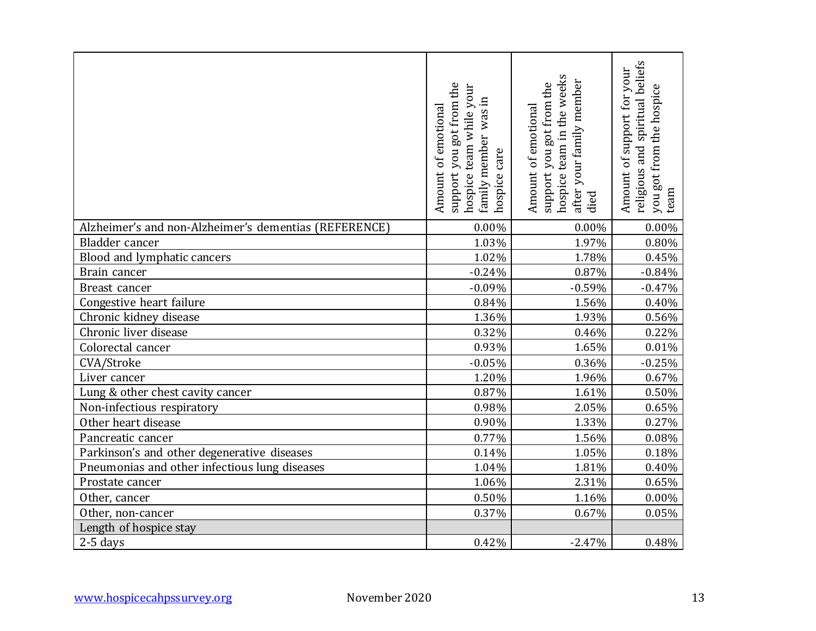|                                                       | support you got from the<br>hospice team while your<br>was in<br>Amount of emotional<br>family member<br>care<br>hospice | hospice team in the weeks<br>your family member<br>support you got from the<br>Amount of emotional<br>after<br>died | religious and spiritual beliefs<br>Amount of support for your<br>you got from the hospice<br>team |
|-------------------------------------------------------|--------------------------------------------------------------------------------------------------------------------------|---------------------------------------------------------------------------------------------------------------------|---------------------------------------------------------------------------------------------------|
| Alzheimer's and non-Alzheimer's dementias (REFERENCE) | 0.00%                                                                                                                    | 0.00%                                                                                                               | 0.00%                                                                                             |
| Bladder cancer                                        | 1.03%                                                                                                                    | 1.97%                                                                                                               | 0.80%                                                                                             |
| Blood and lymphatic cancers                           | 1.02%                                                                                                                    | 1.78%                                                                                                               | 0.45%                                                                                             |
| Brain cancer                                          | $-0.24%$                                                                                                                 | 0.87%                                                                                                               | $-0.84%$                                                                                          |
| Breast cancer                                         | $-0.09%$                                                                                                                 | $-0.59%$                                                                                                            | $-0.47%$                                                                                          |
| Congestive heart failure                              | 0.84%                                                                                                                    | 1.56%                                                                                                               | 0.40%                                                                                             |
| Chronic kidney disease                                | 1.36%                                                                                                                    | 1.93%                                                                                                               | 0.56%                                                                                             |
| Chronic liver disease                                 | 0.32%                                                                                                                    | 0.46%                                                                                                               | 0.22%                                                                                             |
| Colorectal cancer                                     | 0.93%                                                                                                                    | 1.65%                                                                                                               | 0.01%                                                                                             |
| CVA/Stroke                                            | $-0.05%$                                                                                                                 | 0.36%                                                                                                               | $-0.25%$                                                                                          |
| Liver cancer                                          | 1.20%                                                                                                                    | 1.96%                                                                                                               | 0.67%                                                                                             |
| Lung & other chest cavity cancer                      | 0.87%                                                                                                                    | 1.61%                                                                                                               | 0.50%                                                                                             |
| Non-infectious respiratory                            | 0.98%                                                                                                                    | 2.05%                                                                                                               | 0.65%                                                                                             |
| Other heart disease                                   | 0.90%                                                                                                                    | 1.33%                                                                                                               | 0.27%                                                                                             |
| Pancreatic cancer                                     | 0.77%                                                                                                                    | 1.56%                                                                                                               | 0.08%                                                                                             |
| Parkinson's and other degenerative diseases           | 0.14%                                                                                                                    | 1.05%                                                                                                               | 0.18%                                                                                             |
| Pneumonias and other infectious lung diseases         | 1.04%                                                                                                                    | 1.81%                                                                                                               | 0.40%                                                                                             |
| Prostate cancer                                       | 1.06%                                                                                                                    | 2.31%                                                                                                               | 0.65%                                                                                             |
| Other, cancer                                         | 0.50%                                                                                                                    | 1.16%                                                                                                               | 0.00%                                                                                             |
| Other, non-cancer                                     | $0.37\%$                                                                                                                 | 0.67%                                                                                                               | 0.05%                                                                                             |
| Length of hospice stay                                |                                                                                                                          |                                                                                                                     |                                                                                                   |
| $2-5$ days                                            | 0.42%                                                                                                                    | $-2.47%$                                                                                                            | 0.48%                                                                                             |
| November 2020<br>www.hospicecahpssurvey.org           |                                                                                                                          |                                                                                                                     | 13                                                                                                |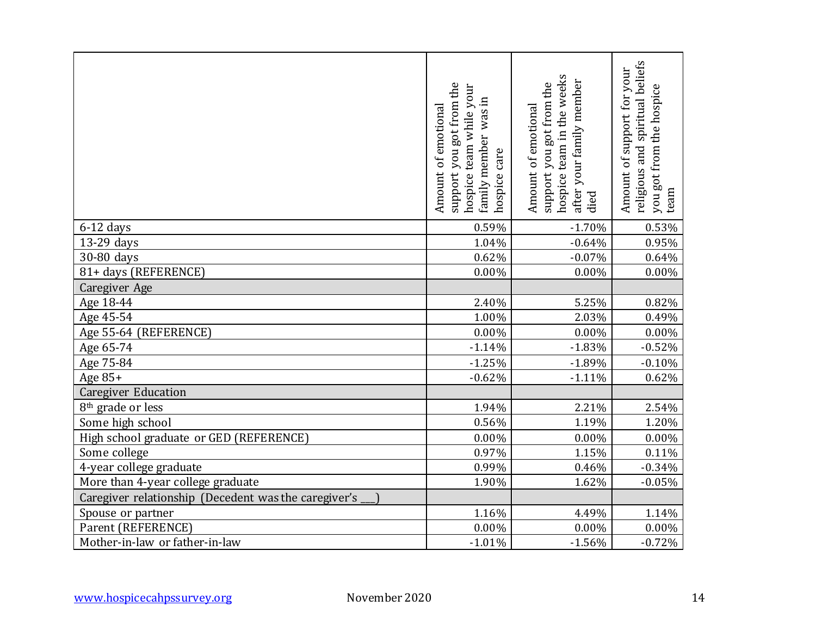|                                                      | support you got from the<br>Amount of emotional<br>hospice team while<br>family member<br>care<br>hospice | hospice team in the weeks<br>your family member<br>support you got from the<br>Amount of emotional<br>after<br>died | religious and spiritual beliefs<br>Amount of support for your<br>you got from the hospice<br>team |
|------------------------------------------------------|-----------------------------------------------------------------------------------------------------------|---------------------------------------------------------------------------------------------------------------------|---------------------------------------------------------------------------------------------------|
| $6-12$ days                                          | 0.59%                                                                                                     | $-1.70%$                                                                                                            | 0.53%                                                                                             |
| 13-29 days                                           | 1.04%                                                                                                     | $-0.64%$                                                                                                            | 0.95%                                                                                             |
| 30-80 days                                           | 0.62%                                                                                                     | $-0.07%$                                                                                                            | 0.64%                                                                                             |
| 81+ days (REFERENCE)                                 | 0.00%                                                                                                     | 0.00%                                                                                                               | 0.00%                                                                                             |
| Caregiver Age                                        |                                                                                                           |                                                                                                                     |                                                                                                   |
| Age 18-44                                            | 2.40%                                                                                                     | 5.25%                                                                                                               | 0.82%                                                                                             |
| Age 45-54                                            | 1.00%                                                                                                     | 2.03%                                                                                                               | 0.49%                                                                                             |
| Age 55-64 (REFERENCE)                                | 0.00%                                                                                                     | 0.00%                                                                                                               | 0.00%                                                                                             |
| Age 65-74                                            | $-1.14%$                                                                                                  | $-1.83%$                                                                                                            | $-0.52%$                                                                                          |
| Age 75-84                                            | $-1.25%$                                                                                                  | $-1.89%$                                                                                                            | $-0.10%$                                                                                          |
| Age 85+                                              | $-0.62%$                                                                                                  | $-1.11%$                                                                                                            | 0.62%                                                                                             |
| <b>Caregiver Education</b>                           |                                                                                                           |                                                                                                                     |                                                                                                   |
| 8 <sup>th</sup> grade or less                        | 1.94%                                                                                                     | 2.21%                                                                                                               | 2.54%                                                                                             |
| Some high school                                     | 0.56%                                                                                                     | 1.19%                                                                                                               | 1.20%                                                                                             |
| High school graduate or GED (REFERENCE)              | 0.00%                                                                                                     | 0.00%                                                                                                               | 0.00%                                                                                             |
| Some college                                         | 0.97%                                                                                                     | 1.15%                                                                                                               | 0.11%                                                                                             |
| 4-year college graduate                              | 0.99%                                                                                                     | 0.46%                                                                                                               | $-0.34%$                                                                                          |
| More than 4-year college graduate                    | 1.90%                                                                                                     | 1.62%                                                                                                               | $-0.05%$                                                                                          |
| Caregiver relationship (Decedent was the caregiver's |                                                                                                           |                                                                                                                     |                                                                                                   |
| Spouse or partner                                    | 1.16%                                                                                                     | 4.49%                                                                                                               | 1.14%                                                                                             |
| Parent (REFERENCE)                                   | 0.00%                                                                                                     | 0.00%                                                                                                               | $0.00\%$                                                                                          |
| Mother-in-law or father-in-law                       | $-1.01%$                                                                                                  | $-1.56%$                                                                                                            | $-0.72%$                                                                                          |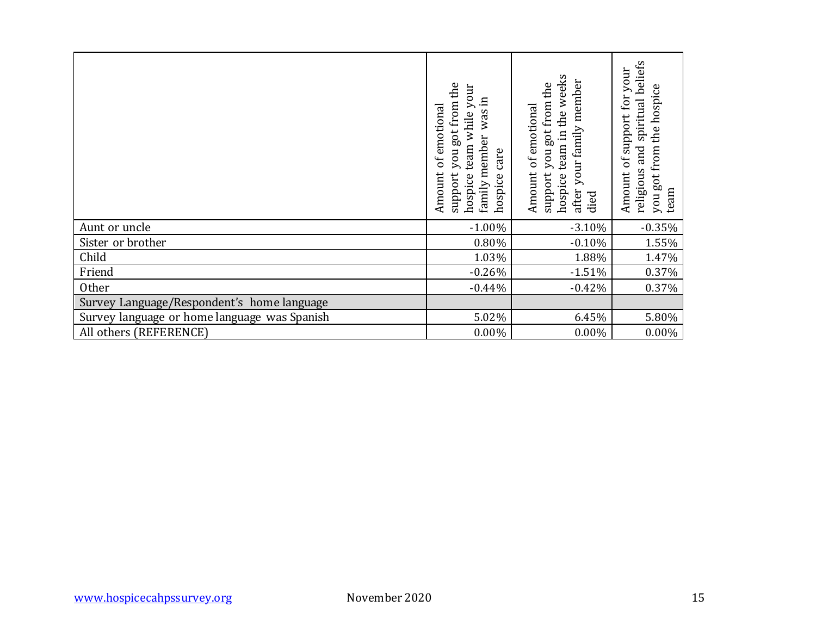|                                              |               | support you got from the<br>hospice team while your<br>family member was in<br>Amount of emotional<br>hospice care | hospice team in the weeks<br>after your family member<br>support you got from the<br>Amount of emotional<br>died | religious and spiritual beliefs<br>Amount of support for your<br>you got from the hospice<br>team |
|----------------------------------------------|---------------|--------------------------------------------------------------------------------------------------------------------|------------------------------------------------------------------------------------------------------------------|---------------------------------------------------------------------------------------------------|
| Aunt or uncle                                |               | $-1.00%$                                                                                                           | $-3.10%$                                                                                                         | $-0.35%$                                                                                          |
| Sister or brother                            |               | $0.80\%$                                                                                                           | $-0.10%$                                                                                                         | $1.55\%$                                                                                          |
| Child                                        |               | 1.03%                                                                                                              | 1.88%                                                                                                            | 1.47%                                                                                             |
| Friend                                       |               | $-0.26%$                                                                                                           | $-1.51%$                                                                                                         | 0.37%                                                                                             |
| Other                                        |               | $-0.44%$                                                                                                           | $-0.42%$                                                                                                         | 0.37%                                                                                             |
| Survey Language/Respondent's home language   |               |                                                                                                                    |                                                                                                                  |                                                                                                   |
| Survey language or home language was Spanish |               | 5.02%                                                                                                              | 6.45%                                                                                                            | 5.80%                                                                                             |
| All others (REFERENCE)                       |               | $0.00\%$                                                                                                           | 0.00%                                                                                                            | $0.00\%$                                                                                          |
|                                              |               |                                                                                                                    |                                                                                                                  |                                                                                                   |
| www.hospicecahpssurvey.org                   | November 2020 |                                                                                                                    |                                                                                                                  | 15                                                                                                |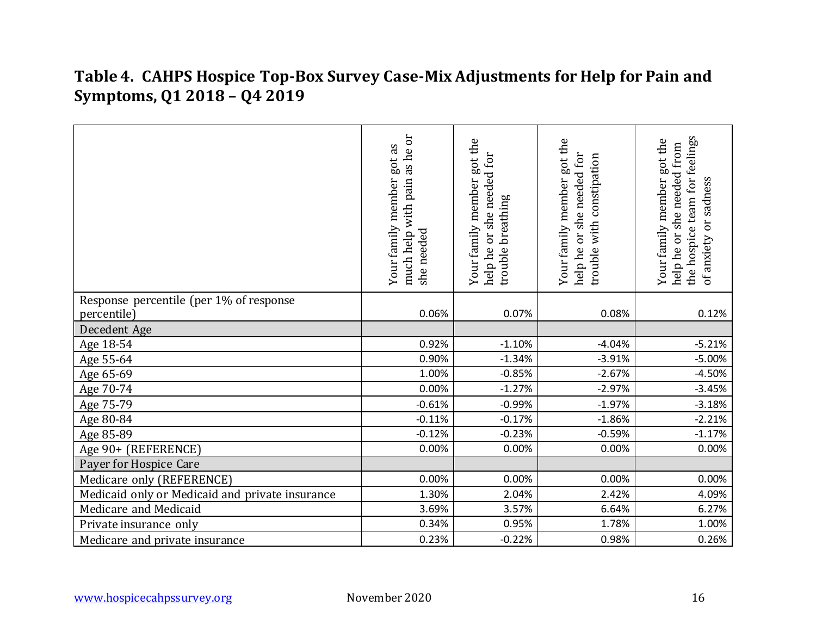# **Table 4. CAHPS Hospice Top-Box Survey Case-Mix Adjustments for Help for Pain and Symptoms, Q1 2018 – Q4 2019**

|                                                        | as he or<br>got as<br>much help with pain<br>Your family member<br>she needed | got the<br>help he or she needed for<br>Your family member<br>trouble breathing | Your family member got the<br>help he or she needed for<br>trouble with constipation | for feelings<br>got the<br>help he or she needed from<br>Your family member<br>or sadness<br>the hospice team<br>of anxiety |
|--------------------------------------------------------|-------------------------------------------------------------------------------|---------------------------------------------------------------------------------|--------------------------------------------------------------------------------------|-----------------------------------------------------------------------------------------------------------------------------|
| Response percentile (per 1% of response<br>percentile) | 0.06%                                                                         | 0.07%                                                                           | 0.08%                                                                                | 0.12%                                                                                                                       |
| Decedent Age                                           |                                                                               |                                                                                 |                                                                                      |                                                                                                                             |
| Age 18-54                                              | 0.92%                                                                         | $-1.10%$                                                                        | $-4.04%$                                                                             | $-5.21%$                                                                                                                    |
| Age 55-64                                              | 0.90%                                                                         | $-1.34%$                                                                        | $-3.91%$                                                                             | $-5.00%$                                                                                                                    |
| Age 65-69                                              | 1.00%                                                                         | $-0.85%$                                                                        | $-2.67%$                                                                             | $-4.50%$                                                                                                                    |
| Age 70-74                                              | 0.00%                                                                         | $-1.27%$                                                                        | $-2.97%$                                                                             | $-3.45%$                                                                                                                    |
| Age 75-79                                              | $-0.61%$                                                                      | $-0.99%$                                                                        | $-1.97%$                                                                             | $-3.18%$                                                                                                                    |
| Age 80-84                                              | $-0.11%$                                                                      | $-0.17%$                                                                        | $-1.86%$                                                                             | $-2.21%$                                                                                                                    |
| Age 85-89                                              | $-0.12%$                                                                      | $-0.23%$                                                                        | $-0.59%$                                                                             | $-1.17%$                                                                                                                    |
| Age 90+ (REFERENCE)                                    | 0.00%                                                                         | 0.00%                                                                           | 0.00%                                                                                | 0.00%                                                                                                                       |
| Payer for Hospice Care                                 |                                                                               |                                                                                 |                                                                                      |                                                                                                                             |
| Medicare only (REFERENCE)                              | 0.00%                                                                         | 0.00%                                                                           | 0.00%                                                                                | 0.00%                                                                                                                       |
| Medicaid only or Medicaid and private insurance        | 1.30%                                                                         | 2.04%                                                                           | 2.42%                                                                                | 4.09%                                                                                                                       |
| Medicare and Medicaid                                  | 3.69%                                                                         | 3.57%                                                                           | 6.64%                                                                                | 6.27%                                                                                                                       |
| Private insurance only                                 | 0.34%                                                                         | 0.95%                                                                           | 1.78%                                                                                | 1.00%                                                                                                                       |
| Medicare and private insurance                         | 0.23%                                                                         | $-0.22%$                                                                        | 0.98%                                                                                | 0.26%                                                                                                                       |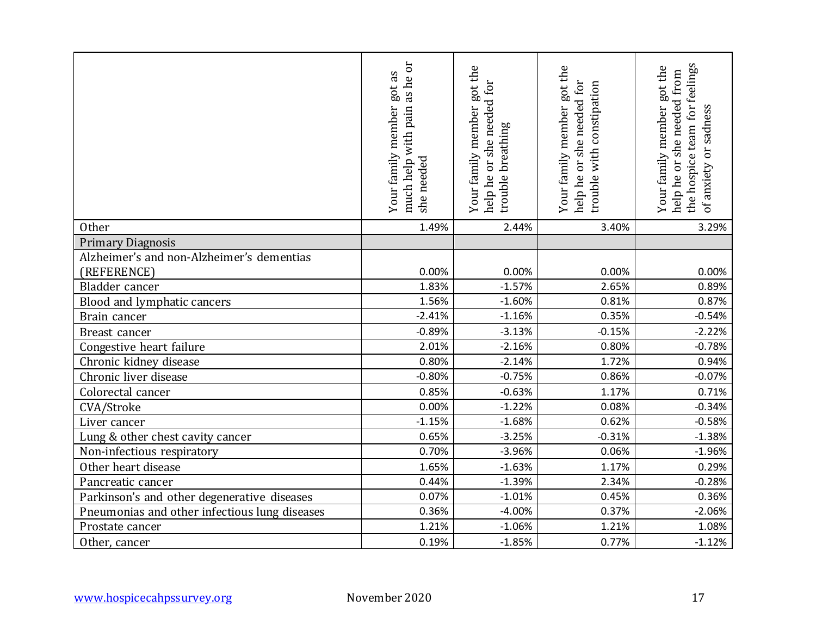|                                               | as he or<br>got as<br>Your family member<br>with pain<br>much help<br>needed<br>she | got the<br>help he or she needed for<br>Your family member<br>trouble breathing | Your family member got the<br>help he or she needed for<br>trouble with constipation | team for feelings<br>Your family member got the<br>help he or she needed from<br>or sadness<br>the hospice<br>of anxiety |
|-----------------------------------------------|-------------------------------------------------------------------------------------|---------------------------------------------------------------------------------|--------------------------------------------------------------------------------------|--------------------------------------------------------------------------------------------------------------------------|
| Other                                         | 1.49%                                                                               | 2.44%                                                                           | 3.40%                                                                                | 3.29%                                                                                                                    |
| <b>Primary Diagnosis</b>                      |                                                                                     |                                                                                 |                                                                                      |                                                                                                                          |
| Alzheimer's and non-Alzheimer's dementias     |                                                                                     |                                                                                 |                                                                                      |                                                                                                                          |
| (REFERENCE)                                   | 0.00%                                                                               | 0.00%                                                                           | 0.00%                                                                                | 0.00%                                                                                                                    |
| Bladder cancer                                | 1.83%                                                                               | $-1.57%$                                                                        | 2.65%                                                                                | 0.89%                                                                                                                    |
| Blood and lymphatic cancers                   | 1.56%                                                                               | $-1.60%$                                                                        | 0.81%                                                                                | 0.87%                                                                                                                    |
| Brain cancer                                  | $-2.41%$                                                                            | $-1.16%$                                                                        | 0.35%                                                                                | $-0.54%$                                                                                                                 |
| Breast cancer                                 | $-0.89%$                                                                            | $-3.13%$                                                                        | $-0.15%$                                                                             | $-2.22%$                                                                                                                 |
| Congestive heart failure                      | 2.01%                                                                               | $-2.16%$                                                                        | 0.80%                                                                                | $-0.78%$                                                                                                                 |
| Chronic kidney disease                        | 0.80%                                                                               | $-2.14%$                                                                        | 1.72%                                                                                | 0.94%                                                                                                                    |
| Chronic liver disease                         | $-0.80%$                                                                            | $-0.75%$                                                                        | 0.86%                                                                                | $-0.07%$                                                                                                                 |
| Colorectal cancer                             | 0.85%                                                                               | $-0.63%$                                                                        | 1.17%                                                                                | 0.71%                                                                                                                    |
| CVA/Stroke                                    | 0.00%                                                                               | $-1.22%$                                                                        | 0.08%                                                                                | $-0.34%$                                                                                                                 |
| Liver cancer                                  | $-1.15%$                                                                            | $-1.68%$                                                                        | 0.62%                                                                                | $-0.58%$                                                                                                                 |
| Lung & other chest cavity cancer              | 0.65%                                                                               | $-3.25%$                                                                        | $-0.31%$                                                                             | $-1.38%$                                                                                                                 |
| Non-infectious respiratory                    | 0.70%                                                                               | $-3.96%$                                                                        | 0.06%                                                                                | $-1.96%$                                                                                                                 |
| Other heart disease                           | 1.65%                                                                               | $-1.63%$                                                                        | 1.17%                                                                                | 0.29%                                                                                                                    |
| Pancreatic cancer                             | 0.44%                                                                               | $-1.39%$                                                                        | 2.34%                                                                                | $-0.28%$                                                                                                                 |
| Parkinson's and other degenerative diseases   | 0.07%                                                                               | $-1.01%$                                                                        | 0.45%                                                                                | 0.36%                                                                                                                    |
| Pneumonias and other infectious lung diseases | 0.36%                                                                               | $-4.00%$                                                                        | 0.37%                                                                                | $-2.06%$                                                                                                                 |
| Prostate cancer                               | 1.21%                                                                               | $-1.06%$                                                                        | 1.21%                                                                                | 1.08%                                                                                                                    |
| Other, cancer                                 | 0.19%                                                                               | $-1.85%$                                                                        | 0.77%                                                                                | $-1.12%$                                                                                                                 |
| www.hospicecahpssurvey.org                    | November 2020                                                                       |                                                                                 |                                                                                      | 17                                                                                                                       |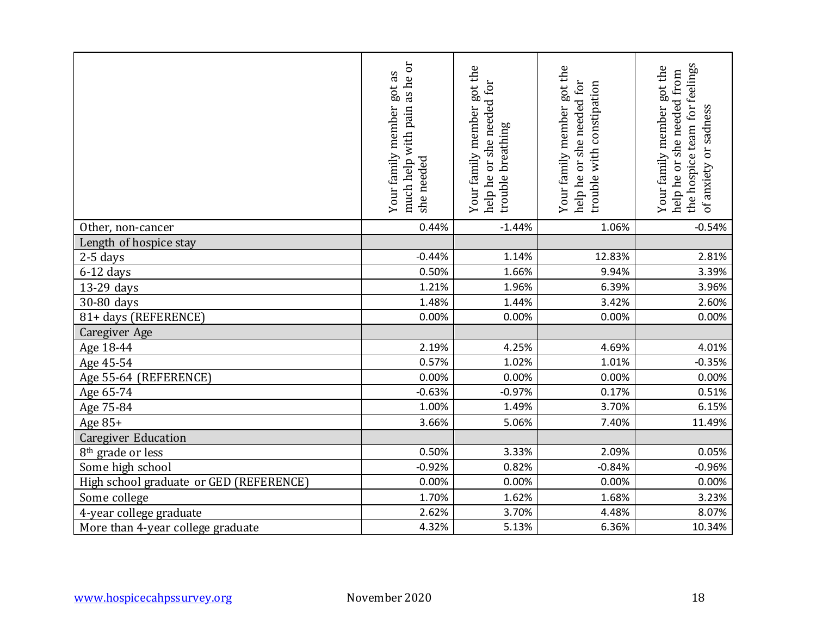|                                         | as he or<br>got as<br>with pain<br>Your family member<br>much help<br>needed<br>she | Your family member got the<br>help he or she needed for<br>trouble breathing | Your family member got the<br>help he or she needed for<br>with constipation<br>trouble | team for feelings<br>Your family member got the<br>help he or she needed from<br>or sadness<br>the hospice<br>of anxiety |
|-----------------------------------------|-------------------------------------------------------------------------------------|------------------------------------------------------------------------------|-----------------------------------------------------------------------------------------|--------------------------------------------------------------------------------------------------------------------------|
| Other, non-cancer                       | 0.44%                                                                               | $-1.44%$                                                                     | 1.06%                                                                                   | $-0.54%$                                                                                                                 |
| Length of hospice stay                  |                                                                                     |                                                                              |                                                                                         |                                                                                                                          |
| 2-5 days                                | $-0.44%$                                                                            | 1.14%                                                                        | 12.83%                                                                                  | 2.81%                                                                                                                    |
| $6-12$ days                             | 0.50%                                                                               | 1.66%                                                                        | 9.94%                                                                                   | 3.39%                                                                                                                    |
| 13-29 days                              | 1.21%                                                                               | 1.96%                                                                        | 6.39%                                                                                   | 3.96%                                                                                                                    |
| 30-80 days                              | 1.48%                                                                               | 1.44%                                                                        | 3.42%                                                                                   | 2.60%                                                                                                                    |
| 81+ days (REFERENCE)                    | 0.00%                                                                               | 0.00%                                                                        | 0.00%                                                                                   | 0.00%                                                                                                                    |
| <b>Caregiver Age</b>                    |                                                                                     |                                                                              |                                                                                         |                                                                                                                          |
| Age 18-44                               | 2.19%                                                                               | 4.25%                                                                        | 4.69%                                                                                   | 4.01%                                                                                                                    |
| Age 45-54                               | 0.57%                                                                               | 1.02%                                                                        | 1.01%                                                                                   | $-0.35%$                                                                                                                 |
| Age 55-64 (REFERENCE)                   | 0.00%                                                                               | 0.00%                                                                        | 0.00%                                                                                   | 0.00%                                                                                                                    |
| Age 65-74                               | $-0.63%$                                                                            | $-0.97%$                                                                     | 0.17%                                                                                   | 0.51%                                                                                                                    |
| Age 75-84                               | 1.00%                                                                               | 1.49%                                                                        | 3.70%                                                                                   | 6.15%                                                                                                                    |
| Age 85+                                 | 3.66%                                                                               | 5.06%                                                                        | 7.40%                                                                                   | 11.49%                                                                                                                   |
| <b>Caregiver Education</b>              |                                                                                     |                                                                              |                                                                                         |                                                                                                                          |
| 8 <sup>th</sup> grade or less           | 0.50%                                                                               | 3.33%                                                                        | 2.09%                                                                                   | 0.05%                                                                                                                    |
| Some high school                        | $-0.92%$                                                                            | 0.82%                                                                        | $-0.84%$                                                                                | $-0.96%$                                                                                                                 |
| High school graduate or GED (REFERENCE) | 0.00%                                                                               | 0.00%                                                                        | 0.00%                                                                                   | 0.00%                                                                                                                    |
| Some college                            | 1.70%                                                                               | 1.62%                                                                        | 1.68%                                                                                   | 3.23%                                                                                                                    |
| 4-year college graduate                 | 2.62%                                                                               | 3.70%                                                                        | 4.48%                                                                                   | 8.07%                                                                                                                    |
| More than 4-year college graduate       | 4.32%                                                                               | 5.13%                                                                        | 6.36%                                                                                   | 10.34%                                                                                                                   |
| www.hospicecahpssurvey.org              | November 2020                                                                       |                                                                              |                                                                                         | 18                                                                                                                       |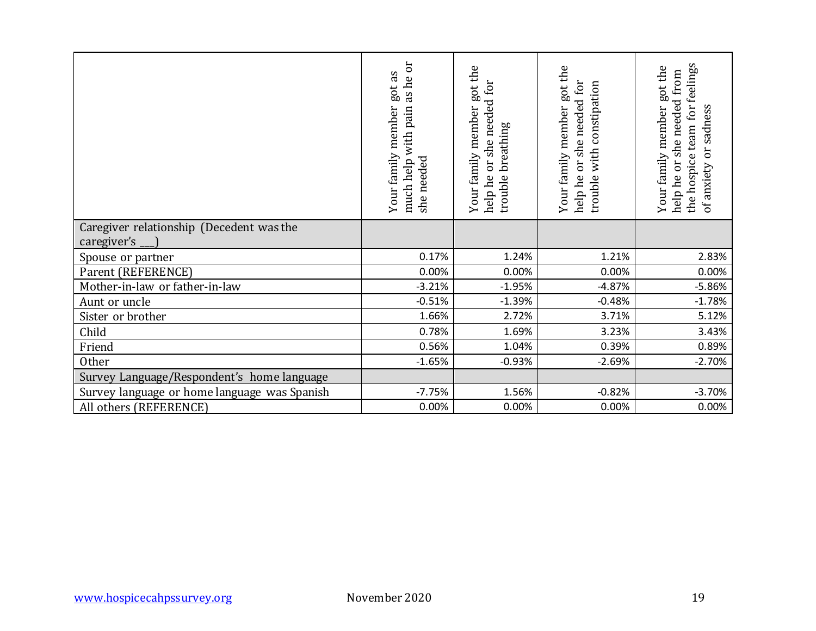|                                                         | much help with pain as he or<br>Your family member got as<br>she needed | Your family member got the<br>help he or she needed for<br>trouble breathing | Your family member got the<br>help he or she needed for<br>trouble with constipation | the hospice team for feelings<br>Your family member got the<br>help he or she needed from<br>or sadness<br>of anxiety |
|---------------------------------------------------------|-------------------------------------------------------------------------|------------------------------------------------------------------------------|--------------------------------------------------------------------------------------|-----------------------------------------------------------------------------------------------------------------------|
| Caregiver relationship (Decedent was the<br>caregiver's |                                                                         |                                                                              |                                                                                      |                                                                                                                       |
| Spouse or partner                                       | 0.17%                                                                   | 1.24%                                                                        | 1.21%                                                                                | 2.83%                                                                                                                 |
| Parent (REFERENCE)                                      | 0.00%                                                                   | 0.00%                                                                        | 0.00%                                                                                | 0.00%                                                                                                                 |
| Mother-in-law or father-in-law                          | $-3.21%$                                                                | $-1.95%$                                                                     | $-4.87%$                                                                             | $-5.86%$                                                                                                              |
| Aunt or uncle                                           | $-0.51%$                                                                | $-1.39%$                                                                     | $-0.48%$                                                                             | $-1.78%$                                                                                                              |
| Sister or brother                                       | 1.66%                                                                   | 2.72%                                                                        | 3.71%                                                                                | 5.12%                                                                                                                 |
| Child                                                   | 0.78%                                                                   | 1.69%                                                                        | 3.23%                                                                                | 3.43%                                                                                                                 |
| Friend                                                  | 0.56%                                                                   | 1.04%                                                                        | 0.39%                                                                                | 0.89%                                                                                                                 |
| Other                                                   | $-1.65%$                                                                | $-0.93%$                                                                     | $-2.69%$                                                                             | $-2.70%$                                                                                                              |
| Survey Language/Respondent's home language              |                                                                         |                                                                              |                                                                                      |                                                                                                                       |
| Survey language or home language was Spanish            | $-7.75%$                                                                | 1.56%                                                                        | $-0.82%$                                                                             | $-3.70%$                                                                                                              |
| All others (REFERENCE)                                  | 0.00%                                                                   | 0.00%                                                                        | 0.00%                                                                                | 0.00%                                                                                                                 |
|                                                         |                                                                         |                                                                              |                                                                                      |                                                                                                                       |
| www.hospicecahpssurvey.org                              | November 2020                                                           |                                                                              |                                                                                      | 19                                                                                                                    |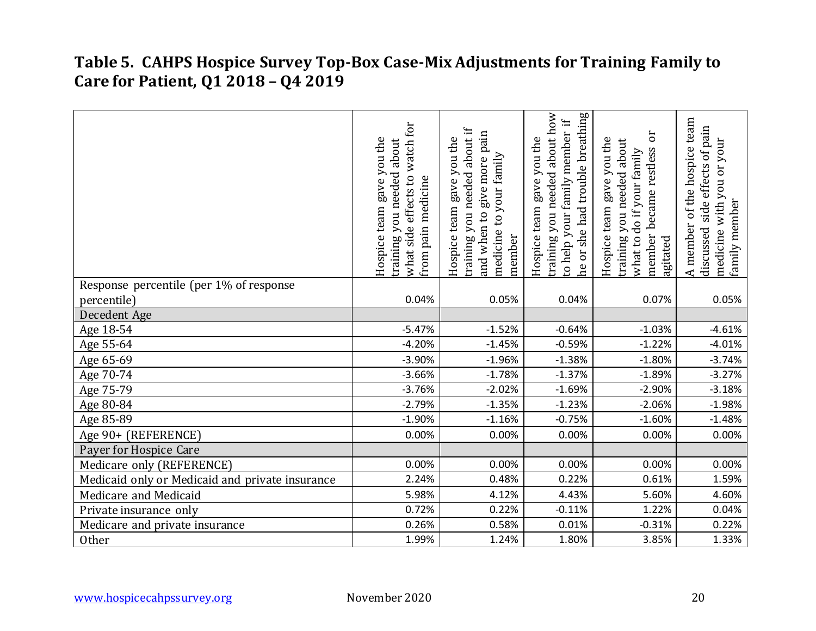#### **Table 5. CAHPS Hospice Survey Top-Box Case-Mix Adjustments for Training Family to Care for Patient, Q1 2018 – Q4 2019**

|                                                 | what side effects to watch for<br>Hospice team gave you the<br>about<br>training you needed<br>from pain medicine | about if<br>pain<br>Hospice team gave you the<br>medicine to your family<br>and when to give more<br>training you needed<br>member | or she had trouble breathing<br>about how<br>$\ddot{H}$<br>your family member<br>Hospice team gave you the<br>training you needed<br>to help<br>eq | ör<br>Hospice team gave you the<br>about<br>became restless<br>what to do if your family<br>training you needed<br>member<br>agitated | A member of the hospice team<br>side effects of pain<br>you or your<br>with<br>family member<br>discussed<br>medicine |
|-------------------------------------------------|-------------------------------------------------------------------------------------------------------------------|------------------------------------------------------------------------------------------------------------------------------------|----------------------------------------------------------------------------------------------------------------------------------------------------|---------------------------------------------------------------------------------------------------------------------------------------|-----------------------------------------------------------------------------------------------------------------------|
| Response percentile (per 1% of response         |                                                                                                                   |                                                                                                                                    |                                                                                                                                                    |                                                                                                                                       |                                                                                                                       |
| percentile)                                     | 0.04%                                                                                                             | 0.05%                                                                                                                              | 0.04%                                                                                                                                              | 0.07%                                                                                                                                 | 0.05%                                                                                                                 |
| Decedent Age                                    |                                                                                                                   |                                                                                                                                    |                                                                                                                                                    |                                                                                                                                       |                                                                                                                       |
| Age 18-54                                       | $-5.47%$                                                                                                          | $-1.52%$                                                                                                                           | $-0.64%$                                                                                                                                           | $-1.03%$                                                                                                                              | $-4.61%$                                                                                                              |
| Age 55-64                                       | $-4.20%$                                                                                                          | $-1.45%$                                                                                                                           | $-0.59%$                                                                                                                                           | $-1.22%$                                                                                                                              | $-4.01%$                                                                                                              |
| Age 65-69                                       | $-3.90%$                                                                                                          | $-1.96%$                                                                                                                           | $-1.38%$                                                                                                                                           | $-1.80%$                                                                                                                              | $-3.74%$                                                                                                              |
| Age 70-74                                       | $-3.66%$                                                                                                          | $-1.78%$                                                                                                                           | $-1.37%$                                                                                                                                           | $-1.89%$                                                                                                                              | $-3.27%$                                                                                                              |
| Age 75-79                                       | $-3.76%$                                                                                                          | $-2.02%$                                                                                                                           | $-1.69%$                                                                                                                                           | $-2.90%$                                                                                                                              | $-3.18%$                                                                                                              |
| Age 80-84                                       | $-2.79%$                                                                                                          | $-1.35%$                                                                                                                           | $-1.23%$                                                                                                                                           | $-2.06%$                                                                                                                              | $-1.98%$                                                                                                              |
| Age 85-89                                       | $-1.90%$                                                                                                          | $-1.16%$                                                                                                                           | $-0.75%$                                                                                                                                           | $-1.60%$                                                                                                                              | $-1.48%$                                                                                                              |
| Age 90+ (REFERENCE)                             | 0.00%                                                                                                             | 0.00%                                                                                                                              | 0.00%                                                                                                                                              | 0.00%                                                                                                                                 | 0.00%                                                                                                                 |
| Payer for Hospice Care                          |                                                                                                                   |                                                                                                                                    |                                                                                                                                                    |                                                                                                                                       |                                                                                                                       |
| Medicare only (REFERENCE)                       | 0.00%                                                                                                             | 0.00%                                                                                                                              | 0.00%                                                                                                                                              | 0.00%                                                                                                                                 | 0.00%                                                                                                                 |
| Medicaid only or Medicaid and private insurance | 2.24%                                                                                                             | 0.48%                                                                                                                              | 0.22%                                                                                                                                              | 0.61%                                                                                                                                 | 1.59%                                                                                                                 |
| Medicare and Medicaid                           | 5.98%                                                                                                             | 4.12%                                                                                                                              | 4.43%                                                                                                                                              | 5.60%                                                                                                                                 | 4.60%                                                                                                                 |
| Private insurance only                          | 0.72%                                                                                                             | 0.22%                                                                                                                              | $-0.11%$                                                                                                                                           | 1.22%                                                                                                                                 | 0.04%                                                                                                                 |
| Medicare and private insurance                  | 0.26%                                                                                                             | 0.58%                                                                                                                              | 0.01%                                                                                                                                              | $-0.31%$                                                                                                                              | 0.22%                                                                                                                 |
| Other                                           | 1.99%                                                                                                             | 1.24%                                                                                                                              | 1.80%                                                                                                                                              | 3.85%                                                                                                                                 | 1.33%                                                                                                                 |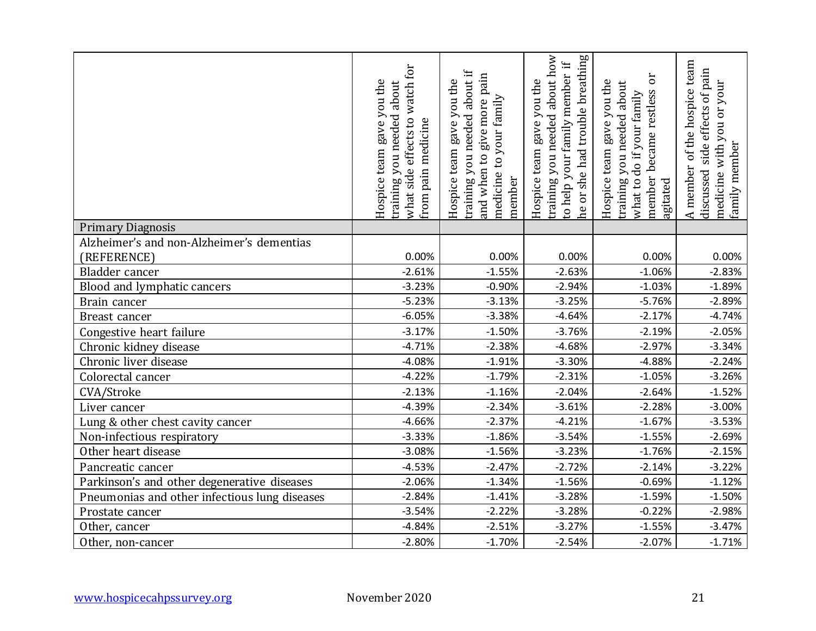|                                               | for<br>gave you the<br>about<br>watch<br>you needed<br>what side effects to<br>from pain medicine<br>Hospice team<br>training | ≔<br>pain<br>about i<br>Hospice team gave you the<br>to your family<br>and when to give more<br>training you needed<br>medicine<br>member | about how<br>or she had trouble breathing<br>H.<br>member<br>gave you the<br>training you needed<br>your family<br>Hospice team<br>to help<br>he | ð<br>Hospice team gave you the<br>about<br>member became restless<br>what to do if your family<br>training you needed<br>agitated | of the hospice team<br>side effects of pain<br>you or your<br>family member<br>with<br>A member<br>discussed<br>medicine |
|-----------------------------------------------|-------------------------------------------------------------------------------------------------------------------------------|-------------------------------------------------------------------------------------------------------------------------------------------|--------------------------------------------------------------------------------------------------------------------------------------------------|-----------------------------------------------------------------------------------------------------------------------------------|--------------------------------------------------------------------------------------------------------------------------|
| <b>Primary Diagnosis</b>                      |                                                                                                                               |                                                                                                                                           |                                                                                                                                                  |                                                                                                                                   |                                                                                                                          |
| Alzheimer's and non-Alzheimer's dementias     |                                                                                                                               |                                                                                                                                           |                                                                                                                                                  |                                                                                                                                   |                                                                                                                          |
| (REFERENCE)                                   | 0.00%                                                                                                                         | 0.00%                                                                                                                                     | 0.00%                                                                                                                                            | 0.00%                                                                                                                             | 0.00%                                                                                                                    |
| Bladder cancer                                | $-2.61%$                                                                                                                      | $-1.55%$                                                                                                                                  | $-2.63%$                                                                                                                                         | $-1.06%$                                                                                                                          | $-2.83%$                                                                                                                 |
| Blood and lymphatic cancers                   | $-3.23%$                                                                                                                      | $-0.90%$                                                                                                                                  | $-2.94%$                                                                                                                                         | $-1.03%$                                                                                                                          | $-1.89%$                                                                                                                 |
| Brain cancer                                  | $-5.23%$                                                                                                                      | $-3.13%$                                                                                                                                  | $-3.25%$                                                                                                                                         | $-5.76%$                                                                                                                          | $-2.89%$                                                                                                                 |
| Breast cancer                                 | $-6.05%$                                                                                                                      | $-3.38%$                                                                                                                                  | $-4.64%$                                                                                                                                         | $-2.17%$                                                                                                                          | $-4.74%$                                                                                                                 |
| Congestive heart failure                      | $-3.17%$                                                                                                                      | $-1.50%$                                                                                                                                  | $-3.76%$                                                                                                                                         | $-2.19%$                                                                                                                          | $-2.05%$                                                                                                                 |
| Chronic kidney disease                        | $-4.71%$                                                                                                                      | $-2.38%$                                                                                                                                  | $-4.68%$                                                                                                                                         | $-2.97%$                                                                                                                          | $-3.34%$                                                                                                                 |
| Chronic liver disease                         | $-4.08%$                                                                                                                      | $-1.91%$                                                                                                                                  | $-3.30%$                                                                                                                                         | $-4.88%$                                                                                                                          | $-2.24%$                                                                                                                 |
| Colorectal cancer                             | $-4.22%$                                                                                                                      | $-1.79%$                                                                                                                                  | $-2.31%$                                                                                                                                         | $-1.05%$                                                                                                                          | $-3.26%$                                                                                                                 |
| CVA/Stroke                                    | $-2.13%$                                                                                                                      | $-1.16%$                                                                                                                                  | $-2.04%$                                                                                                                                         | $-2.64%$                                                                                                                          | $-1.52%$                                                                                                                 |
| Liver cancer                                  | $-4.39%$                                                                                                                      | $-2.34%$                                                                                                                                  | $-3.61%$                                                                                                                                         | $-2.28%$                                                                                                                          | $-3.00%$                                                                                                                 |
| Lung & other chest cavity cancer              | $-4.66%$                                                                                                                      | $-2.37%$                                                                                                                                  | $-4.21%$                                                                                                                                         | $-1.67%$                                                                                                                          | $-3.53%$                                                                                                                 |
| Non-infectious respiratory                    | $-3.33%$                                                                                                                      | $-1.86%$                                                                                                                                  | $-3.54%$                                                                                                                                         | $-1.55%$                                                                                                                          | $-2.69%$                                                                                                                 |
| Other heart disease                           | $-3.08%$                                                                                                                      | $-1.56%$                                                                                                                                  | $-3.23%$                                                                                                                                         | $-1.76%$                                                                                                                          | $-2.15%$                                                                                                                 |
| Pancreatic cancer                             | $-4.53%$                                                                                                                      | $-2.47%$                                                                                                                                  | $-2.72%$                                                                                                                                         | $-2.14%$                                                                                                                          | $-3.22%$                                                                                                                 |
| Parkinson's and other degenerative diseases   | $-2.06%$                                                                                                                      | $-1.34%$                                                                                                                                  | $-1.56%$                                                                                                                                         | $-0.69%$                                                                                                                          | $-1.12%$                                                                                                                 |
| Pneumonias and other infectious lung diseases | $-2.84%$                                                                                                                      | $-1.41%$                                                                                                                                  | $-3.28%$                                                                                                                                         | $-1.59%$                                                                                                                          | $-1.50%$                                                                                                                 |
| Prostate cancer                               | $-3.54%$                                                                                                                      | $-2.22%$                                                                                                                                  | $-3.28%$                                                                                                                                         | $-0.22%$                                                                                                                          | $-2.98%$                                                                                                                 |
| Other, cancer                                 | $-4.84%$                                                                                                                      | $-2.51%$                                                                                                                                  | $-3.27%$                                                                                                                                         | $-1.55%$                                                                                                                          | $-3.47%$                                                                                                                 |
| Other, non-cancer                             | $-2.80%$                                                                                                                      | $-1.70%$                                                                                                                                  | $-2.54%$                                                                                                                                         | $-2.07%$                                                                                                                          | $-1.71%$                                                                                                                 |
| www.hospicecahpssurvey.org                    | November 2020                                                                                                                 |                                                                                                                                           |                                                                                                                                                  |                                                                                                                                   | 21                                                                                                                       |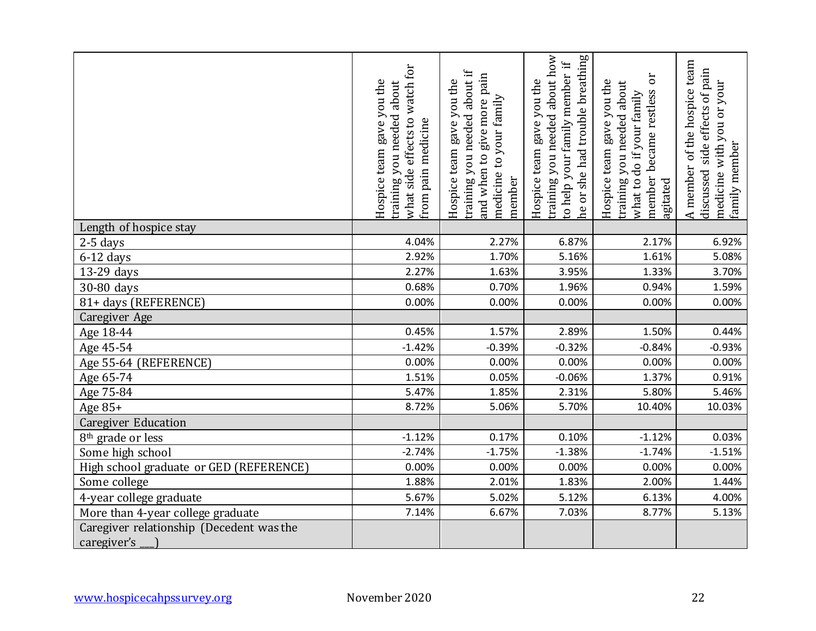|                                          | what side effects to watch for<br>Hospice team gave you the<br>about<br>you needed<br>from pain medicine<br>training | about if<br>and when to give more pain<br>Hospice team gave you the<br>to your family<br>training you needed<br>medicine<br>member | about how<br>he or she had trouble breathing<br>$\ddot{H}$<br>to help your family member<br>Hospice team gave you the<br>training you needed | ð<br>Hospice team gave you the<br>about<br>member became restless<br>what to do if your family<br>training you needed<br>lagitated | of the hospice team<br>side effects of pain<br>you or your<br>family member<br>with<br>A member<br>discussed<br>medicine |
|------------------------------------------|----------------------------------------------------------------------------------------------------------------------|------------------------------------------------------------------------------------------------------------------------------------|----------------------------------------------------------------------------------------------------------------------------------------------|------------------------------------------------------------------------------------------------------------------------------------|--------------------------------------------------------------------------------------------------------------------------|
| Length of hospice stay                   |                                                                                                                      |                                                                                                                                    |                                                                                                                                              |                                                                                                                                    |                                                                                                                          |
| $2-5$ days                               | 4.04%                                                                                                                | 2.27%                                                                                                                              | 6.87%                                                                                                                                        | 2.17%                                                                                                                              | 6.92%                                                                                                                    |
| $6-12$ days                              | 2.92%                                                                                                                | 1.70%                                                                                                                              | 5.16%                                                                                                                                        | 1.61%                                                                                                                              | 5.08%                                                                                                                    |
| 13-29 days                               | 2.27%                                                                                                                | 1.63%                                                                                                                              | 3.95%                                                                                                                                        | 1.33%                                                                                                                              | 3.70%                                                                                                                    |
| 30-80 days                               | 0.68%                                                                                                                | 0.70%                                                                                                                              | 1.96%                                                                                                                                        | 0.94%                                                                                                                              | 1.59%                                                                                                                    |
| 81+ days (REFERENCE)                     | 0.00%                                                                                                                | 0.00%                                                                                                                              | 0.00%                                                                                                                                        | 0.00%                                                                                                                              | 0.00%                                                                                                                    |
| Caregiver Age                            |                                                                                                                      |                                                                                                                                    |                                                                                                                                              |                                                                                                                                    |                                                                                                                          |
| Age 18-44                                | 0.45%                                                                                                                | 1.57%                                                                                                                              | 2.89%                                                                                                                                        | 1.50%                                                                                                                              | 0.44%                                                                                                                    |
| Age 45-54                                | $-1.42%$                                                                                                             | $-0.39%$                                                                                                                           | $-0.32%$                                                                                                                                     | $-0.84%$                                                                                                                           | $-0.93%$                                                                                                                 |
| Age 55-64 (REFERENCE)                    | 0.00%                                                                                                                | 0.00%                                                                                                                              | 0.00%                                                                                                                                        | 0.00%                                                                                                                              | 0.00%                                                                                                                    |
| Age 65-74                                | 1.51%                                                                                                                | 0.05%                                                                                                                              | $-0.06%$                                                                                                                                     | 1.37%                                                                                                                              | 0.91%                                                                                                                    |
| Age 75-84                                | 5.47%                                                                                                                | 1.85%                                                                                                                              | 2.31%                                                                                                                                        | 5.80%                                                                                                                              | 5.46%                                                                                                                    |
| Age 85+                                  | 8.72%                                                                                                                | 5.06%                                                                                                                              | 5.70%                                                                                                                                        | 10.40%                                                                                                                             | 10.03%                                                                                                                   |
| <b>Caregiver Education</b>               |                                                                                                                      |                                                                                                                                    |                                                                                                                                              |                                                                                                                                    |                                                                                                                          |
| 8 <sup>th</sup> grade or less            | $-1.12%$                                                                                                             | 0.17%                                                                                                                              | 0.10%                                                                                                                                        | $-1.12%$                                                                                                                           | 0.03%                                                                                                                    |
| Some high school                         | $-2.74%$                                                                                                             | $-1.75%$                                                                                                                           | $-1.38%$                                                                                                                                     | $-1.74%$                                                                                                                           | $-1.51%$                                                                                                                 |
| High school graduate or GED (REFERENCE)  | 0.00%                                                                                                                | 0.00%                                                                                                                              | 0.00%                                                                                                                                        | 0.00%                                                                                                                              | 0.00%                                                                                                                    |
| Some college                             | 1.88%                                                                                                                | 2.01%                                                                                                                              | 1.83%                                                                                                                                        | 2.00%                                                                                                                              | 1.44%                                                                                                                    |
| 4-year college graduate                  | 5.67%                                                                                                                | 5.02%                                                                                                                              | 5.12%                                                                                                                                        | 6.13%                                                                                                                              | 4.00%                                                                                                                    |
| More than 4-year college graduate        | 7.14%                                                                                                                | 6.67%                                                                                                                              | 7.03%                                                                                                                                        | 8.77%                                                                                                                              | 5.13%                                                                                                                    |
| Caregiver relationship (Decedent was the |                                                                                                                      |                                                                                                                                    |                                                                                                                                              |                                                                                                                                    |                                                                                                                          |
| caregiver's                              |                                                                                                                      |                                                                                                                                    |                                                                                                                                              |                                                                                                                                    |                                                                                                                          |
| www.hospicecahpssurvey.org               | November 2020                                                                                                        |                                                                                                                                    |                                                                                                                                              |                                                                                                                                    | 22                                                                                                                       |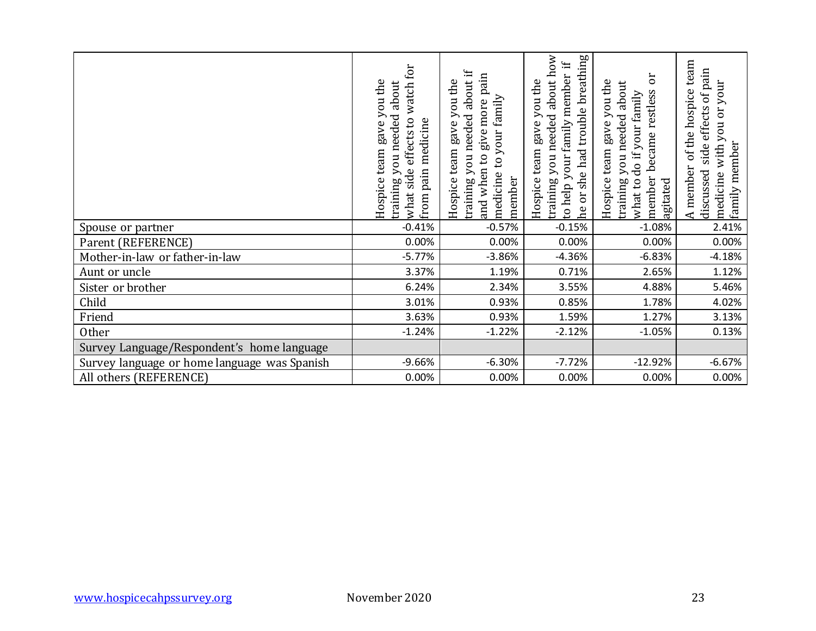|                                              | what side effects to watch for<br>Hospice team gave you the<br>about<br>training you needed<br>from pain medicine | about if<br>and when to give more pain<br>Hospice team gave you the<br>medicine to your family<br>training you needed<br>member | training you needed about how<br>he or she had trouble breathing<br>to help your family member if<br>Hospice team gave you the | JO<br>Hospice team gave you the<br>about<br>member became restless<br>what to do if your family<br>you needed<br>training<br>agitated | A member of the hospice team<br>side effects of pain<br>medicine with you or your<br>family member<br>discussed |
|----------------------------------------------|-------------------------------------------------------------------------------------------------------------------|---------------------------------------------------------------------------------------------------------------------------------|--------------------------------------------------------------------------------------------------------------------------------|---------------------------------------------------------------------------------------------------------------------------------------|-----------------------------------------------------------------------------------------------------------------|
| Spouse or partner                            | $-0.41%$                                                                                                          | $-0.57%$                                                                                                                        | $-0.15%$                                                                                                                       | $-1.08%$                                                                                                                              | 2.41%                                                                                                           |
| Parent (REFERENCE)                           | 0.00%                                                                                                             | 0.00%                                                                                                                           | 0.00%                                                                                                                          | 0.00%                                                                                                                                 | 0.00%                                                                                                           |
| Mother-in-law or father-in-law               | $-5.77%$                                                                                                          | $-3.86%$                                                                                                                        | $-4.36%$                                                                                                                       | $-6.83%$                                                                                                                              | $-4.18%$                                                                                                        |
| Aunt or uncle                                | 3.37%<br>6.24%                                                                                                    | 1.19%<br>2.34%                                                                                                                  | 0.71%                                                                                                                          | 2.65%<br>4.88%                                                                                                                        | 1.12%                                                                                                           |
| Sister or brother<br>Child                   | 3.01%                                                                                                             | 0.93%                                                                                                                           | 3.55%<br>0.85%                                                                                                                 | 1.78%                                                                                                                                 | 5.46%<br>4.02%                                                                                                  |
| Friend                                       | 3.63%                                                                                                             | 0.93%                                                                                                                           | 1.59%                                                                                                                          | 1.27%                                                                                                                                 | 3.13%                                                                                                           |
| Other                                        | $-1.24%$                                                                                                          | $-1.22%$                                                                                                                        | $-2.12%$                                                                                                                       | $-1.05%$                                                                                                                              | 0.13%                                                                                                           |
| Survey Language/Respondent's home language   |                                                                                                                   |                                                                                                                                 |                                                                                                                                |                                                                                                                                       |                                                                                                                 |
| Survey language or home language was Spanish | $-9.66%$                                                                                                          | $-6.30%$                                                                                                                        | $-7.72%$                                                                                                                       | $-12.92%$                                                                                                                             | $-6.67%$                                                                                                        |
| All others (REFERENCE)                       | 0.00%                                                                                                             | 0.00%                                                                                                                           | 0.00%                                                                                                                          | 0.00%                                                                                                                                 | 0.00%                                                                                                           |
|                                              |                                                                                                                   |                                                                                                                                 |                                                                                                                                |                                                                                                                                       |                                                                                                                 |
| www.hospicecahpssurvey.org                   | November 2020                                                                                                     |                                                                                                                                 |                                                                                                                                |                                                                                                                                       | 23                                                                                                              |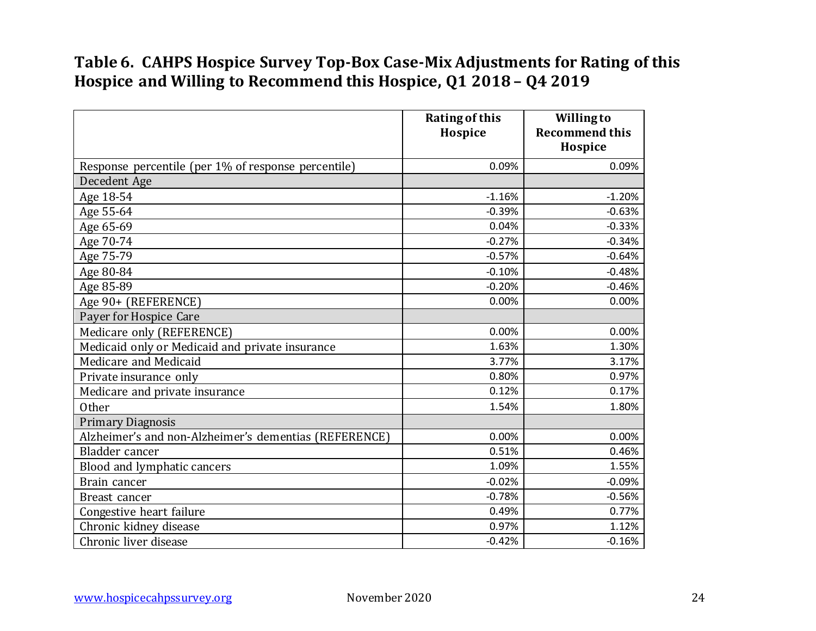#### **Table 6. CAHPS Hospice Survey Top-Box Case-Mix Adjustments for Rating of this Hospice and Willing to Recommend this Hospice, Q1 2018 – Q4 2019**

|                                                       | <b>Rating of this</b><br>Hospice | <b>Willing to</b><br><b>Recommend this</b><br>Hospice |
|-------------------------------------------------------|----------------------------------|-------------------------------------------------------|
| Response percentile (per 1% of response percentile)   | 0.09%                            | 0.09%                                                 |
| Decedent Age                                          |                                  |                                                       |
| Age 18-54                                             | $-1.16%$                         | $-1.20%$                                              |
| Age 55-64                                             | $-0.39%$                         | $-0.63%$                                              |
| Age 65-69                                             | 0.04%                            | $-0.33%$                                              |
| Age 70-74                                             | $-0.27%$                         | $-0.34%$                                              |
| Age 75-79                                             | $-0.57%$                         | $-0.64%$                                              |
| Age 80-84                                             | $-0.10%$                         | $-0.48%$                                              |
| Age 85-89                                             | $-0.20%$                         | $-0.46%$                                              |
| Age 90+ (REFERENCE)                                   | 0.00%                            | 0.00%                                                 |
| Payer for Hospice Care                                |                                  |                                                       |
| Medicare only (REFERENCE)                             | 0.00%                            | 0.00%                                                 |
| Medicaid only or Medicaid and private insurance       | 1.63%                            | 1.30%                                                 |
| Medicare and Medicaid                                 | 3.77%                            | 3.17%                                                 |
| Private insurance only                                | 0.80%                            | 0.97%                                                 |
| Medicare and private insurance                        | 0.12%                            | 0.17%                                                 |
| <b>Other</b>                                          | 1.54%                            | 1.80%                                                 |
| <b>Primary Diagnosis</b>                              |                                  |                                                       |
| Alzheimer's and non-Alzheimer's dementias (REFERENCE) | 0.00%                            | 0.00%                                                 |
| Bladder cancer                                        | 0.51%                            | 0.46%                                                 |
| Blood and lymphatic cancers                           | 1.09%                            | 1.55%                                                 |
| Brain cancer                                          | $-0.02%$                         | $-0.09%$                                              |
| Breast cancer                                         | $-0.78%$                         | $-0.56%$                                              |
| Congestive heart failure                              | 0.49%                            | 0.77%                                                 |
| Chronic kidney disease                                | 0.97%                            | 1.12%                                                 |
| Chronic liver disease                                 | $-0.42%$                         | $-0.16%$                                              |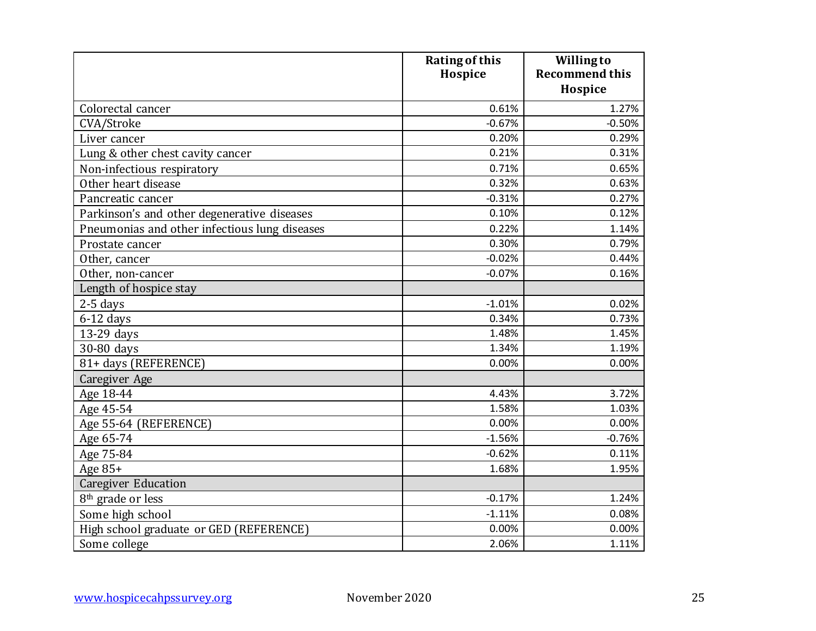|                                               | <b>Rating of this</b><br>Hospice | <b>Willingto</b><br><b>Recommend this</b> |
|-----------------------------------------------|----------------------------------|-------------------------------------------|
|                                               |                                  | Hospice                                   |
| Colorectal cancer                             | 0.61%                            | 1.27%                                     |
| CVA/Stroke                                    | $-0.67%$                         | $-0.50%$                                  |
| Liver cancer                                  | 0.20%                            | 0.29%                                     |
| Lung & other chest cavity cancer              | 0.21%                            | 0.31%                                     |
| Non-infectious respiratory                    | 0.71%                            | 0.65%                                     |
| Other heart disease                           | 0.32%                            | 0.63%                                     |
| Pancreatic cancer                             | $-0.31%$                         | 0.27%                                     |
| Parkinson's and other degenerative diseases   | 0.10%                            | 0.12%                                     |
| Pneumonias and other infectious lung diseases | 0.22%                            | 1.14%                                     |
| Prostate cancer                               | 0.30%                            | 0.79%                                     |
| Other, cancer                                 | $-0.02%$                         | 0.44%                                     |
| Other, non-cancer                             | $-0.07%$                         | 0.16%                                     |
| Length of hospice stay                        |                                  |                                           |
| $2-5$ days                                    | $-1.01%$                         | 0.02%                                     |
| $6-12$ days                                   | 0.34%                            | 0.73%                                     |
| 13-29 days                                    | 1.48%                            | 1.45%                                     |
| 30-80 days                                    | 1.34%                            | 1.19%                                     |
| 81+ days (REFERENCE)                          | 0.00%                            | 0.00%                                     |
| Caregiver Age                                 |                                  |                                           |
| Age 18-44                                     | 4.43%                            | 3.72%                                     |
| Age 45-54                                     | 1.58%                            | 1.03%                                     |
| Age 55-64 (REFERENCE)                         | 0.00%                            | 0.00%                                     |
| Age 65-74                                     | $-1.56%$                         | $-0.76%$                                  |
| Age 75-84                                     | $-0.62%$                         | 0.11%                                     |
| Age 85+                                       | 1.68%                            | 1.95%                                     |
| <b>Caregiver Education</b>                    |                                  |                                           |
| 8 <sup>th</sup> grade or less                 | $-0.17%$                         | 1.24%                                     |
| Some high school                              | $-1.11%$                         | 0.08%                                     |
| High school graduate or GED (REFERENCE)       | 0.00%                            | 0.00%                                     |
| Some college                                  | 2.06%                            | 1.11%                                     |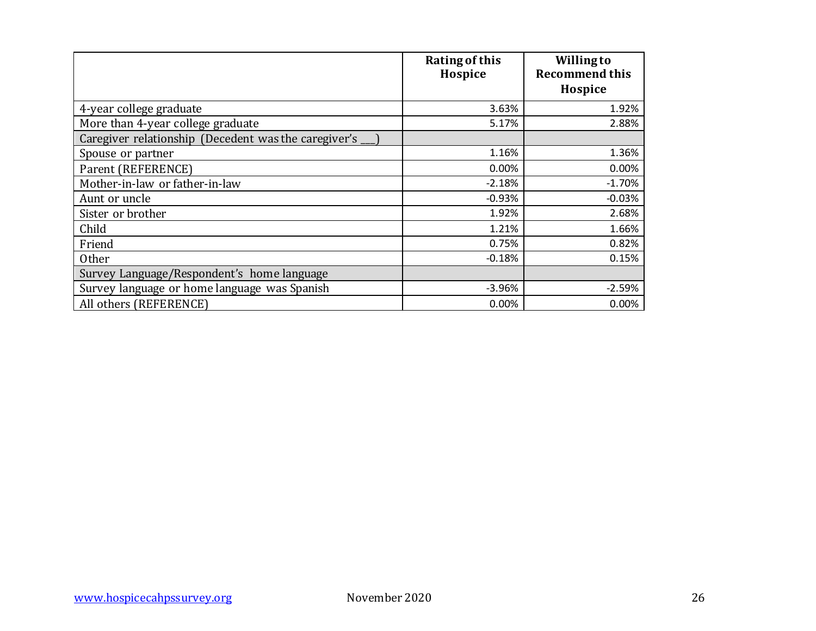|                                                      | <b>Rating of this</b><br>Hospice | <b>Willing to</b><br><b>Recommend this</b><br>Hospice |
|------------------------------------------------------|----------------------------------|-------------------------------------------------------|
|                                                      |                                  |                                                       |
| 4-year college graduate                              | 3.63%                            | 1.92%                                                 |
| More than 4-year college graduate                    | 5.17%                            | 2.88%                                                 |
| Caregiver relationship (Decedent was the caregiver's |                                  |                                                       |
| Spouse or partner                                    | 1.16%                            | 1.36%                                                 |
| Parent (REFERENCE)                                   | 0.00%                            | 0.00%                                                 |
| Mother-in-law or father-in-law                       | $-2.18%$                         | $-1.70%$                                              |
| Aunt or uncle                                        | $-0.93%$                         | $-0.03%$                                              |
| Sister or brother                                    | 1.92%                            | 2.68%                                                 |
| Child                                                | 1.21%                            | 1.66%                                                 |
| Friend                                               | 0.75%                            | 0.82%                                                 |
| <b>Other</b>                                         | $-0.18%$                         | 0.15%                                                 |
| Survey Language/Respondent's home language           |                                  |                                                       |
| Survey language or home language was Spanish         | $-3.96%$                         | $-2.59%$                                              |
| All others (REFERENCE)                               | 0.00%                            | 0.00%                                                 |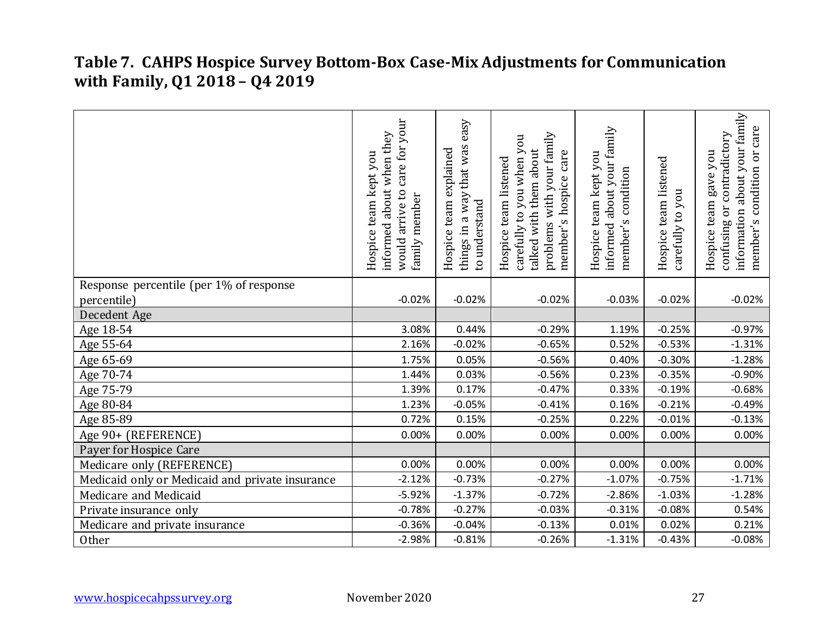#### **Table 7. CAHPS Hospice Survey Bottom-Box Case-Mix Adjustments for Communication with Family, Q1 2018 – Q4 2019**

|                                                 | care for your<br>about when they<br>Hospice team kept you<br>would arrive to<br>family member<br>informed | easy<br>things in a way that was<br>Hospice team explained<br>to understand | problems with your family<br>carefully to you when you<br>talked with them about<br>care<br>Hospice team listened<br>member's hospice | informed about your family<br>Hospice team kept you<br>condition<br>member's | Hospice team listened<br>you<br>carefully to | information about your family<br>or care<br>confusing or contradictory<br>gave you<br>condition<br>Hospice team<br>member's |
|-------------------------------------------------|-----------------------------------------------------------------------------------------------------------|-----------------------------------------------------------------------------|---------------------------------------------------------------------------------------------------------------------------------------|------------------------------------------------------------------------------|----------------------------------------------|-----------------------------------------------------------------------------------------------------------------------------|
| Response percentile (per 1% of response         |                                                                                                           |                                                                             |                                                                                                                                       |                                                                              |                                              |                                                                                                                             |
| percentile)                                     | $-0.02%$                                                                                                  | $-0.02%$                                                                    | $-0.02%$                                                                                                                              | $-0.03%$                                                                     | $-0.02%$                                     | $-0.02%$                                                                                                                    |
| Decedent Age                                    |                                                                                                           |                                                                             |                                                                                                                                       |                                                                              |                                              |                                                                                                                             |
| Age 18-54                                       | 3.08%                                                                                                     | 0.44%                                                                       | $-0.29%$                                                                                                                              | 1.19%                                                                        | $-0.25%$                                     | $-0.97%$                                                                                                                    |
| Age 55-64                                       | 2.16%                                                                                                     | $-0.02%$                                                                    | $-0.65%$                                                                                                                              | 0.52%                                                                        | $-0.53%$                                     | $-1.31%$                                                                                                                    |
| Age 65-69                                       | 1.75%                                                                                                     | 0.05%                                                                       | $-0.56%$                                                                                                                              | 0.40%                                                                        | $-0.30%$                                     | $-1.28%$                                                                                                                    |
| Age 70-74                                       | 1.44%                                                                                                     | 0.03%                                                                       | $-0.56%$                                                                                                                              | 0.23%                                                                        | $-0.35%$                                     | $-0.90%$                                                                                                                    |
| Age 75-79                                       | 1.39%                                                                                                     | 0.17%                                                                       | $-0.47%$                                                                                                                              | 0.33%                                                                        | $-0.19%$                                     | $-0.68%$                                                                                                                    |
| Age 80-84                                       | 1.23%                                                                                                     | $-0.05%$                                                                    | $-0.41%$                                                                                                                              | 0.16%                                                                        | $-0.21%$                                     | $-0.49%$                                                                                                                    |
| Age 85-89                                       | 0.72%                                                                                                     | 0.15%                                                                       | $-0.25%$                                                                                                                              | 0.22%                                                                        | $-0.01%$                                     | $-0.13%$                                                                                                                    |
| Age 90+ (REFERENCE)                             | 0.00%                                                                                                     | 0.00%                                                                       | 0.00%                                                                                                                                 | 0.00%                                                                        | 0.00%                                        | 0.00%                                                                                                                       |
| Payer for Hospice Care                          |                                                                                                           |                                                                             |                                                                                                                                       |                                                                              |                                              |                                                                                                                             |
| Medicare only (REFERENCE)                       | 0.00%                                                                                                     | 0.00%                                                                       | 0.00%                                                                                                                                 | 0.00%                                                                        | 0.00%                                        | 0.00%                                                                                                                       |
| Medicaid only or Medicaid and private insurance | $-2.12%$                                                                                                  | $-0.73%$                                                                    | $-0.27%$                                                                                                                              | $-1.07%$                                                                     | $-0.75%$                                     | $-1.71%$                                                                                                                    |
| Medicare and Medicaid                           | $-5.92%$                                                                                                  | $-1.37%$                                                                    | $-0.72%$                                                                                                                              | $-2.86%$                                                                     | $-1.03%$                                     | $-1.28%$                                                                                                                    |
| Private insurance only                          | $-0.78%$                                                                                                  | $-0.27%$                                                                    | $-0.03%$                                                                                                                              | $-0.31%$                                                                     | $-0.08%$                                     | 0.54%                                                                                                                       |
| Medicare and private insurance                  | $-0.36%$                                                                                                  | $-0.04%$                                                                    | $-0.13%$                                                                                                                              | 0.01%                                                                        | 0.02%                                        | 0.21%                                                                                                                       |
| Other                                           | $-2.98%$                                                                                                  | $-0.81%$                                                                    | $-0.26%$                                                                                                                              | $-1.31%$                                                                     | $-0.43%$                                     | $-0.08%$                                                                                                                    |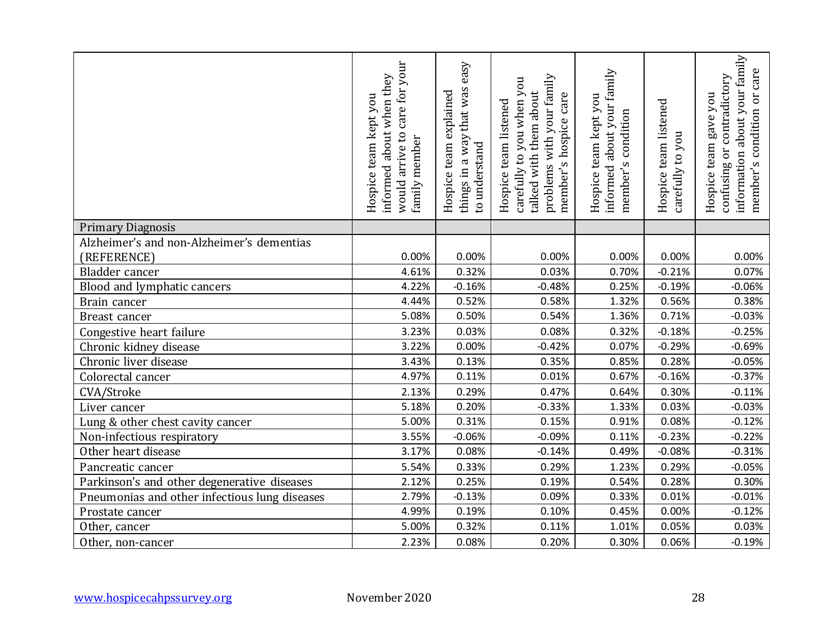|                                                                                              | would arrive to care for your<br>about when they<br>Hospice team kept you<br>family member<br>informed | easy<br>way that was<br>Hospice team explained<br>to understand<br>things in a | problems with your family<br>you<br>talked with them about<br>care<br>you when<br>Hospice team listened<br>member's hospice<br>carefully to | informed about your family<br>Hospice team kept you<br>condition<br>member's | Hospice team listened<br>you<br>carefully to | about your family<br>care<br>contradictory<br>Or<br>Hospice team gave you<br>condition<br>confusing or<br>information<br>member's |
|----------------------------------------------------------------------------------------------|--------------------------------------------------------------------------------------------------------|--------------------------------------------------------------------------------|---------------------------------------------------------------------------------------------------------------------------------------------|------------------------------------------------------------------------------|----------------------------------------------|-----------------------------------------------------------------------------------------------------------------------------------|
| <b>Primary Diagnosis</b>                                                                     |                                                                                                        |                                                                                |                                                                                                                                             |                                                                              |                                              |                                                                                                                                   |
| Alzheimer's and non-Alzheimer's dementias                                                    |                                                                                                        |                                                                                |                                                                                                                                             |                                                                              |                                              |                                                                                                                                   |
| (REFERENCE)                                                                                  | 0.00%                                                                                                  | 0.00%                                                                          | 0.00%                                                                                                                                       | 0.00%                                                                        | 0.00%                                        | 0.00%                                                                                                                             |
| Bladder cancer                                                                               | 4.61%                                                                                                  | 0.32%                                                                          | 0.03%                                                                                                                                       | 0.70%                                                                        | $-0.21%$                                     | 0.07%                                                                                                                             |
| Blood and lymphatic cancers                                                                  | 4.22%                                                                                                  | $-0.16%$                                                                       | $-0.48%$                                                                                                                                    | 0.25%                                                                        | $-0.19%$                                     | $-0.06%$                                                                                                                          |
| Brain cancer                                                                                 | 4.44%                                                                                                  | 0.52%                                                                          | 0.58%                                                                                                                                       | 1.32%                                                                        | 0.56%                                        | 0.38%                                                                                                                             |
| Breast cancer                                                                                | 5.08%                                                                                                  | 0.50%                                                                          | 0.54%                                                                                                                                       | 1.36%                                                                        | 0.71%                                        | $-0.03%$                                                                                                                          |
| Congestive heart failure                                                                     | 3.23%                                                                                                  | 0.03%                                                                          | 0.08%                                                                                                                                       | 0.32%                                                                        | $-0.18%$                                     | $-0.25%$                                                                                                                          |
| Chronic kidney disease                                                                       | 3.22%                                                                                                  | 0.00%                                                                          | $-0.42%$                                                                                                                                    | 0.07%                                                                        | $-0.29%$                                     | $-0.69%$                                                                                                                          |
| Chronic liver disease                                                                        | 3.43%                                                                                                  | 0.13%                                                                          | 0.35%                                                                                                                                       | 0.85%                                                                        | 0.28%                                        | $-0.05%$                                                                                                                          |
| Colorectal cancer                                                                            | 4.97%                                                                                                  | 0.11%                                                                          | 0.01%                                                                                                                                       | 0.67%                                                                        | $-0.16%$                                     | $-0.37%$                                                                                                                          |
| CVA/Stroke                                                                                   | 2.13%                                                                                                  | 0.29%                                                                          | 0.47%                                                                                                                                       | 0.64%                                                                        | 0.30%                                        | $-0.11%$                                                                                                                          |
| Liver cancer                                                                                 | 5.18%                                                                                                  | 0.20%                                                                          | $-0.33%$                                                                                                                                    | 1.33%                                                                        | 0.03%                                        | $-0.03%$                                                                                                                          |
| Lung & other chest cavity cancer                                                             | 5.00%<br>3.55%                                                                                         | 0.31%<br>$-0.06%$                                                              | 0.15%                                                                                                                                       | 0.91%                                                                        | 0.08%<br>$-0.23%$                            | $-0.12%$<br>$-0.22%$                                                                                                              |
| Non-infectious respiratory<br>Other heart disease                                            | 3.17%                                                                                                  | 0.08%                                                                          | $-0.09%$<br>$-0.14%$                                                                                                                        | 0.11%<br>0.49%                                                               | $-0.08%$                                     | $-0.31%$                                                                                                                          |
|                                                                                              | 5.54%                                                                                                  | 0.33%                                                                          | 0.29%                                                                                                                                       |                                                                              | 0.29%                                        | $-0.05%$                                                                                                                          |
| Pancreatic cancer                                                                            | 2.12%                                                                                                  | 0.25%                                                                          | 0.19%                                                                                                                                       | 1.23%<br>0.54%                                                               | 0.28%                                        | 0.30%                                                                                                                             |
| Parkinson's and other degenerative diseases<br>Pneumonias and other infectious lung diseases | 2.79%                                                                                                  | $-0.13%$                                                                       | 0.09%                                                                                                                                       | 0.33%                                                                        | 0.01%                                        | $-0.01%$                                                                                                                          |
| Prostate cancer                                                                              | 4.99%                                                                                                  | 0.19%                                                                          | 0.10%                                                                                                                                       | 0.45%                                                                        | 0.00%                                        | $-0.12%$                                                                                                                          |
| Other, cancer                                                                                | 5.00%                                                                                                  | 0.32%                                                                          | 0.11%                                                                                                                                       | 1.01%                                                                        | 0.05%                                        | 0.03%                                                                                                                             |
| Other, non-cancer                                                                            | 2.23%                                                                                                  | 0.08%                                                                          | 0.20%                                                                                                                                       | 0.30%                                                                        | 0.06%                                        | $-0.19%$                                                                                                                          |
|                                                                                              |                                                                                                        |                                                                                |                                                                                                                                             |                                                                              |                                              |                                                                                                                                   |
| www.hospicecahpssurvey.org                                                                   | November 2020                                                                                          |                                                                                |                                                                                                                                             |                                                                              |                                              | 28                                                                                                                                |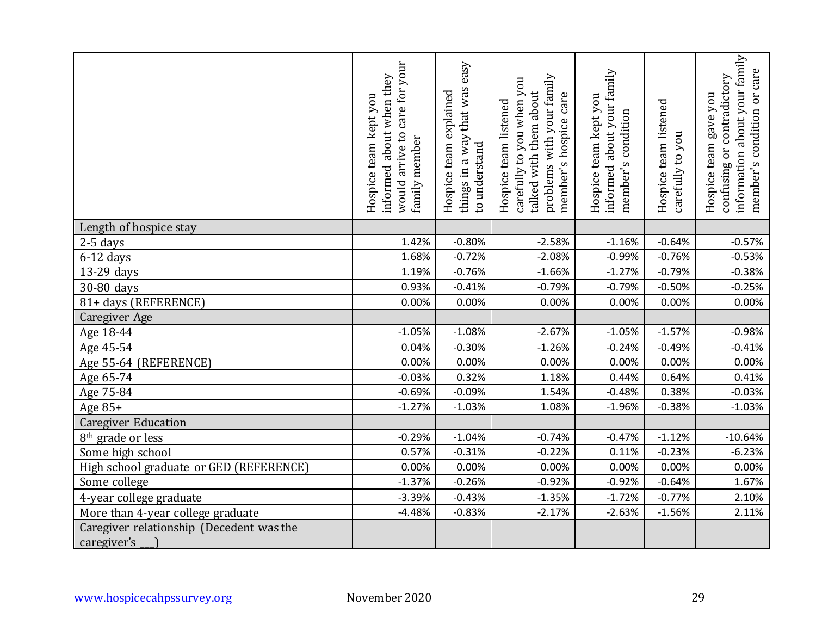|                                          | care for your<br>informed about when they<br>Hospice team kept you<br>would arrive to<br>family member | easy<br>way that was<br>Hospice team explained<br>to understand<br>things in a | with your family<br>carefully to you when you<br>talked with them about<br>care<br>Hospice team listened<br>member's hospice<br>problems | about your family<br>Hospice team kept you<br>condition<br>member's<br>informed | team listened<br>carefully to you<br>Hospice | information about your family<br>care<br>confusing or contradictory<br>Оr<br>Hospice team gave you<br>condition<br>member's |
|------------------------------------------|--------------------------------------------------------------------------------------------------------|--------------------------------------------------------------------------------|------------------------------------------------------------------------------------------------------------------------------------------|---------------------------------------------------------------------------------|----------------------------------------------|-----------------------------------------------------------------------------------------------------------------------------|
| Length of hospice stay                   |                                                                                                        |                                                                                |                                                                                                                                          |                                                                                 |                                              |                                                                                                                             |
| $2-5$ days                               | 1.42%                                                                                                  | $-0.80%$                                                                       | $-2.58%$                                                                                                                                 | $-1.16%$                                                                        | $-0.64%$                                     | $-0.57%$                                                                                                                    |
| $6-12$ days                              | 1.68%                                                                                                  | $-0.72%$                                                                       | $-2.08%$                                                                                                                                 | $-0.99%$                                                                        | $-0.76%$                                     | $-0.53%$                                                                                                                    |
| 13-29 days                               | 1.19%                                                                                                  | $-0.76%$                                                                       | $-1.66%$                                                                                                                                 | $-1.27%$                                                                        | $-0.79%$                                     | $-0.38%$                                                                                                                    |
| 30-80 days                               | 0.93%                                                                                                  | $-0.41%$                                                                       | $-0.79%$                                                                                                                                 | $-0.79%$                                                                        | $-0.50%$                                     | $-0.25%$                                                                                                                    |
| 81+ days (REFERENCE)                     | 0.00%                                                                                                  | 0.00%                                                                          | 0.00%                                                                                                                                    | 0.00%                                                                           | 0.00%                                        | 0.00%                                                                                                                       |
| <b>Caregiver Age</b>                     |                                                                                                        |                                                                                |                                                                                                                                          |                                                                                 |                                              |                                                                                                                             |
| Age 18-44                                | $-1.05%$                                                                                               | $-1.08%$                                                                       | $-2.67%$                                                                                                                                 | $-1.05%$                                                                        | $-1.57%$                                     | $-0.98%$                                                                                                                    |
| Age 45-54                                | 0.04%                                                                                                  | $-0.30%$                                                                       | $-1.26%$                                                                                                                                 | $-0.24%$                                                                        | $-0.49%$                                     | $-0.41%$                                                                                                                    |
| Age 55-64 (REFERENCE)                    | 0.00%                                                                                                  | 0.00%                                                                          | 0.00%                                                                                                                                    | 0.00%                                                                           | 0.00%                                        | 0.00%                                                                                                                       |
| Age 65-74                                | $-0.03%$                                                                                               | 0.32%                                                                          | 1.18%                                                                                                                                    | 0.44%                                                                           | 0.64%                                        | 0.41%                                                                                                                       |
| Age 75-84                                | $-0.69%$                                                                                               | $-0.09%$                                                                       | 1.54%                                                                                                                                    | $-0.48%$                                                                        | 0.38%                                        | $-0.03%$                                                                                                                    |
| Age 85+                                  | $-1.27%$                                                                                               | $-1.03%$                                                                       | 1.08%                                                                                                                                    | $-1.96%$                                                                        | $-0.38%$                                     | $-1.03%$                                                                                                                    |
| <b>Caregiver Education</b>               |                                                                                                        |                                                                                |                                                                                                                                          |                                                                                 |                                              |                                                                                                                             |
| 8 <sup>th</sup> grade or less            | $-0.29%$                                                                                               | $-1.04%$                                                                       | $-0.74%$                                                                                                                                 | $-0.47%$                                                                        | $-1.12%$                                     | $-10.64%$                                                                                                                   |
| Some high school                         | 0.57%                                                                                                  | $-0.31%$                                                                       | $-0.22%$                                                                                                                                 | 0.11%                                                                           | $-0.23%$                                     | $-6.23%$                                                                                                                    |
| High school graduate or GED (REFERENCE)  | 0.00%                                                                                                  | 0.00%                                                                          | 0.00%                                                                                                                                    | 0.00%                                                                           | 0.00%                                        | 0.00%                                                                                                                       |
| Some college                             | $-1.37%$                                                                                               | $-0.26%$                                                                       | $-0.92%$                                                                                                                                 | $-0.92%$                                                                        | $-0.64%$                                     | 1.67%                                                                                                                       |
| 4-year college graduate                  | $-3.39%$                                                                                               | $-0.43%$                                                                       | $-1.35%$                                                                                                                                 | $-1.72%$                                                                        | $-0.77%$                                     | 2.10%                                                                                                                       |
| More than 4-year college graduate        | $-4.48%$                                                                                               | $-0.83%$                                                                       | $-2.17%$                                                                                                                                 | $-2.63%$                                                                        | $-1.56%$                                     | 2.11%                                                                                                                       |
| Caregiver relationship (Decedent was the |                                                                                                        |                                                                                |                                                                                                                                          |                                                                                 |                                              |                                                                                                                             |
| caregiver's                              |                                                                                                        |                                                                                |                                                                                                                                          |                                                                                 |                                              |                                                                                                                             |
| www.hospicecahpssurvey.org               | November 2020                                                                                          |                                                                                |                                                                                                                                          |                                                                                 |                                              | 29                                                                                                                          |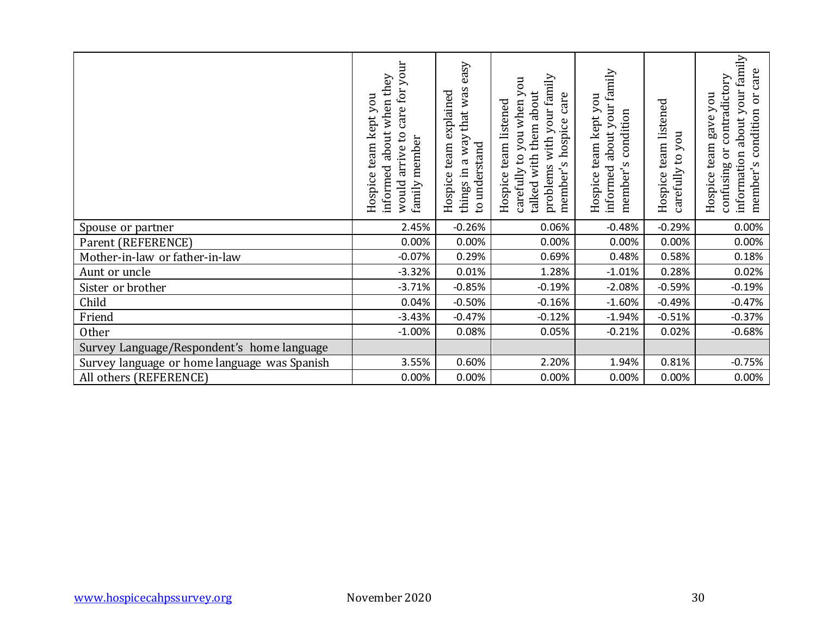|                                              | care for your<br>informed about when they<br>Hospice team kept you<br>would arrive to<br>family member | things in a way that was easy<br>Hospice team explained<br>to understand | problems with your family<br>carefully to you when you<br>talked with them about<br>member's hospice care<br>Hospice team listened | informed about your family<br>Hospice team kept you<br>member's condition | Hospice team listened<br>you<br>carefully to | information about your family<br>member's condition or care<br>contradictory<br>Hospice team gave you<br>confusing or |
|----------------------------------------------|--------------------------------------------------------------------------------------------------------|--------------------------------------------------------------------------|------------------------------------------------------------------------------------------------------------------------------------|---------------------------------------------------------------------------|----------------------------------------------|-----------------------------------------------------------------------------------------------------------------------|
| Spouse or partner                            | 2.45%                                                                                                  | $-0.26%$                                                                 | 0.06%                                                                                                                              | $-0.48%$                                                                  | $-0.29%$                                     | 0.00%                                                                                                                 |
| Parent (REFERENCE)                           | 0.00%                                                                                                  | 0.00%                                                                    | 0.00%                                                                                                                              | 0.00%                                                                     | 0.00%                                        | 0.00%                                                                                                                 |
| Mother-in-law or father-in-law               | $-0.07%$                                                                                               | 0.29%                                                                    | 0.69%                                                                                                                              | 0.48%                                                                     | 0.58%                                        | 0.18%                                                                                                                 |
| Aunt or uncle                                | $-3.32%$                                                                                               | 0.01%                                                                    | 1.28%                                                                                                                              | $-1.01%$                                                                  | 0.28%                                        | 0.02%                                                                                                                 |
| Sister or brother                            | $-3.71%$                                                                                               | $-0.85%$                                                                 | $-0.19%$                                                                                                                           | $-2.08%$                                                                  | $-0.59%$                                     | $-0.19%$                                                                                                              |
| Child                                        | 0.04%                                                                                                  | $-0.50%$                                                                 | $-0.16%$                                                                                                                           | $-1.60%$                                                                  | $-0.49%$                                     | $-0.47%$                                                                                                              |
| Friend                                       | $-3.43%$                                                                                               | $-0.47%$                                                                 | $-0.12%$                                                                                                                           | $-1.94%$                                                                  | $-0.51%$                                     | $-0.37%$                                                                                                              |
| Other                                        | $-1.00%$                                                                                               | 0.08%                                                                    | 0.05%                                                                                                                              | $-0.21%$                                                                  | 0.02%                                        | $-0.68%$                                                                                                              |
| Survey Language/Respondent's home language   |                                                                                                        |                                                                          |                                                                                                                                    |                                                                           |                                              |                                                                                                                       |
| Survey language or home language was Spanish | 3.55%                                                                                                  | 0.60%                                                                    | 2.20%                                                                                                                              | 1.94%                                                                     | 0.81%                                        | $-0.75%$                                                                                                              |
| All others (REFERENCE)                       | 0.00%                                                                                                  | 0.00%                                                                    | 0.00%                                                                                                                              | 0.00%                                                                     | 0.00%                                        | 0.00%                                                                                                                 |
|                                              |                                                                                                        |                                                                          |                                                                                                                                    |                                                                           |                                              |                                                                                                                       |
| www.hospicecahpssurvey.org                   | November 2020                                                                                          |                                                                          |                                                                                                                                    |                                                                           |                                              | 30                                                                                                                    |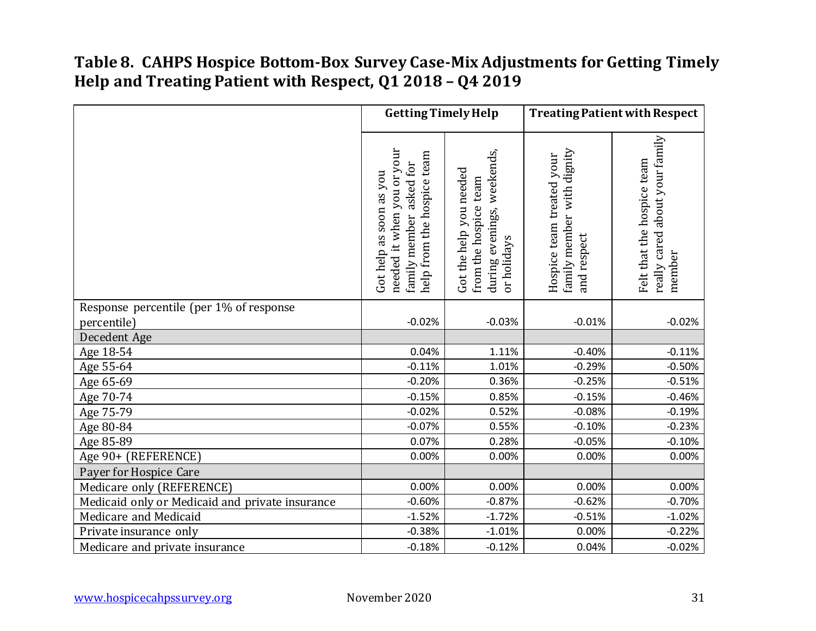#### **Table 8. CAHPS Hospice Bottom-Box Survey Case-Mix Adjustments for Getting Timely Help and Treating Patient with Respect, Q1 2018 – Q4 2019**

|                                                 | <b>Getting Timely Help</b>                                                                                        |                                                                                                     | <b>Treating Patient with Respect</b>                                   |                                                                        |  |
|-------------------------------------------------|-------------------------------------------------------------------------------------------------------------------|-----------------------------------------------------------------------------------------------------|------------------------------------------------------------------------|------------------------------------------------------------------------|--|
|                                                 | needed it when you or your<br>help from the hospice team<br>asked for<br>Got help as soon as you<br>family member | weekends,<br>Got the help you needed<br>team<br>from the hospice<br>during evenings,<br>or holidays | family member with dignity<br>Hospice team treated your<br>and respect | really cared about your family<br>Felt that the hospice team<br>member |  |
| Response percentile (per 1% of response         |                                                                                                                   |                                                                                                     |                                                                        |                                                                        |  |
| percentile)                                     | $-0.02%$                                                                                                          | $-0.03%$                                                                                            | $-0.01%$                                                               | $-0.02%$                                                               |  |
| Decedent Age                                    |                                                                                                                   |                                                                                                     |                                                                        |                                                                        |  |
| Age 18-54                                       | 0.04%                                                                                                             | 1.11%                                                                                               | $-0.40%$                                                               | $-0.11%$                                                               |  |
| Age 55-64                                       | $-0.11%$                                                                                                          | 1.01%                                                                                               | $-0.29%$                                                               | $-0.50%$                                                               |  |
| Age 65-69                                       | $-0.20%$                                                                                                          | 0.36%                                                                                               | $-0.25%$                                                               | $-0.51%$                                                               |  |
| Age 70-74                                       | $-0.15%$                                                                                                          | 0.85%                                                                                               | $-0.15%$                                                               | $-0.46%$                                                               |  |
| Age 75-79                                       | $-0.02%$                                                                                                          | 0.52%                                                                                               | $-0.08%$                                                               | $-0.19%$                                                               |  |
| Age 80-84                                       | $-0.07%$                                                                                                          | 0.55%                                                                                               | $-0.10%$                                                               | $-0.23%$                                                               |  |
| Age 85-89                                       | 0.07%                                                                                                             | 0.28%                                                                                               | $-0.05%$                                                               | $-0.10%$                                                               |  |
| Age 90+ (REFERENCE)                             | 0.00%                                                                                                             | 0.00%                                                                                               | 0.00%                                                                  | 0.00%                                                                  |  |
| Payer for Hospice Care                          |                                                                                                                   |                                                                                                     |                                                                        |                                                                        |  |
| Medicare only (REFERENCE)                       | 0.00%                                                                                                             | 0.00%                                                                                               | 0.00%                                                                  | 0.00%                                                                  |  |
| Medicaid only or Medicaid and private insurance | $-0.60%$                                                                                                          | $-0.87%$                                                                                            | $-0.62%$                                                               | $-0.70%$                                                               |  |
| Medicare and Medicaid                           | $-1.52%$                                                                                                          | $-1.72%$                                                                                            | $-0.51%$                                                               | $-1.02%$                                                               |  |
| Private insurance only                          | $-0.38%$                                                                                                          | $-1.01%$                                                                                            | 0.00%                                                                  | $-0.22%$                                                               |  |
| Medicare and private insurance                  | $-0.18%$                                                                                                          | $-0.12%$                                                                                            | 0.04%                                                                  | $-0.02%$                                                               |  |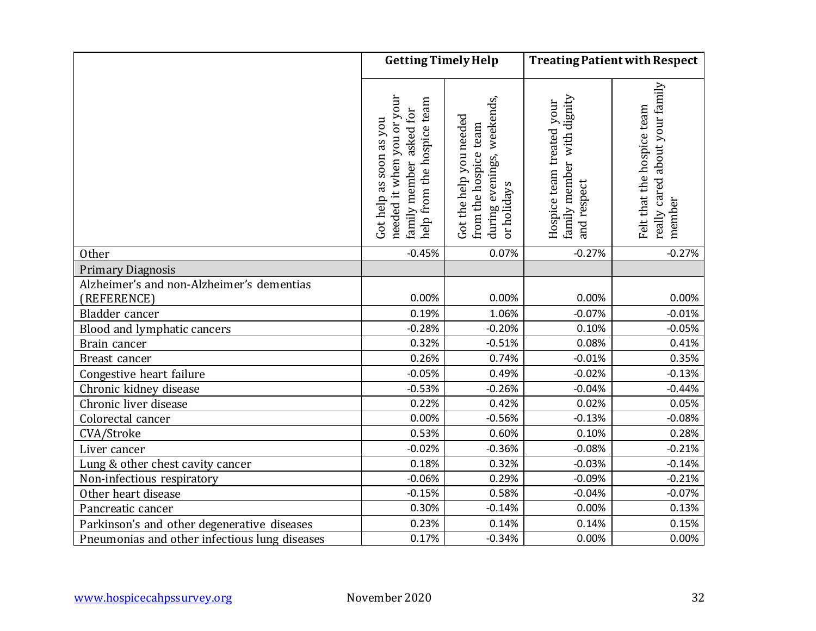|                                               | <b>Getting Timely Help</b>                                                                                        |                                                                                                     |                                                                        | <b>Treating Patient with Respect</b>                                   |  |
|-----------------------------------------------|-------------------------------------------------------------------------------------------------------------------|-----------------------------------------------------------------------------------------------------|------------------------------------------------------------------------|------------------------------------------------------------------------|--|
|                                               | needed it when you or your<br>help from the hospice team<br>asked for<br>Got help as soon as you<br>family member | weekends,<br>Got the help you needed<br>team<br>during evenings,<br>from the hospice<br>or holidays | family member with dignity<br>Hospice team treated your<br>and respect | really cared about your family<br>Felt that the hospice team<br>member |  |
| Other                                         | $-0.45%$                                                                                                          | 0.07%                                                                                               | $-0.27%$                                                               | $-0.27%$                                                               |  |
| <b>Primary Diagnosis</b>                      |                                                                                                                   |                                                                                                     |                                                                        |                                                                        |  |
| Alzheimer's and non-Alzheimer's dementias     |                                                                                                                   |                                                                                                     |                                                                        |                                                                        |  |
| (REFERENCE)                                   | 0.00%                                                                                                             | 0.00%                                                                                               | 0.00%                                                                  | 0.00%                                                                  |  |
| Bladder cancer                                | 0.19%                                                                                                             | 1.06%                                                                                               | $-0.07%$                                                               | $-0.01%$                                                               |  |
| Blood and lymphatic cancers                   | $-0.28%$                                                                                                          | $-0.20%$                                                                                            | 0.10%                                                                  | $-0.05%$                                                               |  |
| Brain cancer                                  | 0.32%                                                                                                             | $-0.51%$                                                                                            | 0.08%                                                                  | 0.41%                                                                  |  |
| Breast cancer                                 | 0.26%                                                                                                             | 0.74%                                                                                               | $-0.01%$                                                               | 0.35%                                                                  |  |
| Congestive heart failure                      | $-0.05%$                                                                                                          | 0.49%                                                                                               | $-0.02%$                                                               | $-0.13%$                                                               |  |
| Chronic kidney disease                        | $-0.53%$                                                                                                          | $-0.26%$                                                                                            | $-0.04%$                                                               | $-0.44%$                                                               |  |
| Chronic liver disease                         | 0.22%                                                                                                             | 0.42%                                                                                               | 0.02%                                                                  | 0.05%                                                                  |  |
| Colorectal cancer                             | 0.00%                                                                                                             | $-0.56%$                                                                                            | $-0.13%$                                                               | $-0.08%$                                                               |  |
| CVA/Stroke                                    | 0.53%                                                                                                             | 0.60%                                                                                               | 0.10%                                                                  | 0.28%                                                                  |  |
| Liver cancer                                  | $-0.02%$                                                                                                          | $-0.36%$                                                                                            | $-0.08%$                                                               | $-0.21%$                                                               |  |
| Lung & other chest cavity cancer              | 0.18%                                                                                                             | 0.32%                                                                                               | $-0.03%$                                                               | $-0.14%$                                                               |  |
| Non-infectious respiratory                    | $-0.06%$                                                                                                          | 0.29%                                                                                               | $-0.09%$                                                               | $-0.21%$                                                               |  |
| Other heart disease                           | $-0.15%$                                                                                                          | 0.58%                                                                                               | $-0.04%$                                                               | $-0.07%$                                                               |  |
| Pancreatic cancer                             | 0.30%                                                                                                             | $-0.14%$                                                                                            | 0.00%                                                                  | 0.13%                                                                  |  |
| Parkinson's and other degenerative diseases   | 0.23%                                                                                                             | 0.14%                                                                                               | 0.14%                                                                  | 0.15%                                                                  |  |
| Pneumonias and other infectious lung diseases | 0.17%                                                                                                             | $-0.34%$                                                                                            | 0.00%                                                                  | 0.00%                                                                  |  |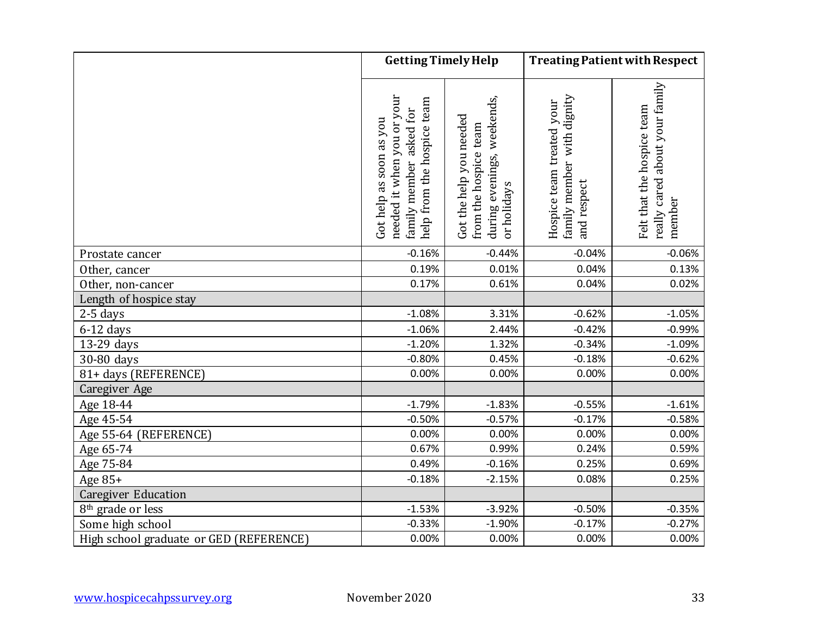|                                         | <b>Getting Timely Help</b>                                                                                        |                                                                                                  | <b>Treating Patient with Respect</b>                                   |                                                                        |  |
|-----------------------------------------|-------------------------------------------------------------------------------------------------------------------|--------------------------------------------------------------------------------------------------|------------------------------------------------------------------------|------------------------------------------------------------------------|--|
|                                         | needed it when you or your<br>help from the hospice team<br>asked for<br>Got help as soon as you<br>family member | during evenings, weekends,<br>Got the help you needed<br>team<br>from the hospice<br>or holidays | family member with dignity<br>Hospice team treated your<br>and respect | really cared about your family<br>Felt that the hospice team<br>member |  |
| Prostate cancer                         | $-0.16%$                                                                                                          | $-0.44%$                                                                                         | $-0.04%$                                                               | $-0.06%$                                                               |  |
| Other, cancer                           | 0.19%                                                                                                             | 0.01%                                                                                            | 0.04%                                                                  | 0.13%                                                                  |  |
| Other, non-cancer                       | 0.17%                                                                                                             | 0.61%                                                                                            | 0.04%                                                                  | 0.02%                                                                  |  |
| Length of hospice stay                  |                                                                                                                   |                                                                                                  |                                                                        |                                                                        |  |
| $2-5$ days                              | $-1.08%$                                                                                                          | 3.31%                                                                                            | $-0.62%$                                                               | $-1.05%$                                                               |  |
| $6-12$ days                             | $-1.06%$                                                                                                          | 2.44%                                                                                            | $-0.42%$                                                               | $-0.99%$                                                               |  |
| 13-29 days                              | $-1.20%$                                                                                                          | 1.32%                                                                                            | $-0.34%$                                                               | $-1.09%$                                                               |  |
| 30-80 days                              | $-0.80%$                                                                                                          | 0.45%                                                                                            | $-0.18%$                                                               | $-0.62%$                                                               |  |
| 81+ days (REFERENCE)                    | 0.00%                                                                                                             | 0.00%                                                                                            | 0.00%                                                                  | 0.00%                                                                  |  |
| Caregiver Age                           |                                                                                                                   |                                                                                                  |                                                                        |                                                                        |  |
| Age 18-44                               | $-1.79%$                                                                                                          | $-1.83%$                                                                                         | $-0.55%$                                                               | $-1.61%$                                                               |  |
| Age 45-54                               | $-0.50%$                                                                                                          | $-0.57%$                                                                                         | $-0.17%$                                                               | $-0.58%$                                                               |  |
| Age 55-64 (REFERENCE)                   | 0.00%                                                                                                             | 0.00%                                                                                            | 0.00%                                                                  | 0.00%                                                                  |  |
| Age 65-74                               | 0.67%                                                                                                             | 0.99%                                                                                            | 0.24%                                                                  | 0.59%                                                                  |  |
| Age 75-84                               | 0.49%                                                                                                             | $-0.16%$                                                                                         | 0.25%                                                                  | 0.69%                                                                  |  |
| Age 85+                                 | $-0.18%$                                                                                                          | $-2.15%$                                                                                         | 0.08%                                                                  | 0.25%                                                                  |  |
| <b>Caregiver Education</b>              |                                                                                                                   |                                                                                                  |                                                                        |                                                                        |  |
| 8 <sup>th</sup> grade or less           | $-1.53%$                                                                                                          | $-3.92%$                                                                                         | $-0.50%$                                                               | $-0.35%$                                                               |  |
| Some high school                        | $-0.33%$                                                                                                          | $-1.90%$                                                                                         | $-0.17%$                                                               | $-0.27%$                                                               |  |
| High school graduate or GED (REFERENCE) | 0.00%                                                                                                             | 0.00%                                                                                            | 0.00%                                                                  | 0.00%                                                                  |  |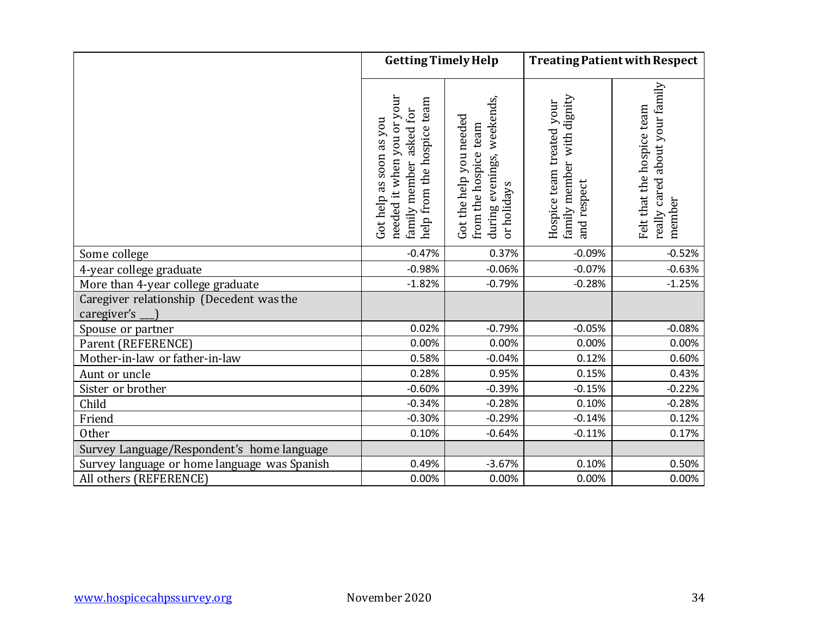|                                                         | <b>Getting Timely Help</b>                                                                                           |                                                                                                     |                                                                        | <b>Treating Patient with Respect</b>                                   |  |
|---------------------------------------------------------|----------------------------------------------------------------------------------------------------------------------|-----------------------------------------------------------------------------------------------------|------------------------------------------------------------------------|------------------------------------------------------------------------|--|
|                                                         | needed it when you or your<br>help from the hospice team<br>for<br>Got help as soon as you<br>asked<br>family member | evenings, weekends,<br>Got the help you needed<br>team<br>from the hospice<br>or holidays<br>during | family member with dignity<br>Hospice team treated your<br>and respect | really cared about your family<br>Felt that the hospice team<br>member |  |
| Some college                                            | $-0.47%$                                                                                                             | 0.37%                                                                                               | $-0.09%$                                                               | $-0.52%$                                                               |  |
| 4-year college graduate                                 | $-0.98%$                                                                                                             | $-0.06%$                                                                                            | $-0.07%$                                                               | $-0.63%$                                                               |  |
| More than 4-year college graduate                       | $-1.82%$                                                                                                             | $-0.79%$                                                                                            | $-0.28%$                                                               | $-1.25%$                                                               |  |
| Caregiver relationship (Decedent was the<br>caregiver's |                                                                                                                      |                                                                                                     |                                                                        |                                                                        |  |
| Spouse or partner                                       | 0.02%                                                                                                                | $-0.79%$                                                                                            | $-0.05%$                                                               | $-0.08%$                                                               |  |
| Parent (REFERENCE)                                      | 0.00%                                                                                                                | 0.00%                                                                                               | 0.00%                                                                  | 0.00%                                                                  |  |
| Mother-in-law or father-in-law                          | 0.58%                                                                                                                | $-0.04%$                                                                                            | 0.12%                                                                  | 0.60%                                                                  |  |
| Aunt or uncle                                           | 0.28%                                                                                                                | 0.95%                                                                                               | 0.15%                                                                  | 0.43%                                                                  |  |
| Sister or brother                                       | $-0.60%$                                                                                                             | $-0.39%$                                                                                            | $-0.15%$                                                               | $-0.22%$                                                               |  |
| Child                                                   | $-0.34%$                                                                                                             | $-0.28%$                                                                                            | 0.10%                                                                  | $-0.28%$                                                               |  |
| Friend                                                  | $-0.30%$                                                                                                             | $-0.29%$                                                                                            | $-0.14%$                                                               | 0.12%                                                                  |  |
| <b>Other</b>                                            | 0.10%                                                                                                                | $-0.64%$                                                                                            | $-0.11%$                                                               | 0.17%                                                                  |  |
| Survey Language/Respondent's home language              |                                                                                                                      |                                                                                                     |                                                                        |                                                                        |  |
| Survey language or home language was Spanish            | 0.49%                                                                                                                | $-3.67%$                                                                                            | 0.10%                                                                  | 0.50%                                                                  |  |
| All others (REFERENCE)                                  | 0.00%                                                                                                                | 0.00%                                                                                               | 0.00%                                                                  | 0.00%                                                                  |  |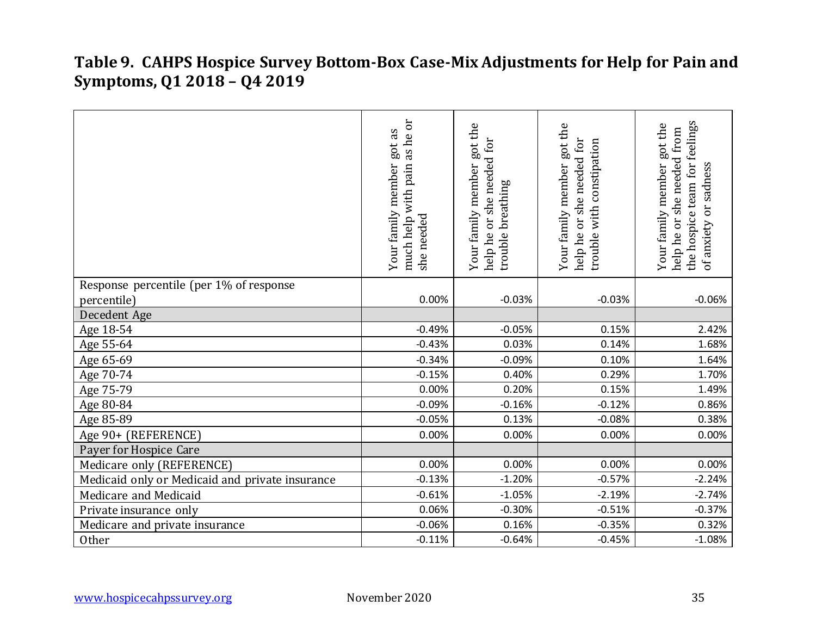#### **Table 9. CAHPS Hospice Survey Bottom-Box Case-Mix Adjustments for Help for Pain and Symptoms, Q1 2018 – Q4 2019**

|                                                 | as he or<br>got as<br>much help with pain<br>Your family member<br>she needed | Your family member got the<br>help he or she needed for<br>trouble breathing | Your family member got the<br>help he or she needed for<br>trouble with constipation | the hospice team for feelings<br>Your family member got the<br>help he or she needed from<br>or sadness<br>of anxiety |
|-------------------------------------------------|-------------------------------------------------------------------------------|------------------------------------------------------------------------------|--------------------------------------------------------------------------------------|-----------------------------------------------------------------------------------------------------------------------|
| Response percentile (per 1% of response         |                                                                               |                                                                              |                                                                                      |                                                                                                                       |
| percentile)                                     | 0.00%                                                                         | $-0.03%$                                                                     | $-0.03%$                                                                             | $-0.06%$                                                                                                              |
| Decedent Age                                    |                                                                               |                                                                              |                                                                                      |                                                                                                                       |
| Age 18-54                                       | $-0.49%$                                                                      | $-0.05%$                                                                     | 0.15%                                                                                | 2.42%                                                                                                                 |
| Age 55-64                                       | $-0.43%$                                                                      | 0.03%                                                                        | 0.14%                                                                                | 1.68%                                                                                                                 |
| Age 65-69                                       | $-0.34%$                                                                      | $-0.09%$                                                                     | 0.10%                                                                                | 1.64%                                                                                                                 |
| Age 70-74                                       | $-0.15%$                                                                      | 0.40%                                                                        | 0.29%                                                                                | 1.70%                                                                                                                 |
| Age 75-79                                       | 0.00%                                                                         | 0.20%                                                                        | 0.15%                                                                                | 1.49%                                                                                                                 |
| Age 80-84                                       | $-0.09%$                                                                      | $-0.16%$                                                                     | $-0.12%$                                                                             | 0.86%                                                                                                                 |
| Age 85-89                                       | $-0.05%$                                                                      | 0.13%                                                                        | $-0.08%$                                                                             | 0.38%                                                                                                                 |
| Age 90+ (REFERENCE)                             | 0.00%                                                                         | 0.00%                                                                        | 0.00%                                                                                | 0.00%                                                                                                                 |
| Payer for Hospice Care                          |                                                                               |                                                                              |                                                                                      |                                                                                                                       |
| Medicare only (REFERENCE)                       | 0.00%                                                                         | 0.00%                                                                        | 0.00%                                                                                | 0.00%                                                                                                                 |
| Medicaid only or Medicaid and private insurance | $-0.13%$                                                                      | $-1.20%$                                                                     | $-0.57%$                                                                             | $-2.24%$                                                                                                              |
| Medicare and Medicaid                           | $-0.61%$                                                                      | $-1.05%$                                                                     | $-2.19%$                                                                             | $-2.74%$                                                                                                              |
| Private insurance only                          | 0.06%                                                                         | $-0.30%$                                                                     | $-0.51%$                                                                             | $-0.37%$                                                                                                              |
| Medicare and private insurance                  | $-0.06%$                                                                      | 0.16%                                                                        | $-0.35%$                                                                             | 0.32%                                                                                                                 |
| Other                                           | $-0.11%$                                                                      | $-0.64%$                                                                     | $-0.45%$                                                                             | $-1.08%$                                                                                                              |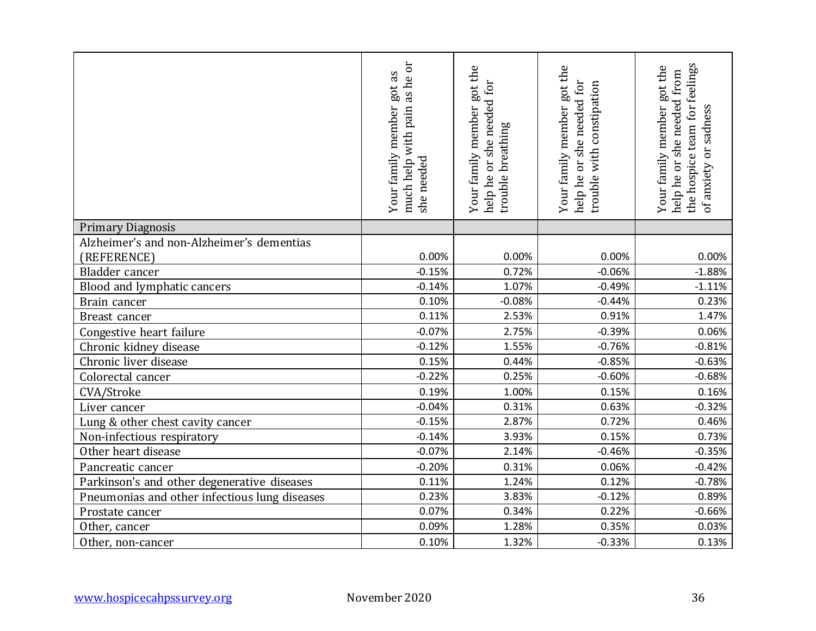|                                               | as he or<br>got as<br>with pain<br>Your family member<br>much help<br>she needed | Your family member got the<br>help he or she needed for<br>trouble breathing | Your family member got the<br>help he or she needed for<br>trouble with constipation | team for feelings<br>Your family member got the<br>help he or she needed from<br>or sadness<br>the hospice<br>of anxiety |
|-----------------------------------------------|----------------------------------------------------------------------------------|------------------------------------------------------------------------------|--------------------------------------------------------------------------------------|--------------------------------------------------------------------------------------------------------------------------|
| <b>Primary Diagnosis</b>                      |                                                                                  |                                                                              |                                                                                      |                                                                                                                          |
| Alzheimer's and non-Alzheimer's dementias     |                                                                                  |                                                                              |                                                                                      |                                                                                                                          |
| (REFERENCE)                                   | 0.00%                                                                            | 0.00%                                                                        | 0.00%                                                                                | 0.00%                                                                                                                    |
| Bladder cancer                                | $-0.15%$                                                                         | 0.72%                                                                        | $-0.06%$                                                                             | $-1.88%$                                                                                                                 |
| Blood and lymphatic cancers                   | $-0.14%$                                                                         | 1.07%                                                                        | $-0.49%$                                                                             | $-1.11%$                                                                                                                 |
| Brain cancer                                  | 0.10%                                                                            | $-0.08%$                                                                     | $-0.44%$                                                                             | 0.23%                                                                                                                    |
| Breast cancer                                 | 0.11%                                                                            | 2.53%                                                                        | 0.91%                                                                                | 1.47%                                                                                                                    |
| Congestive heart failure                      | $-0.07%$                                                                         | 2.75%                                                                        | $-0.39%$                                                                             | 0.06%                                                                                                                    |
| Chronic kidney disease                        | $-0.12%$                                                                         | 1.55%                                                                        | $-0.76%$                                                                             | $-0.81%$                                                                                                                 |
| Chronic liver disease                         | 0.15%                                                                            | 0.44%                                                                        | $-0.85%$                                                                             | $-0.63%$                                                                                                                 |
| Colorectal cancer                             | $-0.22%$                                                                         | 0.25%                                                                        | $-0.60%$                                                                             | $-0.68%$                                                                                                                 |
| CVA/Stroke                                    | 0.19%                                                                            | 1.00%                                                                        | 0.15%                                                                                | 0.16%                                                                                                                    |
| Liver cancer                                  | $-0.04%$                                                                         | 0.31%                                                                        | 0.63%                                                                                | $-0.32%$                                                                                                                 |
| Lung & other chest cavity cancer              | $-0.15%$                                                                         | 2.87%                                                                        | 0.72%                                                                                | 0.46%                                                                                                                    |
| Non-infectious respiratory                    | $-0.14%$                                                                         | 3.93%                                                                        | 0.15%                                                                                | 0.73%                                                                                                                    |
| Other heart disease                           | $-0.07%$                                                                         | 2.14%                                                                        | $-0.46%$                                                                             | $-0.35%$                                                                                                                 |
| Pancreatic cancer                             | $-0.20%$                                                                         | 0.31%                                                                        | 0.06%                                                                                | $-0.42%$                                                                                                                 |
| Parkinson's and other degenerative diseases   | 0.11%                                                                            | 1.24%                                                                        | 0.12%                                                                                | $-0.78%$                                                                                                                 |
| Pneumonias and other infectious lung diseases | 0.23%                                                                            | 3.83%                                                                        | $-0.12%$                                                                             | 0.89%                                                                                                                    |
| Prostate cancer                               | 0.07%                                                                            | 0.34%                                                                        | 0.22%                                                                                | $-0.66%$                                                                                                                 |
| Other, cancer                                 | 0.09%                                                                            | 1.28%                                                                        | 0.35%                                                                                | 0.03%                                                                                                                    |
| Other, non-cancer                             | 0.10%                                                                            | 1.32%                                                                        | $-0.33%$                                                                             | 0.13%                                                                                                                    |
| www.hospicecahpssurvey.org                    | November 2020                                                                    |                                                                              |                                                                                      | 36                                                                                                                       |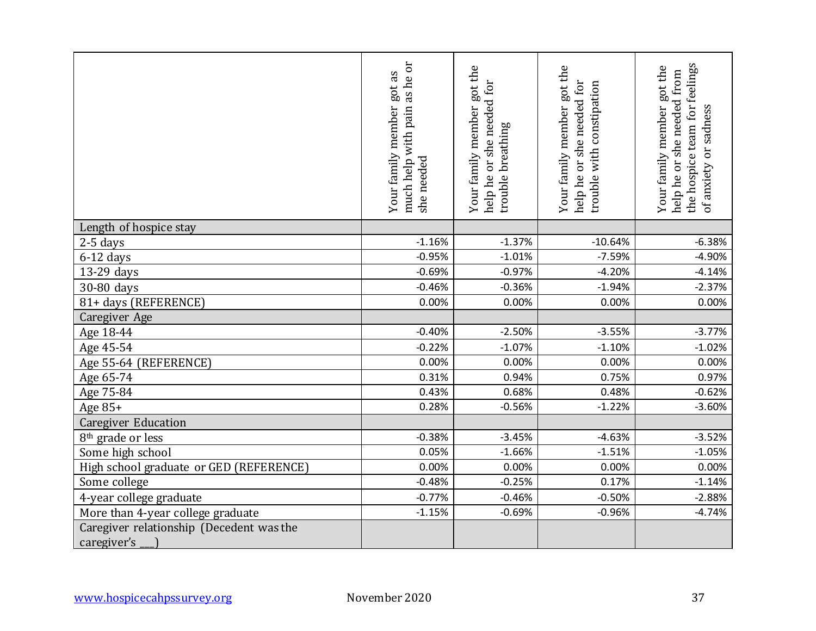|                                                         | as he or<br>got as<br>Your family member<br>much help with pain<br>needed<br>she | Your family member got the<br>help he or she needed for<br>trouble breathing | Your family member got the<br>help he or she needed for<br>trouble with constipation | the hospice team for feelings<br>Your family member got the<br>help he or she needed from<br>or sadness<br>of anxiety |
|---------------------------------------------------------|----------------------------------------------------------------------------------|------------------------------------------------------------------------------|--------------------------------------------------------------------------------------|-----------------------------------------------------------------------------------------------------------------------|
| Length of hospice stay                                  |                                                                                  |                                                                              |                                                                                      |                                                                                                                       |
| 2-5 days                                                | $-1.16%$                                                                         | $-1.37%$                                                                     | $-10.64%$                                                                            | $-6.38%$                                                                                                              |
| $6-12$ days                                             | $-0.95%$                                                                         | $-1.01%$                                                                     | $-7.59%$                                                                             | $-4.90%$                                                                                                              |
| 13-29 days                                              | $-0.69%$                                                                         | $-0.97%$                                                                     | $-4.20%$                                                                             | $-4.14%$                                                                                                              |
| 30-80 days                                              | $-0.46%$                                                                         | $-0.36%$                                                                     | $-1.94%$                                                                             | $-2.37%$                                                                                                              |
| 81+ days (REFERENCE)                                    | 0.00%                                                                            | 0.00%                                                                        | 0.00%                                                                                | 0.00%                                                                                                                 |
| Caregiver Age                                           |                                                                                  |                                                                              |                                                                                      |                                                                                                                       |
| Age 18-44                                               | $-0.40%$                                                                         | $-2.50%$                                                                     | $-3.55%$                                                                             | $-3.77%$                                                                                                              |
| Age 45-54                                               | $-0.22%$                                                                         | $-1.07%$                                                                     | $-1.10%$                                                                             | $-1.02%$                                                                                                              |
| Age 55-64 (REFERENCE)                                   | 0.00%                                                                            | 0.00%                                                                        | 0.00%                                                                                | 0.00%                                                                                                                 |
| Age 65-74                                               | 0.31%                                                                            | 0.94%                                                                        | 0.75%                                                                                | 0.97%                                                                                                                 |
| Age 75-84                                               | 0.43%                                                                            | 0.68%                                                                        | 0.48%                                                                                | $-0.62%$                                                                                                              |
| Age 85+                                                 | 0.28%                                                                            | $-0.56%$                                                                     | $-1.22%$                                                                             | $-3.60%$                                                                                                              |
| <b>Caregiver Education</b>                              |                                                                                  |                                                                              |                                                                                      |                                                                                                                       |
| 8 <sup>th</sup> grade or less                           | $-0.38%$                                                                         | $-3.45%$                                                                     | $-4.63%$                                                                             | $-3.52%$                                                                                                              |
| Some high school                                        | 0.05%                                                                            | $-1.66%$                                                                     | $-1.51%$                                                                             | $-1.05%$                                                                                                              |
| High school graduate or GED (REFERENCE)                 | 0.00%                                                                            | 0.00%                                                                        | 0.00%                                                                                | 0.00%                                                                                                                 |
| Some college                                            | $-0.48%$                                                                         | $-0.25%$                                                                     | 0.17%                                                                                | $-1.14%$                                                                                                              |
| 4-year college graduate                                 | $-0.77%$                                                                         | $-0.46%$                                                                     | $-0.50%$                                                                             | $-2.88%$                                                                                                              |
| More than 4-year college graduate                       | $-1.15%$                                                                         | $-0.69%$                                                                     | $-0.96%$                                                                             | $-4.74%$                                                                                                              |
| Caregiver relationship (Decedent was the<br>caregiver's |                                                                                  |                                                                              |                                                                                      |                                                                                                                       |
| www.hospicecahpssurvey.org                              | November 2020                                                                    |                                                                              |                                                                                      | 37                                                                                                                    |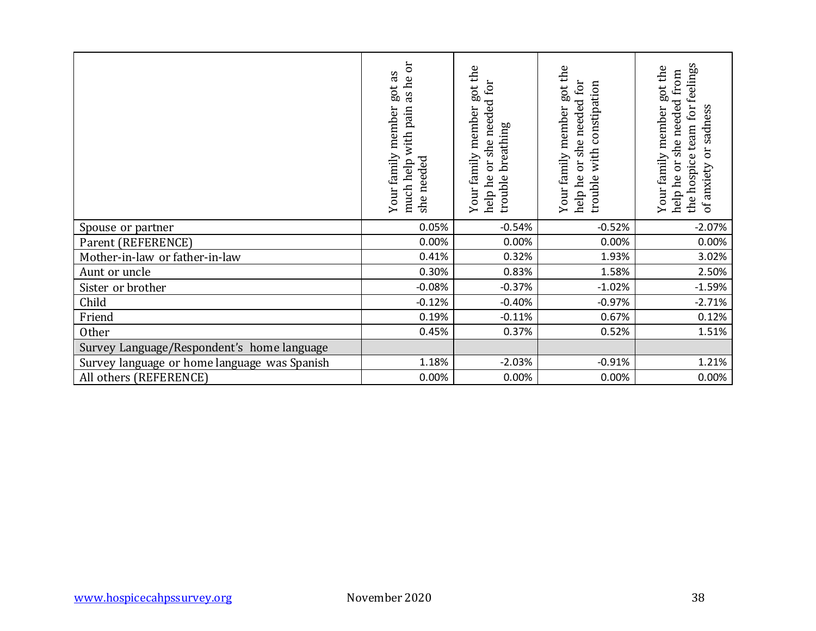|                                              | much help with pain as he or<br>Your family member got as<br>she needed | Your family member got the<br>help he or she needed for<br>trouble breathing | Your family member got the<br>help he or she needed for<br>trouble with constipation | the hospice team for feelings<br>Your family member got the<br>help he or she needed from<br>of anxiety or sadness |
|----------------------------------------------|-------------------------------------------------------------------------|------------------------------------------------------------------------------|--------------------------------------------------------------------------------------|--------------------------------------------------------------------------------------------------------------------|
| Spouse or partner                            | 0.05%                                                                   | $-0.54%$                                                                     | $-0.52%$                                                                             | $-2.07%$                                                                                                           |
| Parent (REFERENCE)                           | 0.00%                                                                   | 0.00%                                                                        | 0.00%                                                                                | 0.00%                                                                                                              |
| Mother-in-law or father-in-law               | 0.41%                                                                   | 0.32%                                                                        | 1.93%                                                                                | 3.02%                                                                                                              |
| Aunt or uncle                                | 0.30%                                                                   | 0.83%                                                                        | 1.58%                                                                                | 2.50%                                                                                                              |
| Sister or brother                            | $-0.08%$                                                                | $-0.37%$                                                                     | $-1.02%$                                                                             | $-1.59%$                                                                                                           |
| Child                                        | $-0.12%$                                                                | $-0.40%$                                                                     | $-0.97%$                                                                             | $-2.71%$                                                                                                           |
| Friend                                       | 0.19%                                                                   | $-0.11%$                                                                     | 0.67%                                                                                | 0.12%                                                                                                              |
| Other                                        | 0.45%                                                                   | 0.37%                                                                        | 0.52%                                                                                | 1.51%                                                                                                              |
| Survey Language/Respondent's home language   |                                                                         |                                                                              |                                                                                      |                                                                                                                    |
| Survey language or home language was Spanish | 1.18%                                                                   | $-2.03%$                                                                     | $-0.91%$                                                                             | 1.21%                                                                                                              |
| All others (REFERENCE)                       | 0.00%                                                                   | 0.00%                                                                        | 0.00%                                                                                | 0.00%                                                                                                              |
|                                              |                                                                         |                                                                              |                                                                                      |                                                                                                                    |
| www.hospicecahpssurvey.org                   | November 2020                                                           |                                                                              |                                                                                      | 38                                                                                                                 |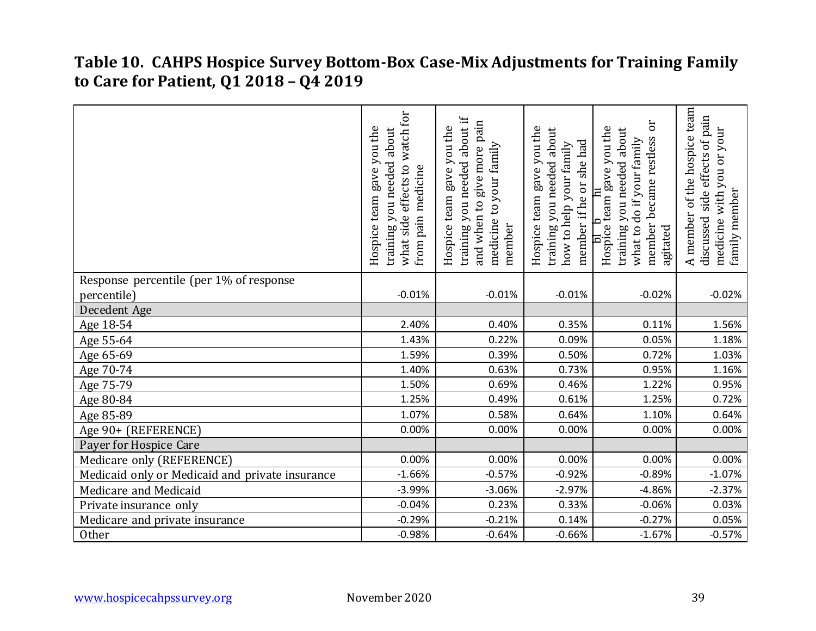#### **Table 10. CAHPS Hospice Survey Bottom-Box Case-Mix Adjustments for Training Family to Care for Patient, Q1 2018 – Q4 2019**

|                                                 | what side effects to watch for<br>gave you the<br>training you needed about<br>medicine<br>Hospice team<br>from pain | training you needed about if<br>and when to give more pain<br>gave you the<br>medicine to your family<br>Hospice team<br>member | Hospice team gave you the<br>training you needed about<br>member if he or she had<br>how to help your family | ðr<br>Hospice team gave you the<br>about<br>member became restless<br>what to do if your family<br>training you needed<br>agitated | A member of the hospice team<br>side effects of pain<br>you or your<br>with \<br>family member<br>discussed<br>medicine |
|-------------------------------------------------|----------------------------------------------------------------------------------------------------------------------|---------------------------------------------------------------------------------------------------------------------------------|--------------------------------------------------------------------------------------------------------------|------------------------------------------------------------------------------------------------------------------------------------|-------------------------------------------------------------------------------------------------------------------------|
| Response percentile (per 1% of response         |                                                                                                                      |                                                                                                                                 |                                                                                                              |                                                                                                                                    |                                                                                                                         |
| percentile)                                     | $-0.01%$                                                                                                             | $-0.01%$                                                                                                                        | $-0.01%$                                                                                                     | $-0.02%$                                                                                                                           | $-0.02%$                                                                                                                |
| Decedent Age                                    |                                                                                                                      |                                                                                                                                 |                                                                                                              |                                                                                                                                    |                                                                                                                         |
| Age 18-54                                       | 2.40%                                                                                                                | 0.40%                                                                                                                           | 0.35%                                                                                                        | 0.11%                                                                                                                              | 1.56%                                                                                                                   |
| Age 55-64                                       | 1.43%                                                                                                                | 0.22%                                                                                                                           | 0.09%                                                                                                        | 0.05%                                                                                                                              | 1.18%                                                                                                                   |
| Age 65-69                                       | 1.59%                                                                                                                | 0.39%                                                                                                                           | 0.50%                                                                                                        | 0.72%                                                                                                                              | 1.03%                                                                                                                   |
| Age 70-74                                       | 1.40%                                                                                                                | 0.63%                                                                                                                           | 0.73%                                                                                                        | 0.95%                                                                                                                              | 1.16%                                                                                                                   |
| Age 75-79                                       | 1.50%                                                                                                                | 0.69%                                                                                                                           | 0.46%                                                                                                        | 1.22%                                                                                                                              | 0.95%                                                                                                                   |
| Age 80-84                                       | 1.25%                                                                                                                | 0.49%                                                                                                                           | 0.61%                                                                                                        | 1.25%                                                                                                                              | 0.72%                                                                                                                   |
| Age 85-89                                       | 1.07%                                                                                                                | 0.58%                                                                                                                           | 0.64%                                                                                                        | 1.10%                                                                                                                              | 0.64%                                                                                                                   |
| Age 90+ (REFERENCE)                             | 0.00%                                                                                                                | 0.00%                                                                                                                           | 0.00%                                                                                                        | 0.00%                                                                                                                              | 0.00%                                                                                                                   |
| Payer for Hospice Care                          |                                                                                                                      |                                                                                                                                 |                                                                                                              |                                                                                                                                    |                                                                                                                         |
| Medicare only (REFERENCE)                       | 0.00%                                                                                                                | 0.00%                                                                                                                           | 0.00%                                                                                                        | 0.00%                                                                                                                              | 0.00%                                                                                                                   |
| Medicaid only or Medicaid and private insurance | $-1.66%$                                                                                                             | $-0.57%$                                                                                                                        | $-0.92%$                                                                                                     | $-0.89%$                                                                                                                           | $-1.07%$                                                                                                                |
| Medicare and Medicaid                           | $-3.99%$                                                                                                             | $-3.06%$                                                                                                                        | $-2.97%$                                                                                                     | $-4.86%$                                                                                                                           | $-2.37%$                                                                                                                |
| Private insurance only                          | $-0.04%$                                                                                                             | 0.23%                                                                                                                           | 0.33%                                                                                                        | $-0.06%$                                                                                                                           | 0.03%                                                                                                                   |
| Medicare and private insurance                  | $-0.29%$                                                                                                             | $-0.21%$                                                                                                                        | 0.14%                                                                                                        | $-0.27%$                                                                                                                           | 0.05%                                                                                                                   |
| Other                                           | $-0.98%$                                                                                                             | $-0.64%$                                                                                                                        | $-0.66%$                                                                                                     | $-1.67%$                                                                                                                           | $-0.57%$                                                                                                                |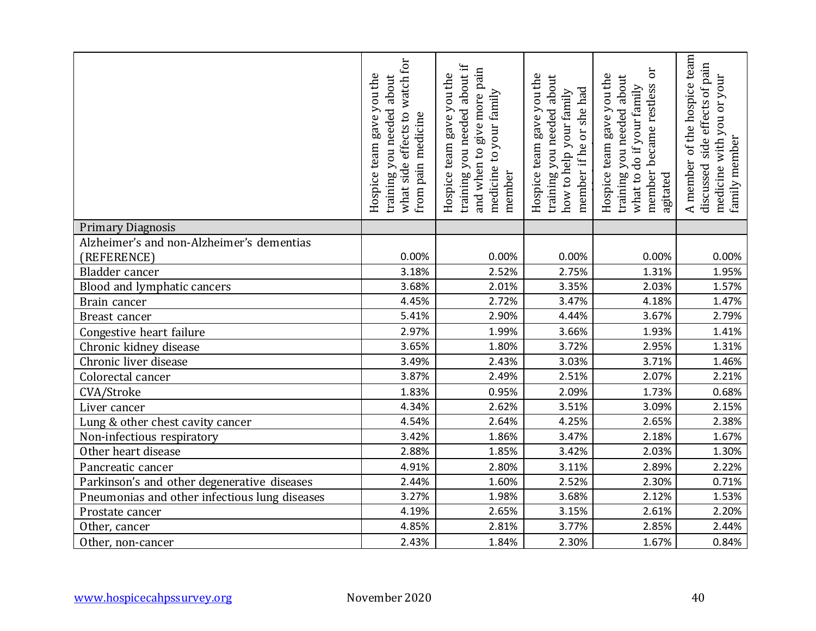|                                               | watch for<br>gave you the<br>about<br>training you needed<br>what side effects to<br>from pain medicine<br>Hospice team | about if<br>and when to give more pain<br>gave you the<br>medicine to your family<br>training you needed<br>Hospice team<br>member | gave you the<br>about<br>member if he or she had<br>how to help your family<br>training you needed<br>Hospice team | ör<br>Hospice team gave you the<br>about<br>member became restless<br>what to do if your family<br>training you needed<br>agitated | of the hospice team<br>side effects of pain<br>you or your<br>with<br>family member<br>A member<br>discussed<br>medicine |
|-----------------------------------------------|-------------------------------------------------------------------------------------------------------------------------|------------------------------------------------------------------------------------------------------------------------------------|--------------------------------------------------------------------------------------------------------------------|------------------------------------------------------------------------------------------------------------------------------------|--------------------------------------------------------------------------------------------------------------------------|
| <b>Primary Diagnosis</b>                      |                                                                                                                         |                                                                                                                                    |                                                                                                                    |                                                                                                                                    |                                                                                                                          |
| Alzheimer's and non-Alzheimer's dementias     |                                                                                                                         |                                                                                                                                    |                                                                                                                    |                                                                                                                                    |                                                                                                                          |
| (REFERENCE)                                   | 0.00%                                                                                                                   | 0.00%                                                                                                                              | 0.00%                                                                                                              | 0.00%                                                                                                                              | 0.00%                                                                                                                    |
| Bladder cancer                                | 3.18%                                                                                                                   | 2.52%                                                                                                                              | 2.75%                                                                                                              | 1.31%                                                                                                                              | 1.95%                                                                                                                    |
| Blood and lymphatic cancers                   | 3.68%                                                                                                                   | 2.01%                                                                                                                              | 3.35%                                                                                                              | 2.03%                                                                                                                              | 1.57%                                                                                                                    |
| Brain cancer                                  | 4.45%                                                                                                                   | 2.72%                                                                                                                              | 3.47%                                                                                                              | 4.18%                                                                                                                              | 1.47%                                                                                                                    |
| Breast cancer                                 | 5.41%                                                                                                                   | 2.90%                                                                                                                              | 4.44%                                                                                                              | 3.67%                                                                                                                              | 2.79%                                                                                                                    |
| Congestive heart failure                      | 2.97%                                                                                                                   | 1.99%                                                                                                                              | 3.66%                                                                                                              | 1.93%                                                                                                                              | 1.41%                                                                                                                    |
| Chronic kidney disease                        | 3.65%                                                                                                                   | 1.80%                                                                                                                              | 3.72%                                                                                                              | 2.95%                                                                                                                              | 1.31%                                                                                                                    |
| Chronic liver disease                         | 3.49%                                                                                                                   | 2.43%                                                                                                                              | 3.03%                                                                                                              | 3.71%                                                                                                                              | 1.46%                                                                                                                    |
| Colorectal cancer                             | 3.87%                                                                                                                   | 2.49%                                                                                                                              | 2.51%                                                                                                              | 2.07%                                                                                                                              | 2.21%                                                                                                                    |
| CVA/Stroke                                    | 1.83%                                                                                                                   | 0.95%                                                                                                                              | 2.09%                                                                                                              | 1.73%                                                                                                                              | 0.68%                                                                                                                    |
| Liver cancer                                  | 4.34%                                                                                                                   | 2.62%                                                                                                                              | 3.51%                                                                                                              | 3.09%                                                                                                                              | 2.15%                                                                                                                    |
| Lung & other chest cavity cancer              | 4.54%                                                                                                                   | 2.64%                                                                                                                              | 4.25%                                                                                                              | 2.65%                                                                                                                              | 2.38%                                                                                                                    |
| Non-infectious respiratory                    | 3.42%                                                                                                                   | 1.86%                                                                                                                              | 3.47%                                                                                                              | 2.18%                                                                                                                              | 1.67%                                                                                                                    |
| Other heart disease                           | 2.88%                                                                                                                   | 1.85%                                                                                                                              | 3.42%                                                                                                              | 2.03%                                                                                                                              | 1.30%                                                                                                                    |
| Pancreatic cancer                             | 4.91%                                                                                                                   | 2.80%                                                                                                                              | 3.11%                                                                                                              | 2.89%                                                                                                                              | 2.22%                                                                                                                    |
| Parkinson's and other degenerative diseases   | 2.44%                                                                                                                   | 1.60%                                                                                                                              | 2.52%                                                                                                              | 2.30%                                                                                                                              | 0.71%                                                                                                                    |
| Pneumonias and other infectious lung diseases | 3.27%                                                                                                                   | 1.98%                                                                                                                              | 3.68%                                                                                                              | 2.12%                                                                                                                              | 1.53%                                                                                                                    |
| Prostate cancer                               | 4.19%                                                                                                                   | 2.65%                                                                                                                              | 3.15%                                                                                                              | 2.61%                                                                                                                              | 2.20%                                                                                                                    |
| Other, cancer                                 | 4.85%                                                                                                                   | 2.81%                                                                                                                              | 3.77%                                                                                                              | 2.85%                                                                                                                              | 2.44%                                                                                                                    |
| Other, non-cancer                             | 2.43%                                                                                                                   | 1.84%                                                                                                                              | 2.30%                                                                                                              | 1.67%                                                                                                                              | 0.84%                                                                                                                    |
| www.hospicecahpssurvey.org                    | November 2020                                                                                                           |                                                                                                                                    |                                                                                                                    |                                                                                                                                    | 40                                                                                                                       |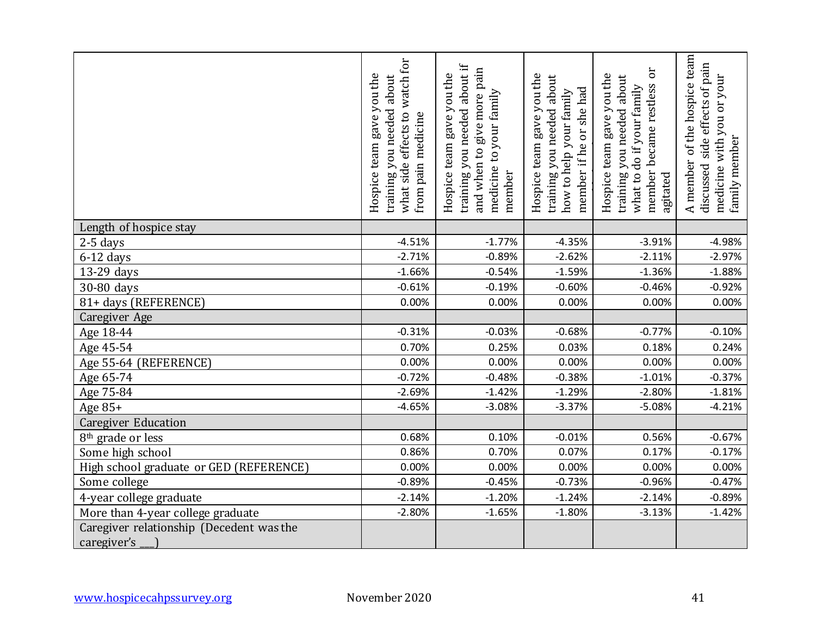|                                          | watch for<br>gave you the<br>about<br>training you needed<br>what side effects to<br>from pain medicine<br>Hospice team | training you needed about if<br>and when to give more pain<br>gave you the<br>medicine to your family<br>Hospice team<br>member | gave you the<br>training you needed about<br>member if he or she had<br>how to help your family<br>Hospice team | ör<br>Hospice team gave you the<br>about<br>member became restless<br>what to do if your family<br>training you needed<br>agitated | of the hospice team<br>side effects of pain<br>you or your<br>with<br>family member<br>A member<br>discussed<br>medicine |
|------------------------------------------|-------------------------------------------------------------------------------------------------------------------------|---------------------------------------------------------------------------------------------------------------------------------|-----------------------------------------------------------------------------------------------------------------|------------------------------------------------------------------------------------------------------------------------------------|--------------------------------------------------------------------------------------------------------------------------|
| Length of hospice stay                   |                                                                                                                         |                                                                                                                                 |                                                                                                                 |                                                                                                                                    |                                                                                                                          |
| $2-5$ days                               | $-4.51%$                                                                                                                | $-1.77%$                                                                                                                        | $-4.35%$                                                                                                        | $-3.91%$                                                                                                                           | $-4.98%$                                                                                                                 |
| $6-12$ days                              | $-2.71%$                                                                                                                | $-0.89%$                                                                                                                        | $-2.62%$                                                                                                        | $-2.11%$                                                                                                                           | $-2.97%$                                                                                                                 |
| 13-29 days                               | $-1.66%$                                                                                                                | $-0.54%$                                                                                                                        | $-1.59%$                                                                                                        | $-1.36%$                                                                                                                           | $-1.88%$                                                                                                                 |
| 30-80 days                               | $-0.61%$                                                                                                                | $-0.19%$                                                                                                                        | $-0.60%$                                                                                                        | $-0.46%$                                                                                                                           | $-0.92%$                                                                                                                 |
| 81+ days (REFERENCE)                     | 0.00%                                                                                                                   | 0.00%                                                                                                                           | 0.00%                                                                                                           | 0.00%                                                                                                                              | 0.00%                                                                                                                    |
| Caregiver Age                            |                                                                                                                         |                                                                                                                                 |                                                                                                                 |                                                                                                                                    |                                                                                                                          |
| Age 18-44                                | $-0.31%$                                                                                                                | $-0.03%$                                                                                                                        | $-0.68%$                                                                                                        | $-0.77%$                                                                                                                           | $-0.10%$                                                                                                                 |
| Age 45-54                                | 0.70%                                                                                                                   | 0.25%                                                                                                                           | 0.03%                                                                                                           | 0.18%                                                                                                                              | 0.24%                                                                                                                    |
| Age 55-64 (REFERENCE)                    | 0.00%                                                                                                                   | 0.00%                                                                                                                           | 0.00%                                                                                                           | 0.00%                                                                                                                              | 0.00%                                                                                                                    |
| Age 65-74                                | $-0.72%$                                                                                                                | $-0.48%$                                                                                                                        | $-0.38%$                                                                                                        | $-1.01%$                                                                                                                           | $-0.37%$                                                                                                                 |
| Age 75-84                                | $-2.69%$                                                                                                                | $-1.42%$                                                                                                                        | $-1.29%$                                                                                                        | $-2.80%$                                                                                                                           | $-1.81%$                                                                                                                 |
| Age 85+                                  | $-4.65%$                                                                                                                | $-3.08%$                                                                                                                        | $-3.37%$                                                                                                        | $-5.08%$                                                                                                                           | $-4.21%$                                                                                                                 |
| <b>Caregiver Education</b>               |                                                                                                                         |                                                                                                                                 |                                                                                                                 |                                                                                                                                    |                                                                                                                          |
| 8 <sup>th</sup> grade or less            | 0.68%                                                                                                                   | 0.10%                                                                                                                           | $-0.01%$                                                                                                        | 0.56%                                                                                                                              | $-0.67%$                                                                                                                 |
| Some high school                         | 0.86%                                                                                                                   | 0.70%                                                                                                                           | 0.07%                                                                                                           | 0.17%                                                                                                                              | $-0.17%$                                                                                                                 |
| High school graduate or GED (REFERENCE)  | 0.00%                                                                                                                   | 0.00%                                                                                                                           | 0.00%                                                                                                           | 0.00%                                                                                                                              | 0.00%                                                                                                                    |
| Some college                             | $-0.89%$                                                                                                                | $-0.45%$                                                                                                                        | $-0.73%$                                                                                                        | $-0.96%$                                                                                                                           | $-0.47%$                                                                                                                 |
| 4-year college graduate                  | $-2.14%$                                                                                                                | $-1.20%$                                                                                                                        | $-1.24%$                                                                                                        | $-2.14%$                                                                                                                           | $-0.89%$                                                                                                                 |
| More than 4-year college graduate        | $-2.80%$                                                                                                                | $-1.65%$                                                                                                                        | $-1.80%$                                                                                                        | $-3.13%$                                                                                                                           | $-1.42%$                                                                                                                 |
| Caregiver relationship (Decedent was the |                                                                                                                         |                                                                                                                                 |                                                                                                                 |                                                                                                                                    |                                                                                                                          |
| caregiver's                              |                                                                                                                         |                                                                                                                                 |                                                                                                                 |                                                                                                                                    |                                                                                                                          |
| www.hospicecahpssurvey.org               | November 2020                                                                                                           |                                                                                                                                 |                                                                                                                 |                                                                                                                                    | 41                                                                                                                       |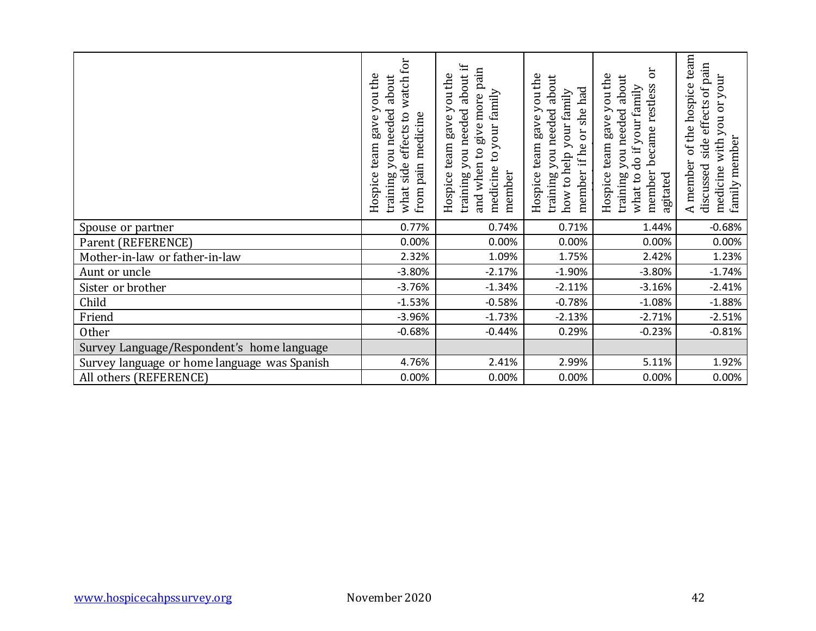|                                              | what side effects to watch for<br>Hospice team gave you the<br>training you needed about<br>from pain medicine | training you needed about if<br>and when to give more pain<br>Hospice team gave you the<br>medicine to your family<br>member | Hospice team gave you the<br>training you needed about<br>member if he or she had<br>how to help your family | member became restless or<br>Hospice team gave you the<br>about<br>what to do if your family<br>you needed<br>training<br>agitated | of the hospice team<br>side effects of pain<br>medicine with you or your<br>family member<br>A member<br>discussed |
|----------------------------------------------|----------------------------------------------------------------------------------------------------------------|------------------------------------------------------------------------------------------------------------------------------|--------------------------------------------------------------------------------------------------------------|------------------------------------------------------------------------------------------------------------------------------------|--------------------------------------------------------------------------------------------------------------------|
| Spouse or partner                            | 0.77%                                                                                                          | 0.74%                                                                                                                        | 0.71%                                                                                                        | 1.44%                                                                                                                              | $-0.68%$                                                                                                           |
| Parent (REFERENCE)                           | 0.00%                                                                                                          | 0.00%                                                                                                                        | 0.00%                                                                                                        | 0.00%                                                                                                                              | 0.00%                                                                                                              |
| Mother-in-law or father-in-law               | 2.32%                                                                                                          | 1.09%                                                                                                                        | 1.75%                                                                                                        | 2.42%                                                                                                                              | 1.23%                                                                                                              |
| Aunt or uncle                                | $-3.80%$                                                                                                       | $-2.17%$                                                                                                                     | $-1.90%$                                                                                                     | $-3.80%$                                                                                                                           | $-1.74%$                                                                                                           |
| Sister or brother                            | $-3.76%$                                                                                                       | $-1.34%$                                                                                                                     | $-2.11%$                                                                                                     | $-3.16%$                                                                                                                           | $-2.41%$                                                                                                           |
| Child                                        | $-1.53%$                                                                                                       | $-0.58%$                                                                                                                     | $-0.78%$                                                                                                     | $-1.08%$                                                                                                                           | $-1.88%$                                                                                                           |
| Friend                                       | $-3.96%$                                                                                                       | $-1.73%$                                                                                                                     | $-2.13%$                                                                                                     | $-2.71%$                                                                                                                           | $-2.51%$                                                                                                           |
| Other                                        | $-0.68%$                                                                                                       | $-0.44%$                                                                                                                     | 0.29%                                                                                                        | $-0.23%$                                                                                                                           | $-0.81%$                                                                                                           |
| Survey Language/Respondent's home language   |                                                                                                                |                                                                                                                              |                                                                                                              |                                                                                                                                    |                                                                                                                    |
| Survey language or home language was Spanish | 4.76%                                                                                                          | 2.41%                                                                                                                        | 2.99%                                                                                                        | 5.11%                                                                                                                              | 1.92%                                                                                                              |
| All others (REFERENCE)                       | 0.00%                                                                                                          | 0.00%                                                                                                                        | 0.00%                                                                                                        | 0.00%                                                                                                                              | 0.00%                                                                                                              |
|                                              |                                                                                                                |                                                                                                                              |                                                                                                              |                                                                                                                                    |                                                                                                                    |
| www.hospicecahpssurvey.org                   | November 2020                                                                                                  |                                                                                                                              |                                                                                                              |                                                                                                                                    | 42                                                                                                                 |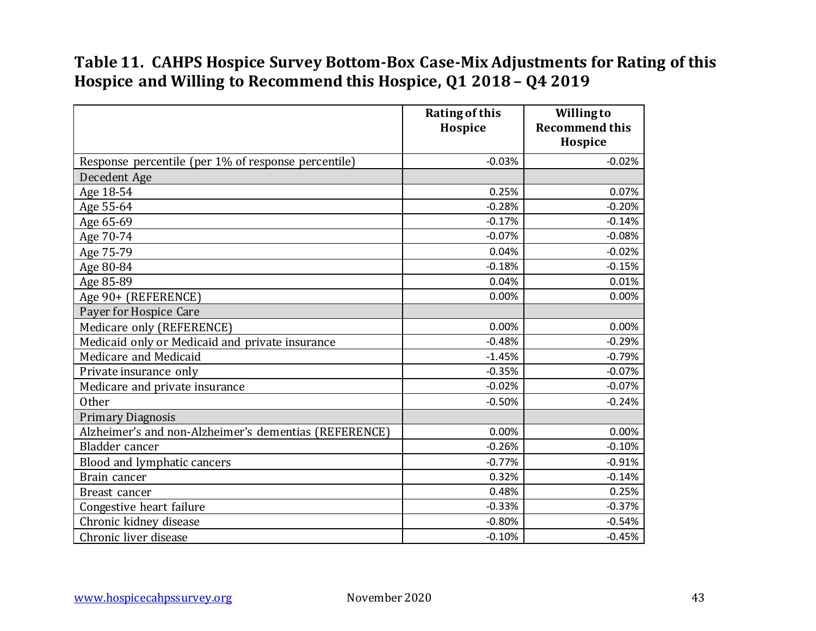#### **Table 11. CAHPS Hospice Survey Bottom-Box Case-Mix Adjustments for Rating of this Hospice and Willing to Recommend this Hospice, Q1 2018 – Q4 2019**

|                                                       | <b>Rating of this</b><br>Hospice | <b>Willing to</b><br><b>Recommend this</b><br>Hospice |
|-------------------------------------------------------|----------------------------------|-------------------------------------------------------|
| Response percentile (per 1% of response percentile)   | $-0.03%$                         | $-0.02%$                                              |
| Decedent Age                                          |                                  |                                                       |
| Age 18-54                                             | 0.25%                            | 0.07%                                                 |
| Age 55-64                                             | $-0.28%$                         | $-0.20%$                                              |
| Age 65-69                                             | $-0.17%$                         | $-0.14%$                                              |
| Age 70-74                                             | $-0.07%$                         | $-0.08%$                                              |
| Age 75-79                                             | 0.04%                            | $-0.02%$                                              |
| Age 80-84                                             | $-0.18%$                         | $-0.15%$                                              |
| Age 85-89                                             | 0.04%                            | 0.01%                                                 |
| Age 90+ (REFERENCE)                                   | 0.00%                            | 0.00%                                                 |
| Payer for Hospice Care                                |                                  |                                                       |
| Medicare only (REFERENCE)                             | 0.00%                            | 0.00%                                                 |
| Medicaid only or Medicaid and private insurance       | $-0.48%$                         | $-0.29%$                                              |
| Medicare and Medicaid                                 | $-1.45%$                         | $-0.79%$                                              |
| Private insurance only                                | $-0.35%$                         | $-0.07%$                                              |
| Medicare and private insurance                        | $-0.02%$                         | $-0.07%$                                              |
| Other                                                 | $-0.50%$                         | $-0.24%$                                              |
| <b>Primary Diagnosis</b>                              |                                  |                                                       |
| Alzheimer's and non-Alzheimer's dementias (REFERENCE) | 0.00%                            | 0.00%                                                 |
| Bladder cancer                                        | $-0.26%$                         | $-0.10%$                                              |
| Blood and lymphatic cancers                           | $-0.77%$                         | $-0.91%$                                              |
| Brain cancer                                          | 0.32%                            | $-0.14%$                                              |
| Breast cancer                                         | 0.48%                            | 0.25%                                                 |
| Congestive heart failure                              | $-0.33%$                         | $-0.37%$                                              |
| Chronic kidney disease                                | $-0.80%$                         | $-0.54%$                                              |
| Chronic liver disease                                 | $-0.10%$                         | $-0.45%$                                              |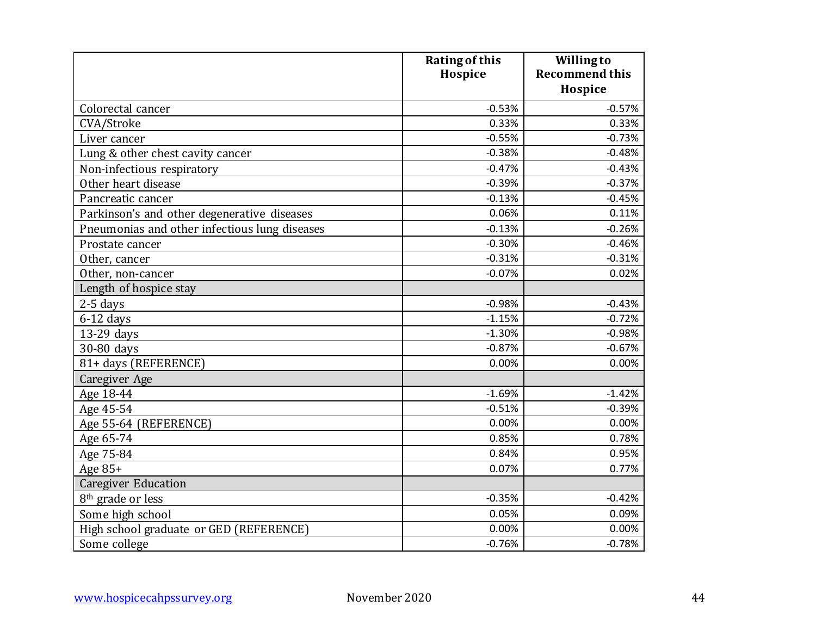|                                               | <b>Rating of this</b> | <b>Willingto</b>      |
|-----------------------------------------------|-----------------------|-----------------------|
|                                               | Hospice               | <b>Recommend this</b> |
|                                               |                       | Hospice               |
| Colorectal cancer                             | $-0.53%$              | $-0.57%$              |
| CVA/Stroke                                    | 0.33%                 | 0.33%                 |
| Liver cancer                                  | $-0.55%$              | $-0.73%$              |
| Lung & other chest cavity cancer              | $-0.38%$              | $-0.48%$              |
| Non-infectious respiratory                    | $-0.47%$              | $-0.43%$              |
| Other heart disease                           | $-0.39%$              | $-0.37%$              |
| Pancreatic cancer                             | $-0.13%$              | $-0.45%$              |
| Parkinson's and other degenerative diseases   | 0.06%                 | 0.11%                 |
| Pneumonias and other infectious lung diseases | $-0.13%$              | $-0.26%$              |
| Prostate cancer                               | $-0.30%$              | $-0.46%$              |
| Other, cancer                                 | $-0.31%$              | $-0.31%$              |
| Other, non-cancer                             | $-0.07%$              | 0.02%                 |
| Length of hospice stay                        |                       |                       |
| $2-5$ days                                    | $-0.98%$              | $-0.43%$              |
| $6-12$ days                                   | $-1.15%$              | $-0.72%$              |
| 13-29 days                                    | $-1.30%$              | $-0.98%$              |
| 30-80 days                                    | $-0.87%$              | $-0.67%$              |
| 81+ days (REFERENCE)                          | 0.00%                 | 0.00%                 |
| Caregiver Age                                 |                       |                       |
| Age 18-44                                     | $-1.69%$              | $-1.42%$              |
| Age 45-54                                     | $-0.51%$              | $-0.39%$              |
| Age 55-64 (REFERENCE)                         | 0.00%                 | 0.00%                 |
| Age 65-74                                     | 0.85%                 | 0.78%                 |
| Age 75-84                                     | 0.84%                 | 0.95%                 |
| Age 85+                                       | 0.07%                 | 0.77%                 |
| <b>Caregiver Education</b>                    |                       |                       |
| 8 <sup>th</sup> grade or less                 | $-0.35%$              | $-0.42%$              |
| Some high school                              | 0.05%                 | 0.09%                 |
| High school graduate or GED (REFERENCE)       | 0.00%                 | 0.00%                 |
| Some college                                  | $-0.76%$              | $-0.78%$              |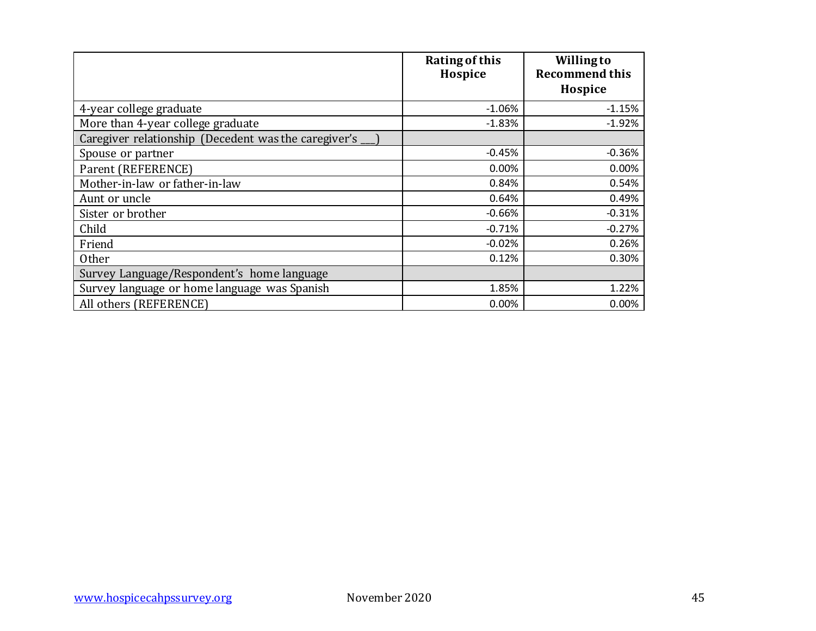|                                                      | <b>Rating of this</b><br>Hospice | <b>Willing to</b><br><b>Recommend this</b><br>Hospice |
|------------------------------------------------------|----------------------------------|-------------------------------------------------------|
|                                                      |                                  |                                                       |
| 4-year college graduate                              | $-1.06%$                         | $-1.15%$                                              |
| More than 4-year college graduate                    | $-1.83%$                         | $-1.92%$                                              |
| Caregiver relationship (Decedent was the caregiver's |                                  |                                                       |
| Spouse or partner                                    | $-0.45%$                         | $-0.36%$                                              |
| Parent (REFERENCE)                                   | 0.00%                            | 0.00%                                                 |
| Mother-in-law or father-in-law                       | 0.84%                            | 0.54%                                                 |
| Aunt or uncle                                        | 0.64%                            | 0.49%                                                 |
| Sister or brother                                    | $-0.66%$                         | $-0.31%$                                              |
| Child                                                | $-0.71%$                         | $-0.27%$                                              |
| Friend                                               | $-0.02%$                         | 0.26%                                                 |
| <b>Other</b>                                         | 0.12%                            | 0.30%                                                 |
| Survey Language/Respondent's home language           |                                  |                                                       |
| Survey language or home language was Spanish         | 1.85%                            | 1.22%                                                 |
| All others (REFERENCE)                               | 0.00%                            | 0.00%                                                 |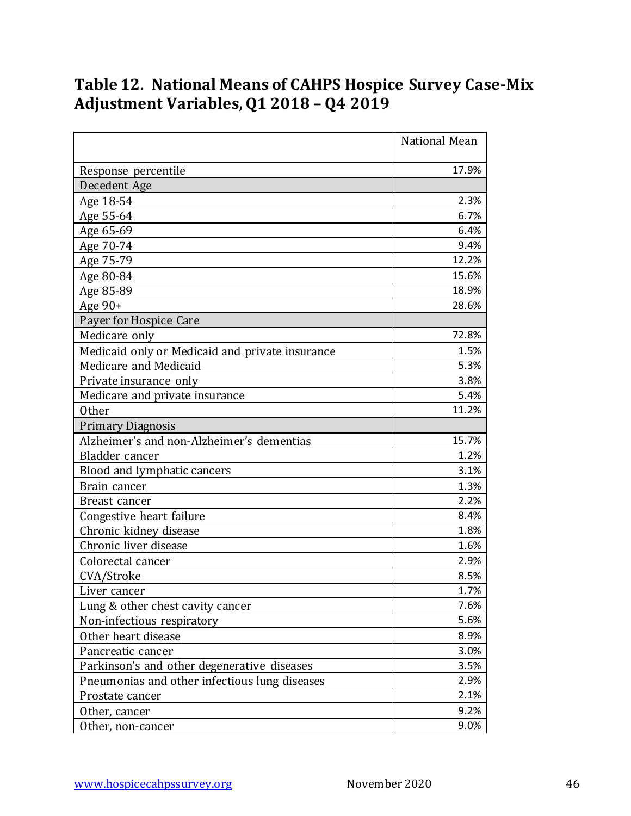# **Table 12. National Means of CAHPS Hospice Survey Case-Mix Adjustment Variables,Q1 2018 – Q4 2019**

|                                                 | National Mean |
|-------------------------------------------------|---------------|
| Response percentile                             | 17.9%         |
| Decedent Age                                    |               |
| Age 18-54                                       | 2.3%          |
| Age 55-64                                       | 6.7%          |
| Age 65-69                                       | 6.4%          |
| Age 70-74                                       | 9.4%          |
| Age 75-79                                       | 12.2%         |
| Age 80-84                                       | 15.6%         |
| Age 85-89                                       | 18.9%         |
| Age 90+                                         | 28.6%         |
| Payer for Hospice Care                          |               |
| Medicare only                                   | 72.8%         |
| Medicaid only or Medicaid and private insurance | 1.5%          |
| Medicare and Medicaid                           | 5.3%          |
| Private insurance only                          | 3.8%          |
| Medicare and private insurance                  | 5.4%          |
| <b>Other</b>                                    | 11.2%         |
| <b>Primary Diagnosis</b>                        |               |
| Alzheimer's and non-Alzheimer's dementias       | 15.7%         |
| Bladder cancer                                  | 1.2%          |
| Blood and lymphatic cancers                     | 3.1%          |
| Brain cancer                                    | 1.3%          |
| Breast cancer                                   | 2.2%          |
| Congestive heart failure                        | 8.4%          |
| Chronic kidney disease                          | 1.8%          |
| Chronic liver disease                           | 1.6%          |
| Colorectal cancer                               | 2.9%          |
| CVA/Stroke                                      | 8.5%          |
| Liver cancer                                    | 1.7%          |
| Lung & other chest cavity cancer                | 7.6%          |
| Non-infectious respiratory                      | 5.6%          |
| Other heart disease                             | 8.9%          |
| Pancreatic cancer                               | 3.0%          |
| Parkinson's and other degenerative diseases     | 3.5%          |
| Pneumonias and other infectious lung diseases   | 2.9%          |
| Prostate cancer                                 | 2.1%          |
| Other, cancer                                   | 9.2%          |
| Other, non-cancer                               | 9.0%          |